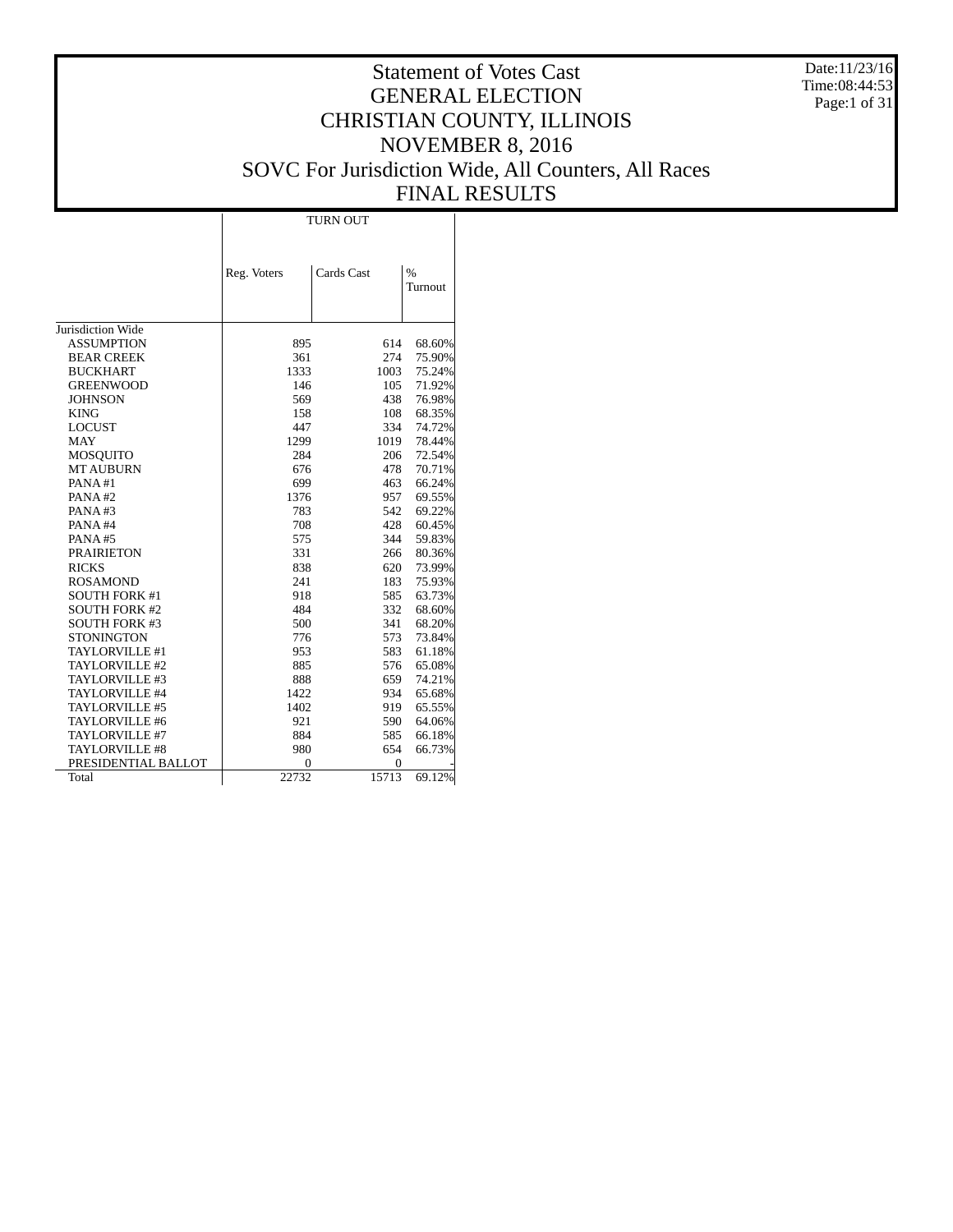Date:11/23/16 Time:08:44:53 Page:1 of 31

# Statement of Votes Cast GENERAL ELECTION CHRISTIAN COUNTY, ILLINOIS NOVEMBER 8, 2016 SOVC For Jurisdiction Wide, All Counters, All Races FINAL RESULTS

 $\overline{\phantom{a}}$ 

|                       | Reg. Voters | Cards Cast | $\%$    |
|-----------------------|-------------|------------|---------|
|                       |             |            | Turnout |
|                       |             |            |         |
|                       |             |            |         |
| Jurisdiction Wide     |             |            |         |
| <b>ASSUMPTION</b>     | 895         | 614        | 68.60%  |
| <b>BEAR CREEK</b>     | 361         | 274        | 75.90%  |
| <b>BUCKHART</b>       | 1333        | 1003       | 75.24%  |
| <b>GREENWOOD</b>      | 146         | 105        | 71.92%  |
| <b>JOHNSON</b>        | 569         | 438        | 76.98%  |
| <b>KING</b>           | 158         | 108        | 68.35%  |
| <b>LOCUST</b>         | 447         | 334        | 74.72%  |
| <b>MAY</b>            | 1299        | 1019       | 78.44%  |
| MOSQUITO              | 284         | 206        | 72.54%  |
| <b>MT AUBURN</b>      | 676         | 478        | 70.71%  |
| PANA#1                | 699         | 463        | 66.24%  |
| PANA#2                | 1376        | 957        | 69.55%  |
| PANA#3                | 783         | 542        | 69.22%  |
| PANA#4                | 708         | 428        | 60.45%  |
| PANA#5                | 575         | 344        | 59.83%  |
| <b>PRAIRIETON</b>     | 331         | 266        | 80.36%  |
| <b>RICKS</b>          | 838         | 620        | 73.99%  |
| <b>ROSAMOND</b>       | 241         | 183        | 75.93%  |
| <b>SOUTH FORK #1</b>  | 918         | 585        | 63.73%  |
| <b>SOUTH FORK #2</b>  | 484         | 332        | 68.60%  |
| <b>SOUTH FORK #3</b>  | 500         | 341        | 68.20%  |
| <b>STONINGTON</b>     | 776         | 573        | 73.84%  |
| TAYLORVILLE #1        | 953         | 583        | 61.18%  |
| TAYLORVILLE #2        | 885         | 576        | 65.08%  |
| TAYLORVILLE #3        | 888         | 659        | 74.21%  |
| TAYLORVILLE #4        | 1422        | 934        | 65.68%  |
| TAYLORVILLE #5        | 1402        | 919        | 65.55%  |
| TAYLORVILLE #6        | 921         | 590        | 64.06%  |
| TAYLORVILLE #7        | 884         | 585        | 66.18%  |
| <b>TAYLORVILLE #8</b> | 980         | 654        | 66.73%  |
| PRESIDENTIAL BALLOT   | 0           | 0          |         |
| Total                 | 22732       | 15713      | 69.12%  |

 $\overline{1}$ 

TURN OUT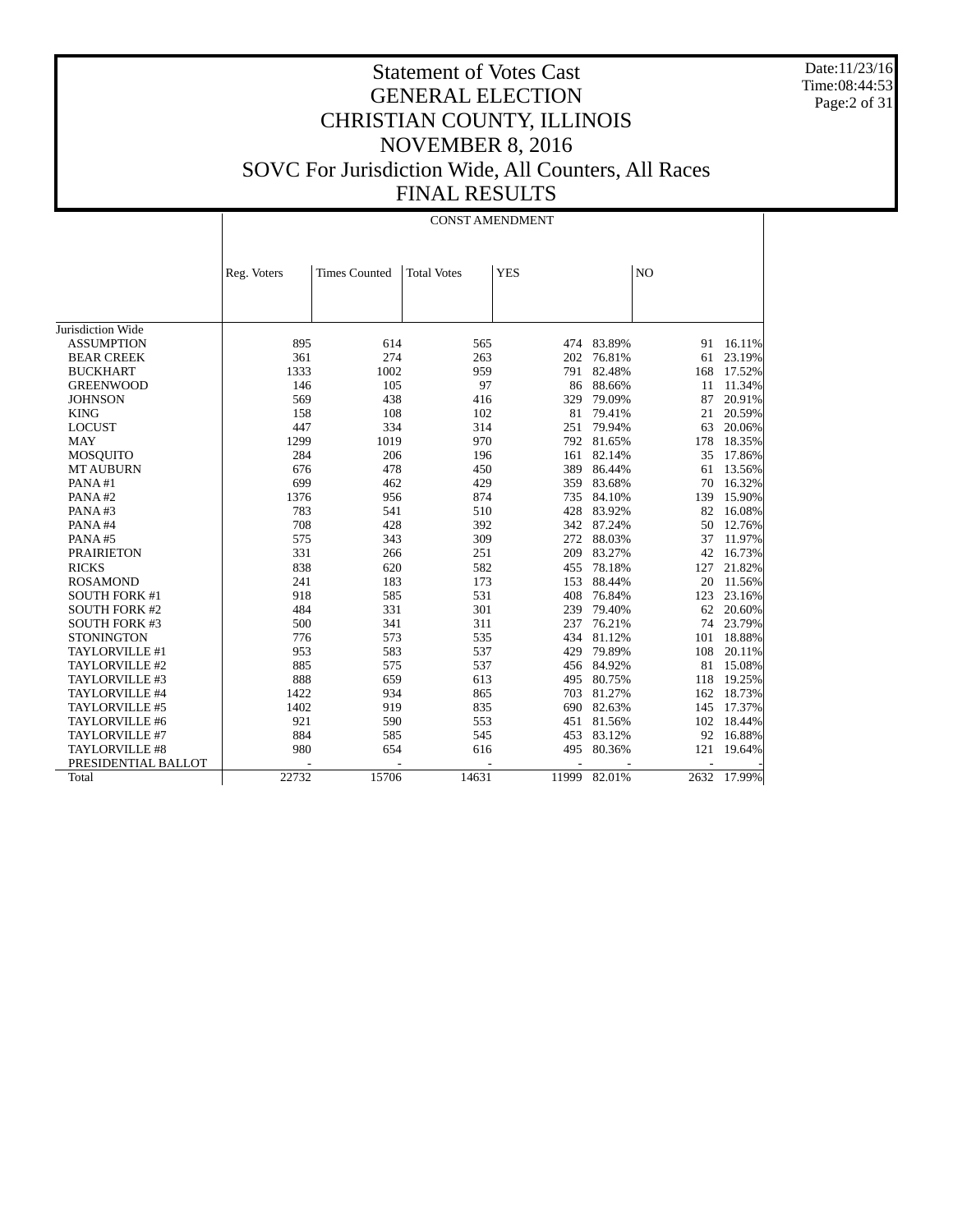Date:11/23/16 Time:08:44:53 Page:2 of 31

|                      |             |                      | <b>CONST AMENDMENT</b> |            |            |                |             |
|----------------------|-------------|----------------------|------------------------|------------|------------|----------------|-------------|
|                      |             |                      |                        |            |            |                |             |
|                      | Reg. Voters | <b>Times Counted</b> | <b>Total Votes</b>     | <b>YES</b> |            | N <sub>O</sub> |             |
|                      |             |                      |                        |            |            |                |             |
|                      |             |                      |                        |            |            |                |             |
| Jurisdiction Wide    |             |                      |                        |            |            |                |             |
| <b>ASSUMPTION</b>    | 895         | 614                  | 565                    |            | 474 83.89% | 91             | 16.11%      |
| <b>BEAR CREEK</b>    | 361         | 274                  | 263                    | 202        | 76.81%     | 61             | 23.19%      |
| <b>BUCKHART</b>      | 1333        | 1002                 | 959                    | 791        | 82.48%     | 168            | 17.52%      |
| <b>GREENWOOD</b>     | 146         | 105                  | 97                     |            | 86 88.66%  | 11             | 11.34%      |
| <b>JOHNSON</b>       | 569         | 438                  | 416                    | 329        | 79.09%     | 87             | 20.91%      |
| <b>KING</b>          | 158         | 108                  | 102                    | 81         | 79.41%     | 21             | 20.59%      |
| <b>LOCUST</b>        | 447         | 334                  | 314                    | 251        | 79.94%     | 63             | 20.06%      |
| <b>MAY</b>           | 1299        | 1019                 | 970                    | 792        | 81.65%     | 178            | 18.35%      |
| <b>MOSOUITO</b>      | 284         | 206                  | 196                    | 161        | 82.14%     | 35             | 17.86%      |
| <b>MT AUBURN</b>     | 676         | 478                  | 450                    | 389        | 86.44%     | 61             | 13.56%      |
| PANA#1               | 699         | 462                  | 429                    | 359        | 83.68%     | 70             | 16.32%      |
| PANA#2               | 1376        | 956                  | 874                    | 735        | 84.10%     | 139            | 15.90%      |
| PANA#3               | 783         | 541                  | 510                    | 428        | 83.92%     | 82             | 16.08%      |
| PANA#4               | 708         | 428                  | 392                    | 342        | 87.24%     | 50             | 12.76%      |
| PANA#5               | 575         | 343                  | 309                    | 272        | 88.03%     | 37             | 11.97%      |
| <b>PRAIRIETON</b>    | 331         | 266                  | 251                    | 209        | 83.27%     | 42             | 16.73%      |
| <b>RICKS</b>         | 838         | 620                  | 582                    | 455        | 78.18%     | 127            | 21.82%      |
| <b>ROSAMOND</b>      | 241         | 183                  | 173                    | 153        | 88.44%     | 20             | 11.56%      |
| <b>SOUTH FORK #1</b> | 918         | 585                  | 531                    | 408        | 76.84%     | 123            | 23.16%      |
| <b>SOUTH FORK #2</b> | 484         | 331                  | 301                    | 239        | 79.40%     | 62             | 20.60%      |
| <b>SOUTH FORK #3</b> | 500         | 341                  | 311                    | 237        | 76.21%     | 74             | 23.79%      |
| <b>STONINGTON</b>    | 776         | 573                  | 535                    | 434        | 81.12%     | 101            | 18.88%      |
| TAYLORVILLE #1       | 953         | 583                  | 537                    | 429        | 79.89%     | 108            | 20.11%      |
| TAYLORVILLE #2       | 885         | 575                  | 537                    |            | 456 84.92% | 81             | 15.08%      |
| TAYLORVILLE #3       | 888         | 659                  | 613                    | 495        | 80.75%     | 118            | 19.25%      |
| TAYLORVILLE #4       | 1422        | 934                  | 865                    | 703        | 81.27%     | 162            | 18.73%      |
| TAYLORVILLE #5       | 1402        | 919                  | 835                    | 690        | 82.63%     | 145            | 17.37%      |
| TAYLORVILLE #6       | 921         | 590                  | 553                    | 451        | 81.56%     | 102            | 18.44%      |
| TAYLORVILLE #7       | 884         | 585                  | 545                    | 453        | 83.12%     | 92             | 16.88%      |
| TAYLORVILLE #8       | 980         | 654                  | 616                    | 495        | 80.36%     | 121            | 19.64%      |
| PRESIDENTIAL BALLOT  |             |                      |                        |            |            |                |             |
| Total                | 22732       | 15706                | 14631                  | 11999      | 82.01%     |                | 2632 17.99% |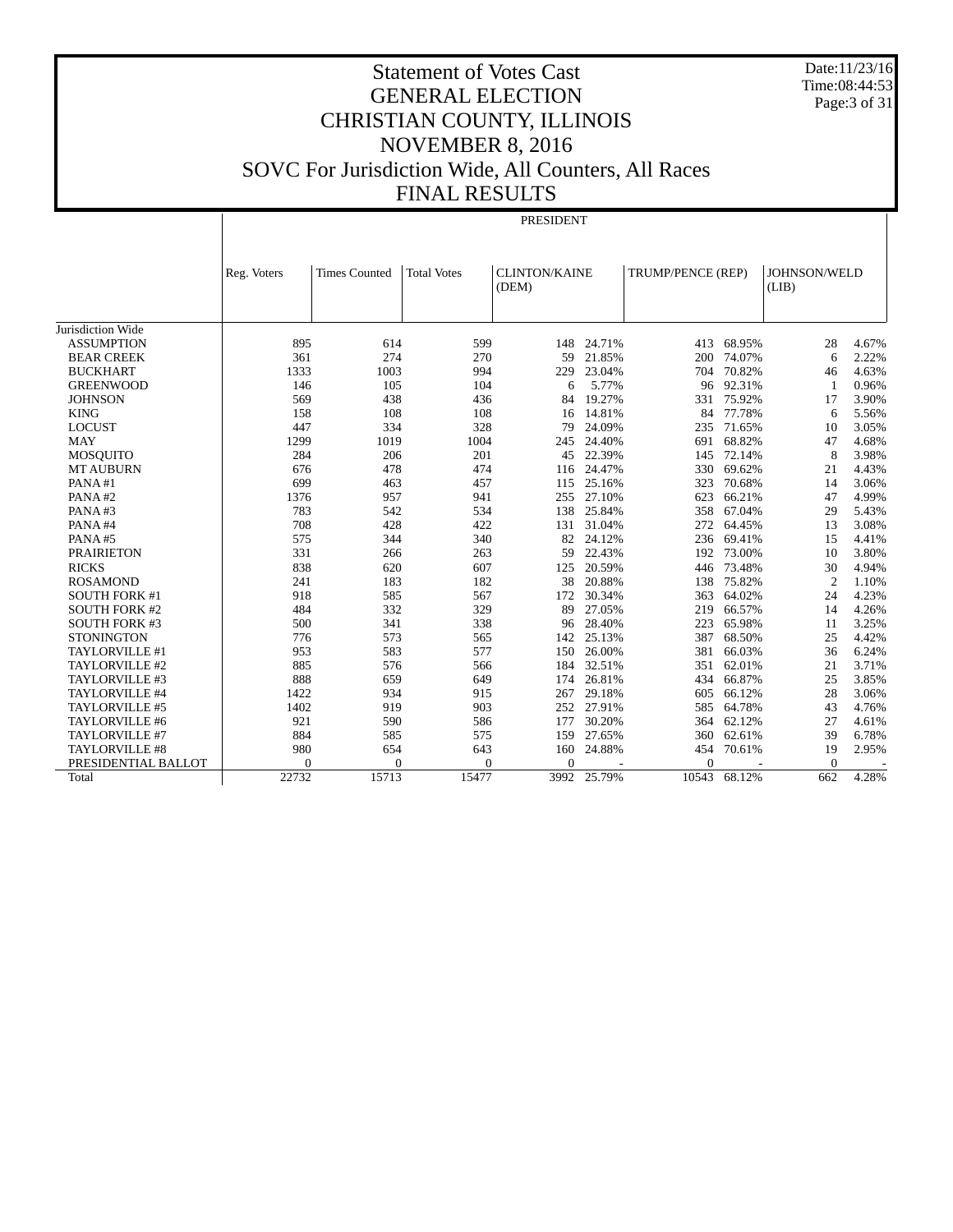Date:11/23/16 Time:08:44:53 Page:3 of 31

PRESIDENT

|                       | Reg. Voters | <b>Times Counted</b> | <b>Total Votes</b> | <b>CLINTON/KAINE</b> |        | TRUMP/PENCE (REP) |        | JOHNSON/WELD   |       |
|-----------------------|-------------|----------------------|--------------------|----------------------|--------|-------------------|--------|----------------|-------|
|                       |             |                      |                    | (DEM)                |        |                   |        | (LIB)          |       |
|                       |             |                      |                    |                      |        |                   |        |                |       |
| Jurisdiction Wide     |             |                      |                    |                      |        |                   |        |                |       |
| <b>ASSUMPTION</b>     | 895         | 614                  | 599                | 148                  | 24.71% | 413               | 68.95% | 28             | 4.67% |
| <b>BEAR CREEK</b>     | 361         | 274                  | 270                | 59                   | 21.85% | 200               | 74.07% | 6              | 2.22% |
| <b>BUCKHART</b>       | 1333        | 1003                 | 994                | 229                  | 23.04% | 704               | 70.82% | 46             | 4.63% |
| <b>GREENWOOD</b>      | 146         | 105                  | 104                | 6                    | 5.77%  | 96                | 92.31% | 1              | 0.96% |
| <b>JOHNSON</b>        | 569         | 438                  | 436                | 84                   | 19.27% | 331               | 75.92% | 17             | 3.90% |
| <b>KING</b>           | 158         | 108                  | 108                | 16                   | 14.81% | 84                | 77.78% | 6              | 5.56% |
| <b>LOCUST</b>         | 447         | 334                  | 328                | 79                   | 24.09% | 235               | 71.65% | 10             | 3.05% |
| <b>MAY</b>            | 1299        | 1019                 | 1004               | 245                  | 24.40% | 691               | 68.82% | 47             | 4.68% |
| <b>MOSOUITO</b>       | 284         | 206                  | 201                | 45                   | 22.39% | 145               | 72.14% | 8              | 3.98% |
| <b>MT AUBURN</b>      | 676         | 478                  | 474                | 116                  | 24.47% | 330               | 69.62% | 21             | 4.43% |
| PANA#1                | 699         | 463                  | 457                | 115                  | 25.16% | 323               | 70.68% | 14             | 3.06% |
| PANA#2                | 1376        | 957                  | 941                | 255                  | 27.10% | 623               | 66.21% | 47             | 4.99% |
| PANA#3                | 783         | 542                  | 534                | 138                  | 25.84% | 358               | 67.04% | 29             | 5.43% |
| PANA#4                | 708         | 428                  | 422                | 131                  | 31.04% | 272               | 64.45% | 13             | 3.08% |
| PANA#5                | 575         | 344                  | 340                | 82                   | 24.12% | 236               | 69.41% | 15             | 4.41% |
| <b>PRAIRIETON</b>     | 331         | 266                  | 263                | 59                   | 22.43% | 192               | 73.00% | 10             | 3.80% |
| <b>RICKS</b>          | 838         | 620                  | 607                | 125                  | 20.59% | 446               | 73.48% | 30             | 4.94% |
| <b>ROSAMOND</b>       | 241         | 183                  | 182                | 38                   | 20.88% | 138               | 75.82% | $\overline{2}$ | 1.10% |
| <b>SOUTH FORK #1</b>  | 918         | 585                  | 567                | 172                  | 30.34% | 363               | 64.02% | 24             | 4.23% |
| <b>SOUTH FORK #2</b>  | 484         | 332                  | 329                | 89                   | 27.05% | 219               | 66.57% | 14             | 4.26% |
| <b>SOUTH FORK #3</b>  | 500         | 341                  | 338                | 96                   | 28.40% | 223               | 65.98% | 11             | 3.25% |
| <b>STONINGTON</b>     | 776         | 573                  | 565                | 142                  | 25.13% | 387               | 68.50% | 25             | 4.42% |
| TAYLORVILLE #1        | 953         | 583                  | 577                | 150                  | 26.00% | 381               | 66.03% | 36             | 6.24% |
| TAYLORVILLE #2        | 885         | 576                  | 566                | 184                  | 32.51% | 351               | 62.01% | 21             | 3.71% |
| TAYLORVILLE #3        | 888         | 659                  | 649                | 174                  | 26.81% | 434               | 66.87% | 25             | 3.85% |
| TAYLORVILLE #4        | 1422        | 934                  | 915                | 267                  | 29.18% | 605               | 66.12% | 28             | 3.06% |
| TAYLORVILLE #5        | 1402        | 919                  | 903                | 252                  | 27.91% | 585               | 64.78% | 43             | 4.76% |
| TAYLORVILLE #6        | 921         | 590                  | 586                | 177                  | 30.20% | 364               | 62.12% | 27             | 4.61% |
| TAYLORVILLE #7        | 884         | 585                  | 575                | 159                  | 27.65% | 360               | 62.61% | 39             | 6.78% |
| <b>TAYLORVILLE #8</b> | 980         | 654                  | 643                | 160                  | 24.88% | 454               | 70.61% | 19             | 2.95% |
| PRESIDENTIAL BALLOT   | 0           | $\overline{0}$       | $\theta$           | $\mathbf{0}$         |        | $\Omega$          |        | $\mathbf{0}$   |       |
| Total                 | 22732       | 15713                | 15477              | 3992                 | 25.79% | 10543             | 68.12% | 662            | 4.28% |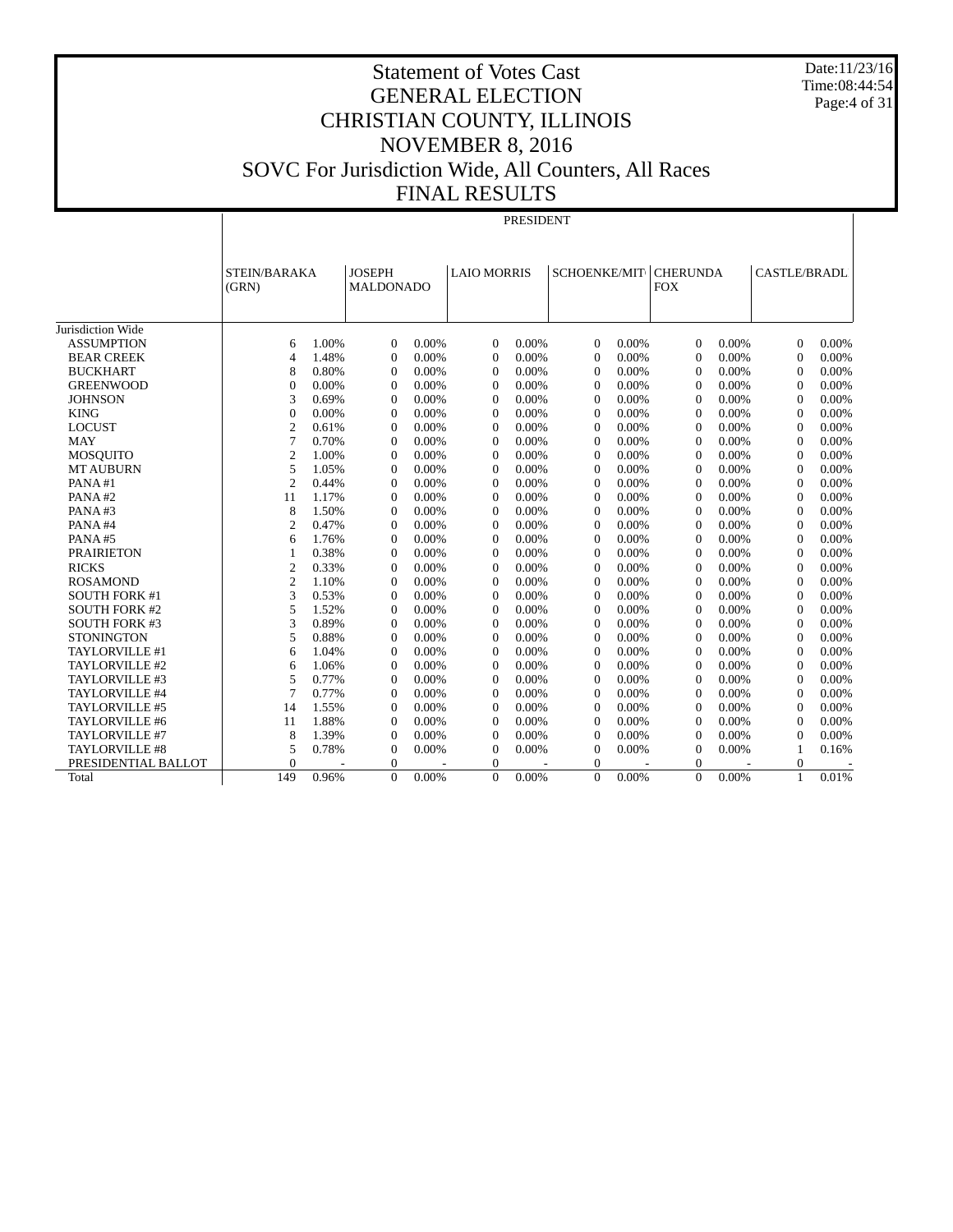Date:11/23/16 Time:08:44:54 Page:4 of 31

# Statement of Votes Cast GENERAL ELECTION CHRISTIAN COUNTY, ILLINOIS NOVEMBER 8, 2016 SOVC For Jurisdiction Wide, All Counters, All Races FINAL RESULTS

PRESIDENT

|                       | STEIN/BARAKA     |       | <b>JOSEPH</b>    |       | <b>LAIO MORRIS</b> |       | SCHOENKE/MIT   |       | <b>CHERUNDA</b> |       | CASTLE/BRADL   |       |
|-----------------------|------------------|-------|------------------|-------|--------------------|-------|----------------|-------|-----------------|-------|----------------|-------|
|                       | (GRN)            |       | <b>MALDONADO</b> |       |                    |       |                |       | <b>FOX</b>      |       |                |       |
|                       |                  |       |                  |       |                    |       |                |       |                 |       |                |       |
|                       |                  |       |                  |       |                    |       |                |       |                 |       |                |       |
| Jurisdiction Wide     |                  |       |                  |       |                    |       |                |       |                 |       |                |       |
| <b>ASSUMPTION</b>     | 6                | 1.00% | $\theta$         | 0.00% | $\Omega$           | 0.00% | $\Omega$       | 0.00% | $\mathbf{0}$    | 0.00% | $\theta$       | 0.00% |
| <b>BEAR CREEK</b>     | $\overline{4}$   | 1.48% | $\Omega$         | 0.00% | $\overline{0}$     | 0.00% | $\Omega$       | 0.00% | $\Omega$        | 0.00% | $\Omega$       | 0.00% |
| <b>BUCKHART</b>       | 8                | 0.80% | $\Omega$         | 0.00% | $\Omega$           | 0.00% | $\Omega$       | 0.00% | $\Omega$        | 0.00% | $\Omega$       | 0.00% |
| <b>GREENWOOD</b>      | $\mathbf{0}$     | 0.00% | $\overline{0}$   | 0.00% | $\overline{0}$     | 0.00% | $\overline{0}$ | 0.00% | $\mathbf{0}$    | 0.00% | $\theta$       | 0.00% |
| <b>JOHNSON</b>        | 3                | 0.69% | $\overline{0}$   | 0.00% | $\overline{0}$     | 0.00% | $\theta$       | 0.00% | $\mathbf{0}$    | 0.00% | $\theta$       | 0.00% |
| <b>KING</b>           | $\boldsymbol{0}$ | 0.00% | $\overline{0}$   | 0.00% | $\overline{0}$     | 0.00% | $\overline{0}$ | 0.00% | $\mathbf{0}$    | 0.00% | $\Omega$       | 0.00% |
| <b>LOCUST</b>         | $\boldsymbol{2}$ | 0.61% | $\Omega$         | 0.00% | $\Omega$           | 0.00% | $\overline{0}$ | 0.00% | $\mathbf{0}$    | 0.00% | $\Omega$       | 0.00% |
| <b>MAY</b>            | 7                | 0.70% | $\mathbf{0}$     | 0.00% | $\Omega$           | 0.00% | $\mathbf{0}$   | 0.00% | $\mathbf{0}$    | 0.00% | $\Omega$       | 0.00% |
| <b>MOSOUITO</b>       | $\overline{2}$   | 1.00% | $\Omega$         | 0.00% | $\Omega$           | 0.00% | $\Omega$       | 0.00% | $\Omega$        | 0.00% | $\Omega$       | 0.00% |
| <b>MT AUBURN</b>      | 5                | 1.05% | $\Omega$         | 0.00% | $\Omega$           | 0.00% | $\Omega$       | 0.00% | $\Omega$        | 0.00% | $\Omega$       | 0.00% |
| PANA#1                | $\overline{2}$   | 0.44% | $\Omega$         | 0.00% | $\Omega$           | 0.00% | $\Omega$       | 0.00% | $\Omega$        | 0.00% | $\Omega$       | 0.00% |
| PANA#2                | 11               | 1.17% | $\Omega$         | 0.00% | $\Omega$           | 0.00% | $\theta$       | 0.00% | $\Omega$        | 0.00% | $\Omega$       | 0.00% |
| PANA#3                | 8                | 1.50% | $\Omega$         | 0.00% | $\Omega$           | 0.00% | $\Omega$       | 0.00% | $\Omega$        | 0.00% | $\Omega$       | 0.00% |
| PANA#4                | $\overline{c}$   | 0.47% | $\Omega$         | 0.00% | $\Omega$           | 0.00% | $\Omega$       | 0.00% | $\Omega$        | 0.00% | $\Omega$       | 0.00% |
| PANA#5                | 6                | 1.76% | $\Omega$         | 0.00% | $\Omega$           | 0.00% | $\Omega$       | 0.00% | $\Omega$        | 0.00% | $\Omega$       | 0.00% |
| <b>PRAIRIETON</b>     | 1                | 0.38% | $\Omega$         | 0.00% | $\Omega$           | 0.00% | $\Omega$       | 0.00% | $\Omega$        | 0.00% | $\Omega$       | 0.00% |
| <b>RICKS</b>          | $\overline{c}$   | 0.33% | $\Omega$         | 0.00% | $\Omega$           | 0.00% | $\overline{0}$ | 0.00% | $\Omega$        | 0.00% | $\Omega$       | 0.00% |
| <b>ROSAMOND</b>       | $\overline{c}$   | 1.10% | $\Omega$         | 0.00% | $\Omega$           | 0.00% | $\mathbf{0}$   | 0.00% | $\Omega$        | 0.00% | $\Omega$       | 0.00% |
| <b>SOUTH FORK #1</b>  | 3                | 0.53% | $\Omega$         | 0.00% | $\Omega$           | 0.00% | $\overline{0}$ | 0.00% | $\Omega$        | 0.00% | $\theta$       | 0.00% |
| <b>SOUTH FORK #2</b>  | 5                | 1.52% | $\mathbf{0}$     | 0.00% | $\Omega$           | 0.00% | $\overline{0}$ | 0.00% | $\mathbf{0}$    | 0.00% | $\overline{0}$ | 0.00% |
| <b>SOUTH FORK #3</b>  | 3                | 0.89% | $\Omega$         | 0.00% | $\Omega$           | 0.00% | $\Omega$       | 0.00% | $\Omega$        | 0.00% | $\Omega$       | 0.00% |
| <b>STONINGTON</b>     | 5                | 0.88% | $\Omega$         | 0.00% | $\Omega$           | 0.00% | $\Omega$       | 0.00% | $\Omega$        | 0.00% | $\Omega$       | 0.00% |
| TAYLORVILLE #1        | 6                | 1.04% | $\theta$         | 0.00% | $\Omega$           | 0.00% | $\theta$       | 0.00% | $\mathbf{0}$    | 0.00% | $\Omega$       | 0.00% |
| TAYLORVILLE #2        | 6                | 1.06% | $\theta$         | 0.00% | $\Omega$           | 0.00% | $\theta$       | 0.00% | $\mathbf{0}$    | 0.00% | $\Omega$       | 0.00% |
| TAYLORVILLE #3        | 5                | 0.77% | $\Omega$         | 0.00% | $\Omega$           | 0.00% | $\Omega$       | 0.00% | $\Omega$        | 0.00% | $\Omega$       | 0.00% |
| TAYLORVILLE #4        | 7                | 0.77% | $\Omega$         | 0.00% | $\Omega$           | 0.00% | $\Omega$       | 0.00% | $\Omega$        | 0.00% | $\Omega$       | 0.00% |
| TAYLORVILLE #5        | 14               | 1.55% | $\Omega$         | 0.00% | $\overline{0}$     | 0.00% | $\Omega$       | 0.00% | $\mathbf{0}$    | 0.00% | $\Omega$       | 0.00% |
| TAYLORVILLE #6        | 11               | 1.88% | $\Omega$         | 0.00% | $\Omega$           | 0.00% | $\Omega$       | 0.00% | $\Omega$        | 0.00% | $\Omega$       | 0.00% |
| TAYLORVILLE #7        | 8                | 1.39% | $\Omega$         | 0.00% | $\Omega$           | 0.00% | $\Omega$       | 0.00% | $\Omega$        | 0.00% | $\Omega$       | 0.00% |
| <b>TAYLORVILLE #8</b> | 5                | 0.78% | $\overline{0}$   | 0.00% | $\overline{0}$     | 0.00% | $\overline{0}$ | 0.00% | $\mathbf{0}$    | 0.00% | -1             | 0.16% |
| PRESIDENTIAL BALLOT   | $\mathbf{0}$     |       | $\Omega$         |       | $\mathbf{0}$       |       | $\overline{0}$ |       | $\mathbf{0}$    |       | $\overline{0}$ |       |
| Total                 | 149              | 0.96% | $\Omega$         | 0.00% | $\Omega$           | 0.00% | $\Omega$       | 0.00% | $\Omega$        | 0.00% | $\mathbf{1}$   | 0.01% |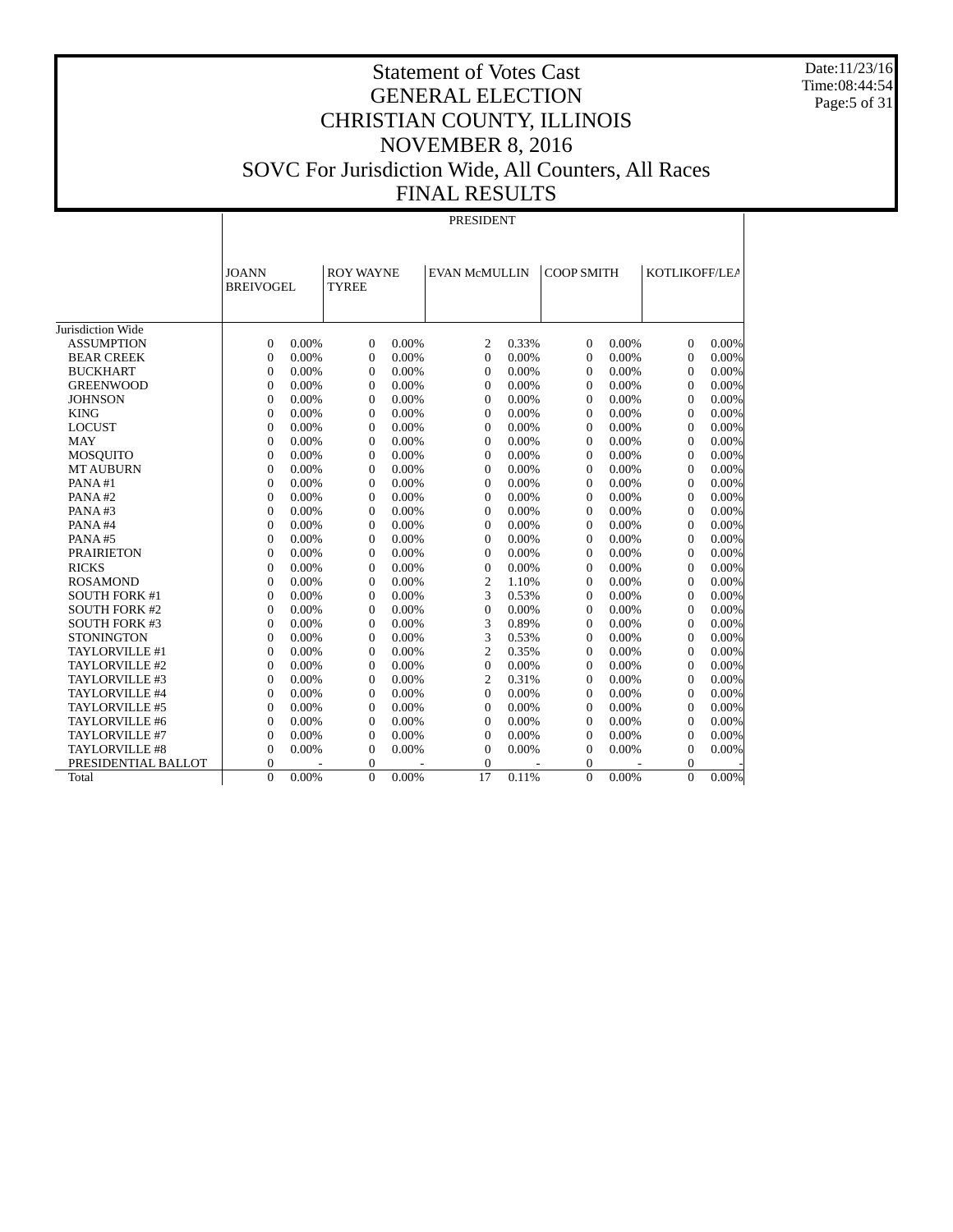Date:11/23/16 Time:08:44:54 Page:5 of 31

# Statement of Votes Cast GENERAL ELECTION CHRISTIAN COUNTY, ILLINOIS NOVEMBER 8, 2016 SOVC For Jurisdiction Wide, All Counters, All Races FINAL RESULTS

#### PRESIDENT

|                      | <b>JOANN</b><br><b>BREIVOGEL</b> |          | <b>ROY WAYNE</b><br><b>TYREE</b> |       | <b>EVAN McMULLIN</b> |       | <b>COOP SMITH</b> |       | KOTLIKOFF/LEA    |          |
|----------------------|----------------------------------|----------|----------------------------------|-------|----------------------|-------|-------------------|-------|------------------|----------|
| Jurisdiction Wide    |                                  |          |                                  |       |                      |       |                   |       |                  |          |
| <b>ASSUMPTION</b>    | $\Omega$                         | 0.00%    | $\mathbf{0}$                     | 0.00% | $\overline{c}$       | 0.33% | $\mathbf{0}$      | 0.00% | $\mathbf{0}$     | 0.00%    |
| <b>BEAR CREEK</b>    | $\theta$                         | 0.00%    | $\theta$                         | 0.00% | $\theta$             | 0.00% | $\mathbf{0}$      | 0.00% | $\mathbf{0}$     | 0.00%    |
| <b>BUCKHART</b>      | $\overline{0}$                   | 0.00%    | $\boldsymbol{0}$                 | 0.00% | $\theta$             | 0.00% | $\boldsymbol{0}$  | 0.00% | $\boldsymbol{0}$ | 0.00%    |
| <b>GREENWOOD</b>     | $\overline{0}$                   | 0.00%    | $\overline{0}$                   | 0.00% | $\theta$             | 0.00% | $\overline{0}$    | 0.00% | $\mathbf{0}$     | 0.00%    |
| <b>JOHNSON</b>       | $\overline{0}$                   | 0.00%    | $\mathbf{0}$                     | 0.00% | $\theta$             | 0.00% | $\overline{0}$    | 0.00% | $\mathbf{0}$     | 0.00%    |
| <b>KING</b>          | $\theta$                         | 0.00%    | $\Omega$                         | 0.00% | $\theta$             | 0.00% | $\overline{0}$    | 0.00% | $\Omega$         | 0.00%    |
| <b>LOCUST</b>        | $\Omega$                         | 0.00%    | $\theta$                         | 0.00% | $\Omega$             | 0.00% | $\Omega$          | 0.00% | $\Omega$         | 0.00%    |
| <b>MAY</b>           | $\overline{0}$                   | 0.00%    | $\mathbf{0}$                     | 0.00% | $\theta$             | 0.00% | $\Omega$          | 0.00% | $\mathbf{0}$     | 0.00%    |
| <b>MOSOUITO</b>      | $\theta$                         | 0.00%    | $\Omega$                         | 0.00% | $\Omega$             | 0.00% | $\theta$          | 0.00% | $\Omega$         | 0.00%    |
| <b>MT AUBURN</b>     | $\Omega$                         | $0.00\%$ | $\theta$                         | 0.00% | $\Omega$             | 0.00% | $\Omega$          | 0.00% | $\Omega$         | 0.00%    |
| PANA#1               | $\Omega$                         | 0.00%    | $\mathbf{0}$                     | 0.00% | $\Omega$             | 0.00% | $\Omega$          | 0.00% | $\mathbf{0}$     | 0.00%    |
| PANA#2               | $\Omega$                         | 0.00%    | $\Omega$                         | 0.00% | $\Omega$             | 0.00% | $\Omega$          | 0.00% | $\Omega$         | 0.00%    |
| PANA#3               | $\Omega$                         | 0.00%    | $\mathbf{0}$                     | 0.00% | $\Omega$             | 0.00% | $\Omega$          | 0.00% | $\Omega$         | 0.00%    |
| PANA#4               | $\overline{0}$                   | 0.00%    | $\mathbf{0}$                     | 0.00% | $\theta$             | 0.00% | $\overline{0}$    | 0.00% | $\mathbf{0}$     | 0.00%    |
| PANA#5               | $\overline{0}$                   | 0.00%    | $\mathbf{0}$                     | 0.00% | $\theta$             | 0.00% | $\overline{0}$    | 0.00% | $\mathbf{0}$     | 0.00%    |
| <b>PRAIRIETON</b>    | $\overline{0}$                   | 0.00%    | $\mathbf{0}$                     | 0.00% | $\mathbf{0}$         | 0.00% | $\overline{0}$    | 0.00% | $\mathbf{0}$     | 0.00%    |
| <b>RICKS</b>         | $\overline{0}$                   | 0.00%    | $\mathbf{0}$                     | 0.00% | $\mathbf{0}$         | 0.00% | $\overline{0}$    | 0.00% | $\mathbf{0}$     | 0.00%    |
| <b>ROSAMOND</b>      | $\Omega$                         | 0.00%    | $\theta$                         | 0.00% | 2                    | 1.10% | $\Omega$          | 0.00% | $\Omega$         | 0.00%    |
| <b>SOUTH FORK #1</b> | $\overline{0}$                   | 0.00%    | $\mathbf{0}$                     | 0.00% | 3                    | 0.53% | $\Omega$          | 0.00% | $\mathbf{0}$     | 0.00%    |
| <b>SOUTH FORK #2</b> | $\Omega$                         | 0.00%    | $\mathbf{0}$                     | 0.00% | $\mathbf{0}$         | 0.00% | $\Omega$          | 0.00% | $\mathbf{0}$     | 0.00%    |
| <b>SOUTH FORK #3</b> | $\Omega$                         | 0.00%    | $\theta$                         | 0.00% | 3                    | 0.89% | $\Omega$          | 0.00% | $\Omega$         | 0.00%    |
| <b>STONINGTON</b>    | $\overline{0}$                   | 0.00%    | $\mathbf{0}$                     | 0.00% | 3                    | 0.53% | $\Omega$          | 0.00% | $\mathbf{0}$     | 0.00%    |
| TAYLORVILLE #1       | $\Omega$                         | 0.00%    | $\overline{0}$                   | 0.00% | 2                    | 0.35% | $\Omega$          | 0.00% | $\Omega$         | 0.00%    |
| TAYLORVILLE #2       | $\Omega$                         | 0.00%    | $\Omega$                         | 0.00% | $\Omega$             | 0.00% | $\Omega$          | 0.00% | $\Omega$         | 0.00%    |
| TAYLORVILLE #3       | $\overline{0}$                   | 0.00%    | $\mathbf{0}$                     | 0.00% | $\overline{2}$       | 0.31% | $\mathbf{0}$      | 0.00% | $\mathbf{0}$     | 0.00%    |
| TAYLORVILLE #4       | $\overline{0}$                   | 0.00%    | $\boldsymbol{0}$                 | 0.00% | $\theta$             | 0.00% | $\mathbf{0}$      | 0.00% | $\mathbf{0}$     | 0.00%    |
| TAYLORVILLE #5       | $\overline{0}$                   | 0.00%    | $\mathbf{0}$                     | 0.00% | $\theta$             | 0.00% | $\overline{0}$    | 0.00% | $\mathbf{0}$     | 0.00%    |
| TAYLORVILLE #6       | $\overline{0}$                   | 0.00%    | $\overline{0}$                   | 0.00% | $\mathbf{0}$         | 0.00% | $\overline{0}$    | 0.00% | $\mathbf{0}$     | 0.00%    |
| TAYLORVILLE #7       | $\theta$                         | 0.00%    | $\theta$                         | 0.00% | $\Omega$             | 0.00% | $\overline{0}$    | 0.00% | $\Omega$         | 0.00%    |
| TAYLORVILLE #8       | $\theta$                         | 0.00%    | $\overline{0}$                   | 0.00% | $\theta$             | 0.00% | $\theta$          | 0.00% | $\mathbf{0}$     | 0.00%    |
| PRESIDENTIAL BALLOT  | $\Omega$                         |          | $\mathbf{0}$                     |       | $\Omega$             |       | $\overline{0}$    |       | $\mathbf{0}$     |          |
| Total                | $\Omega$                         | 0.00%    | $\Omega$                         | 0.00% | 17                   | 0.11% | $\Omega$          | 0.00% | $\Omega$         | $0.00\%$ |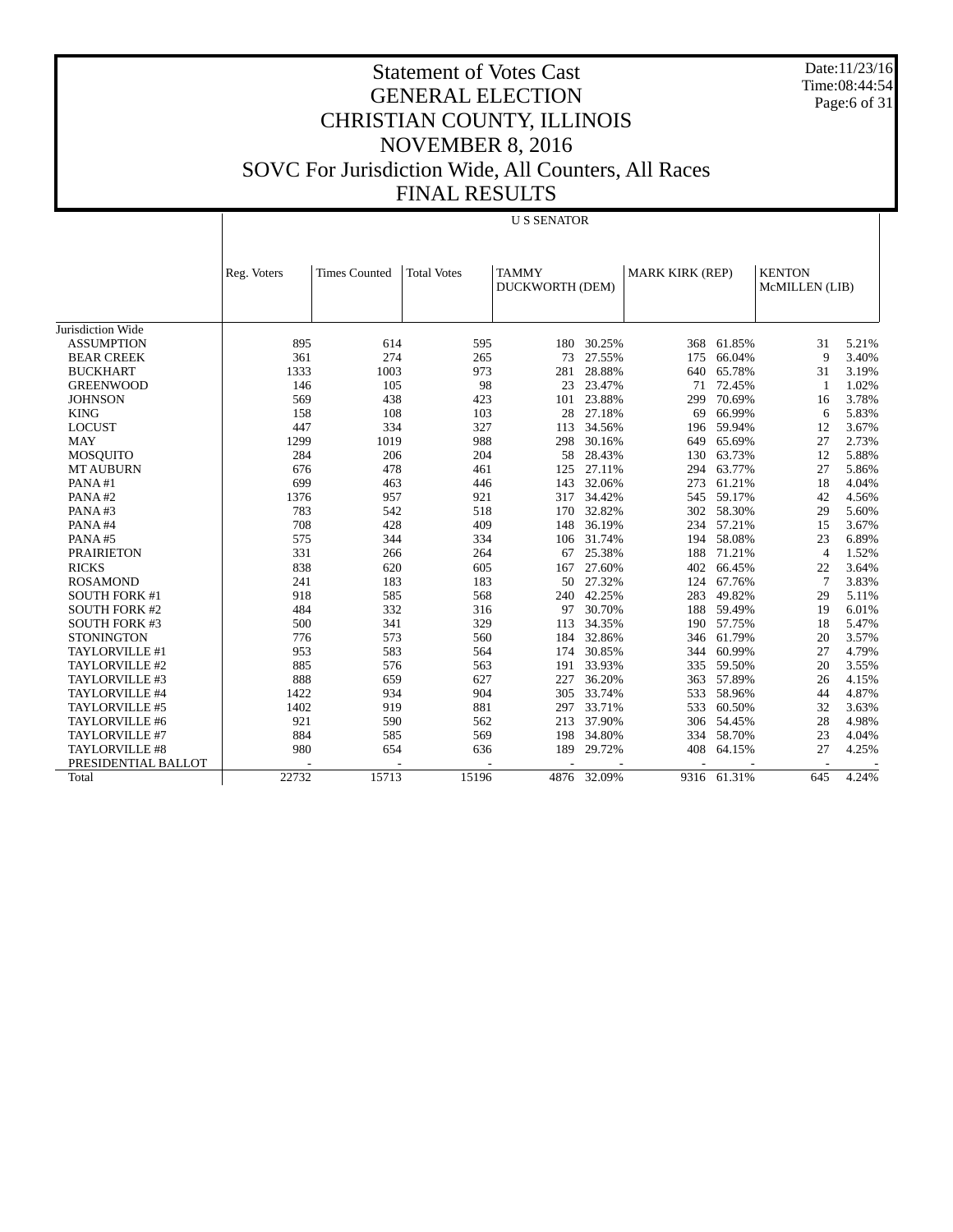Date:11/23/16 Time:08:44:54 Page:6 of 31

U S SENATOR

|                       | Reg. Voters | <b>Times Counted</b> | <b>Total Votes</b> | <b>TAMMY</b><br>DUCKWORTH (DEM) |             | <b>MARK KIRK (REP)</b> |             | <b>KENTON</b><br>McMILLEN (LIB) |       |
|-----------------------|-------------|----------------------|--------------------|---------------------------------|-------------|------------------------|-------------|---------------------------------|-------|
|                       |             |                      |                    |                                 |             |                        |             |                                 |       |
| Jurisdiction Wide     |             |                      |                    |                                 |             |                        |             |                                 |       |
| <b>ASSUMPTION</b>     | 895         | 614                  | 595                | 180                             | 30.25%      | 368                    | 61.85%      | 31                              | 5.21% |
| <b>BEAR CREEK</b>     | 361         | 274                  | 265                | 73                              | 27.55%      | 175                    | 66.04%      | 9                               | 3.40% |
| <b>BUCKHART</b>       | 1333        | 1003                 | 973                | 281                             | 28.88%      | 640                    | 65.78%      | 31                              | 3.19% |
| <b>GREENWOOD</b>      | 146         | 105                  | 98                 | 23                              | 23.47%      | 71                     | 72.45%      | $\mathbf{1}$                    | 1.02% |
| <b>JOHNSON</b>        | 569         | 438                  | 423                | 101                             | 23.88%      | 299                    | 70.69%      | 16                              | 3.78% |
| <b>KING</b>           | 158         | 108                  | 103                | 28                              | 27.18%      | 69                     | 66.99%      | 6                               | 5.83% |
| <b>LOCUST</b>         | 447         | 334                  | 327                | 113                             | 34.56%      | 196                    | 59.94%      | 12                              | 3.67% |
| <b>MAY</b>            | 1299        | 1019                 | 988                | 298                             | 30.16%      | 649                    | 65.69%      | 27                              | 2.73% |
| <b>MOSOUITO</b>       | 284         | 206                  | 204                | 58                              | 28.43%      | 130                    | 63.73%      | 12                              | 5.88% |
| <b>MT AUBURN</b>      | 676         | 478                  | 461                | 125                             | 27.11%      | 294                    | 63.77%      | 27                              | 5.86% |
| PANA#1                | 699         | 463                  | 446                | 143                             | 32.06%      | 273                    | 61.21%      | 18                              | 4.04% |
| PANA#2                | 1376        | 957                  | 921                | 317                             | 34.42%      | 545                    | 59.17%      | 42                              | 4.56% |
| PANA#3                | 783         | 542                  | 518                | 170                             | 32.82%      | 302                    | 58.30%      | 29                              | 5.60% |
| PANA#4                | 708         | 428                  | 409                | 148                             | 36.19%      | 234                    | 57.21%      | 15                              | 3.67% |
| PANA#5                | 575         | 344                  | 334                | 106                             | 31.74%      | 194                    | 58.08%      | 23                              | 6.89% |
| <b>PRAIRIETON</b>     | 331         | 266                  | 264                | 67                              | 25.38%      | 188                    | 71.21%      | $\overline{4}$                  | 1.52% |
| <b>RICKS</b>          | 838         | 620                  | 605                | 167                             | 27.60%      | 402                    | 66.45%      | 22                              | 3.64% |
| <b>ROSAMOND</b>       | 241         | 183                  | 183                | 50                              | 27.32%      | 124                    | 67.76%      | $\overline{7}$                  | 3.83% |
| <b>SOUTH FORK #1</b>  | 918         | 585                  | 568                | 240                             | 42.25%      | 283                    | 49.82%      | 29                              | 5.11% |
| <b>SOUTH FORK #2</b>  | 484         | 332                  | 316                | 97                              | 30.70%      | 188                    | 59.49%      | 19                              | 6.01% |
| <b>SOUTH FORK #3</b>  | 500         | 341                  | 329                | 113                             | 34.35%      | 190                    | 57.75%      | 18                              | 5.47% |
| <b>STONINGTON</b>     | 776         | 573                  | 560                |                                 | 184 32.86%  | 346                    | 61.79%      | 20                              | 3.57% |
| TAYLORVILLE #1        | 953         | 583                  | 564                | 174                             | 30.85%      | 344                    | 60.99%      | 27                              | 4.79% |
| TAYLORVILLE #2        | 885         | 576                  | 563                | 191                             | 33.93%      | 335                    | 59.50%      | 20                              | 3.55% |
| TAYLORVILLE #3        | 888         | 659                  | 627                | 227                             | 36.20%      | 363                    | 57.89%      | 26                              | 4.15% |
| TAYLORVILLE #4        | 1422        | 934                  | 904                | 305                             | 33.74%      | 533                    | 58.96%      | 44                              | 4.87% |
| TAYLORVILLE #5        | 1402        | 919                  | 881                | 297                             | 33.71%      | 533                    | 60.50%      | 32                              | 3.63% |
| TAYLORVILLE #6        | 921         | 590                  | 562                | 213                             | 37.90%      | 306                    | 54.45%      | 28                              | 4.98% |
| TAYLORVILLE #7        | 884         | 585                  | 569                | 198                             | 34.80%      | 334                    | 58.70%      | 23                              | 4.04% |
| <b>TAYLORVILLE #8</b> | 980         | 654                  | 636                | 189                             | 29.72%      | 408                    | 64.15%      | 27                              | 4.25% |
| PRESIDENTIAL BALLOT   |             |                      |                    |                                 |             |                        |             |                                 |       |
| Total                 | 22732       | 15713                | 15196              |                                 | 4876 32.09% |                        | 9316 61.31% | 645                             | 4.24% |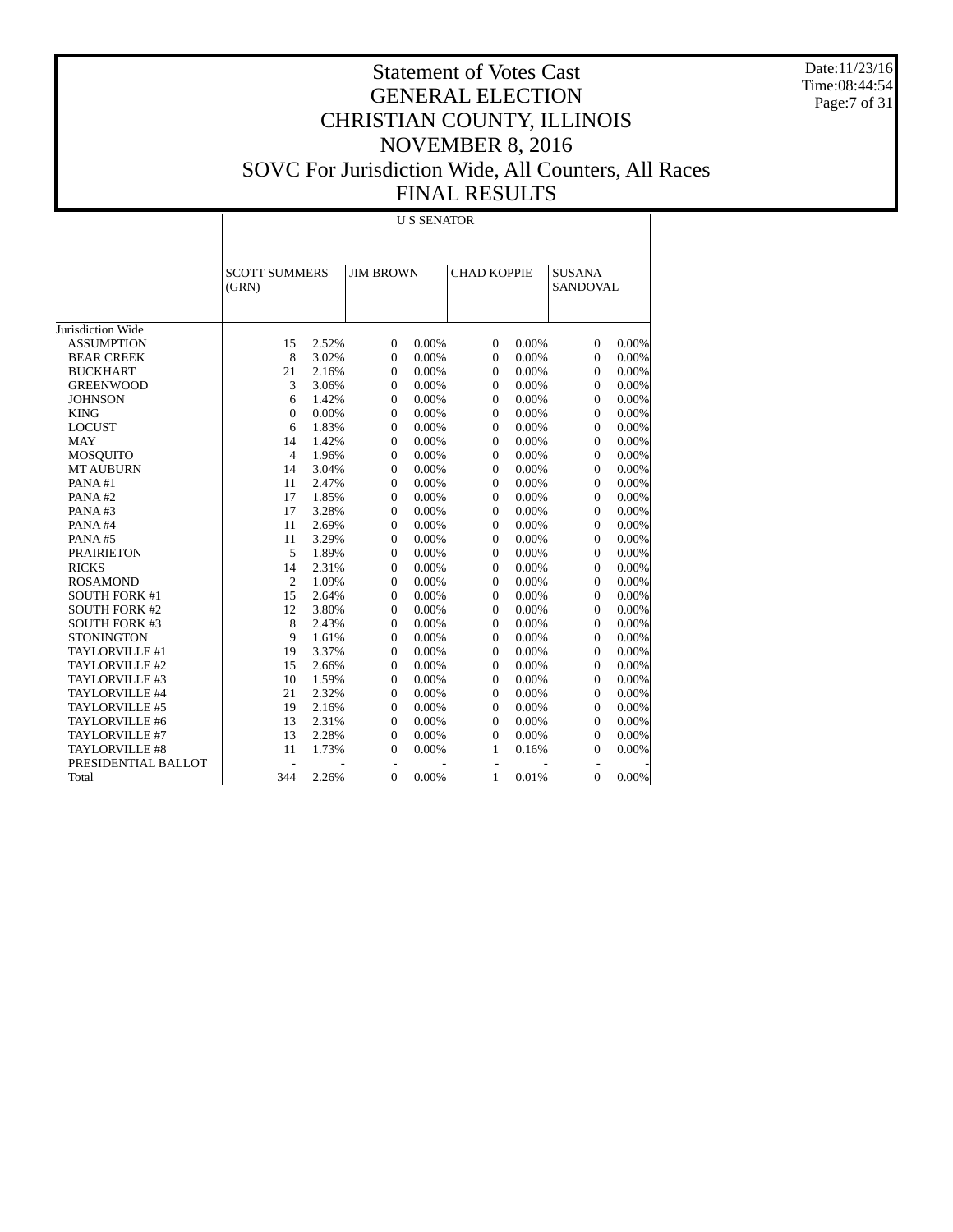Date:11/23/16 Time:08:44:54 Page:7 of 31

# Statement of Votes Cast GENERAL ELECTION CHRISTIAN COUNTY, ILLINOIS NOVEMBER 8, 2016 SOVC For Jurisdiction Wide, All Counters, All Races FINAL RESULTS

U S SENATOR

|                       | <b>SCOTT SUMMERS</b><br>(GRN) |       |                          | <b>JIM BROWN</b> |                | <b>CHAD KOPPIE</b> | <b>SUSANA</b><br><b>SANDOVAL</b> |          |
|-----------------------|-------------------------------|-------|--------------------------|------------------|----------------|--------------------|----------------------------------|----------|
|                       |                               |       |                          |                  |                |                    |                                  |          |
| Jurisdiction Wide     |                               |       |                          |                  |                |                    |                                  |          |
| <b>ASSUMPTION</b>     | 15                            | 2.52% | $\theta$                 | 0.00%            | $\mathbf{0}$   | 0.00%              | $\mathbf{0}$                     | 0.00%    |
| <b>BEAR CREEK</b>     | 8                             | 3.02% | $\mathbf{0}$             | 0.00%            | $\mathbf{0}$   | 0.00%              | $\Omega$                         | 0.00%    |
| <b>BUCKHART</b>       | 21                            | 2.16% | $\mathbf{0}$             | 0.00%            | $\mathbf{0}$   | 0.00%              | $\overline{0}$                   | 0.00%    |
| <b>GREENWOOD</b>      | 3                             | 3.06% | $\theta$                 | 0.00%            | $\mathbf{0}$   | 0.00%              | $\mathbf{0}$                     | 0.00%    |
| <b>JOHNSON</b>        | 6                             | 1.42% | $\boldsymbol{0}$         | 0.00%            | $\mathbf{0}$   | 0.00%              | $\mathbf{0}$                     | 0.00%    |
| <b>KING</b>           | $\overline{0}$                | 0.00% | $\mathbf{0}$             | 0.00%            | $\mathbf{0}$   | 0.00%              | $\mathbf{0}$                     | 0.00%    |
| <b>LOCUST</b>         | 6                             | 1.83% | 0                        | 0.00%            | $\Omega$       | 0.00%              | $\overline{0}$                   | 0.00%    |
| <b>MAY</b>            | 14                            | 1.42% | 0                        | 0.00%            | $\Omega$       | 0.00%              | $\overline{0}$                   | 0.00%    |
| <b>MOSQUITO</b>       | $\overline{4}$                | 1.96% | 0                        | 0.00%            | $\Omega$       | 0.00%              | $\Omega$                         | 0.00%    |
| <b>MT AUBURN</b>      | 14                            | 3.04% | $\mathbf{0}$             | 0.00%            | $\Omega$       | 0.00%              | $\overline{0}$                   | 0.00%    |
| PANA#1                | 11                            | 2.47% | $\mathbf{0}$             | 0.00%            | $\mathbf{0}$   | 0.00%              | $\overline{0}$                   | 0.00%    |
| PANA#2                | 17                            | 1.85% | $\Omega$                 | 0.00%            | $\Omega$       | 0.00%              | $\Omega$                         | 0.00%    |
| PANA#3                | 17                            | 3.28% | $\theta$                 | 0.00%            | $\mathbf{0}$   | 0.00%              | $\overline{0}$                   | 0.00%    |
| PANA#4                | 11                            | 2.69% | $\mathbf{0}$             | 0.00%            | $\Omega$       | 0.00%              | $\mathbf{0}$                     | 0.00%    |
| PANA#5                | 11                            | 3.29% | $\boldsymbol{0}$         | 0.00%            | $\mathbf{0}$   | 0.00%              | $\mathbf{0}$                     | 0.00%    |
| <b>PRAIRIETON</b>     | 5                             | 1.89% | $\mathbf{0}$             | 0.00%            | $\mathbf{0}$   | 0.00%              | $\mathbf{0}$                     | 0.00%    |
| <b>RICKS</b>          | 14                            | 2.31% | $\overline{0}$           | 0.00%            | $\Omega$       | 0.00%              | $\overline{0}$                   | 0.00%    |
| <b>ROSAMOND</b>       | $\overline{2}$                | 1.09% | $\overline{0}$           | 0.00%            | $\Omega$       | 0.00%              | $\overline{0}$                   | 0.00%    |
| <b>SOUTH FORK #1</b>  | 15                            | 2.64% | $\overline{0}$           | 0.00%            | $\Omega$       | 0.00%              | $\overline{0}$                   | 0.00%    |
| <b>SOUTH FORK #2</b>  | 12                            | 3.80% | $\mathbf{0}$             | 0.00%            | $\Omega$       | 0.00%              | $\overline{0}$                   | 0.00%    |
| <b>SOUTH FORK #3</b>  | 8                             | 2.43% | $\mathbf{0}$             | 0.00%            | $\mathbf{0}$   | 0.00%              | $\mathbf{0}$                     | 0.00%    |
| <b>STONINGTON</b>     | 9                             | 1.61% | $\mathbf{0}$             | 0.00%            | $\mathbf{0}$   | 0.00%              | $\overline{0}$                   | 0.00%    |
| TAYLORVILLE #1        | 19                            | 3.37% | $\mathbf{0}$             | 0.00%            | $\mathbf{0}$   | 0.00%              | $\overline{0}$                   | 0.00%    |
| TAYLORVILLE #2        | 15                            | 2.66% | $\mathbf{0}$             | 0.00%            | $\mathbf{0}$   | 0.00%              | $\mathbf{0}$                     | 0.00%    |
| TAYLORVILLE #3        | 10                            | 1.59% | $\boldsymbol{0}$         | 0.00%            | $\mathbf{0}$   | 0.00%              | $\boldsymbol{0}$                 | 0.00%    |
| TAYLORVILLE #4        | 21                            | 2.32% | $\mathbf{0}$             | 0.00%            | $\Omega$       | 0.00%              | $\mathbf{0}$                     | 0.00%    |
| TAYLORVILLE #5        | 19                            | 2.16% | $\overline{0}$           | 0.00%            | $\mathbf{0}$   | 0.00%              | $\overline{0}$                   | 0.00%    |
| TAYLORVILLE #6        | 13                            | 2.31% | 0                        | 0.00%            | $\Omega$       | 0.00%              | $\overline{0}$                   | 0.00%    |
| TAYLORVILLE #7        | 13                            | 2.28% | 0                        | 0.00%            | $\Omega$       | 0.00%              | $\overline{0}$                   | 0.00%    |
| <b>TAYLORVILLE #8</b> | 11                            | 1.73% | $\overline{0}$           | 0.00%            | 1              | 0.16%              | $\theta$                         | 0.00%    |
| PRESIDENTIAL BALLOT   | $\overline{\phantom{a}}$      |       | $\overline{\phantom{a}}$ |                  | $\blacksquare$ |                    | $\sim$                           |          |
| Total                 | 344                           | 2.26% | $\mathbf{0}$             | 0.00%            | 1              | 0.01%              | $\mathbf{0}$                     | $0.00\%$ |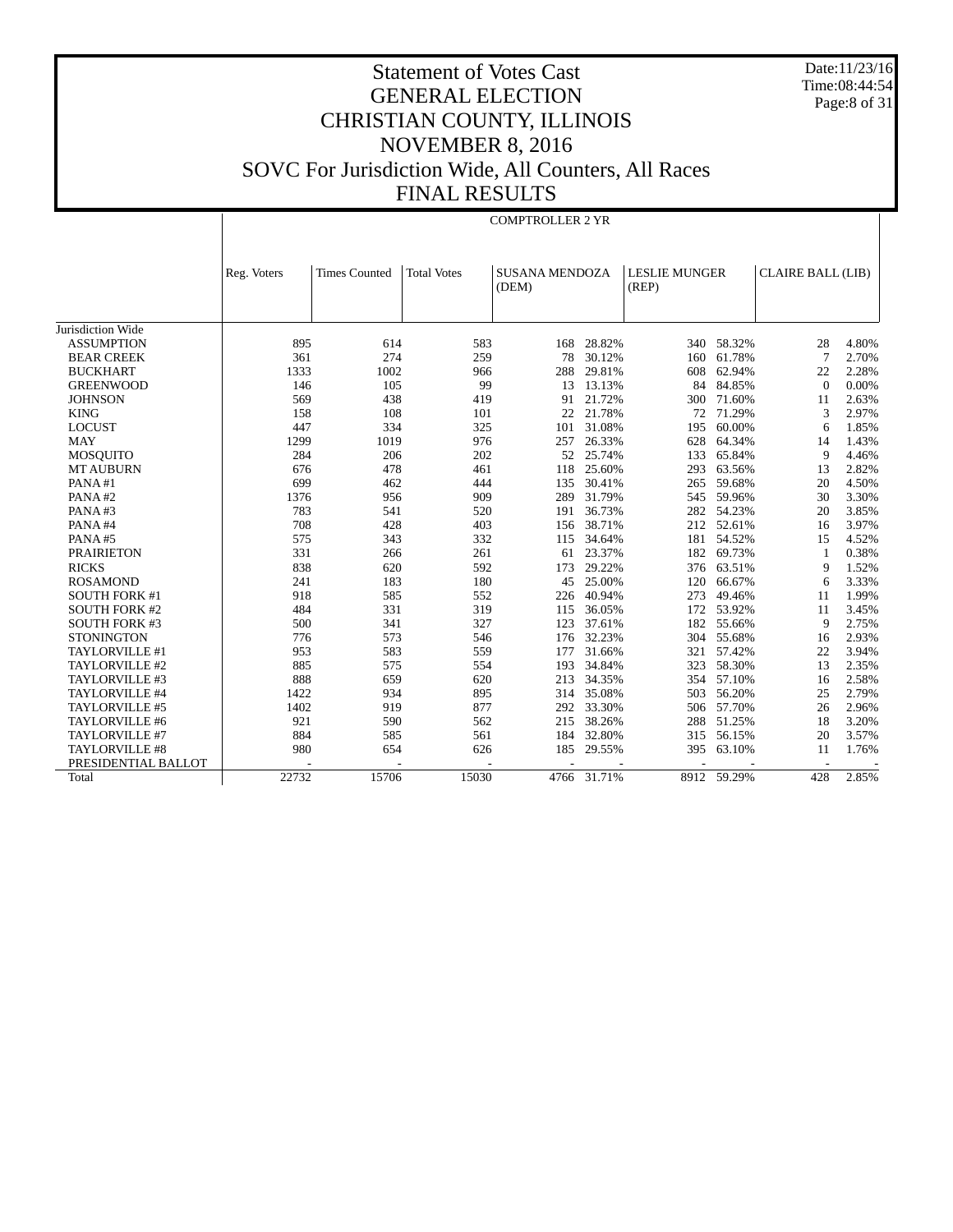Date:11/23/16 Time:08:44:54 Page:8 of 31

COMPTROLLER 2 YR

|                      | Reg. Voters | <b>Times Counted</b> | <b>Total Votes</b> | <b>SUSANA MENDOZA</b><br>(DEM) |        | <b>LESLIE MUNGER</b><br>(REP) |             | <b>CLAIRE BALL (LIB)</b> |       |
|----------------------|-------------|----------------------|--------------------|--------------------------------|--------|-------------------------------|-------------|--------------------------|-------|
|                      |             |                      |                    |                                |        |                               |             |                          |       |
| Jurisdiction Wide    |             |                      |                    |                                |        |                               |             |                          |       |
| <b>ASSUMPTION</b>    | 895         | 614                  | 583                | 168                            | 28.82% | 340                           | 58.32%      | 28                       | 4.80% |
| <b>BEAR CREEK</b>    | 361         | 274                  | 259                | 78                             | 30.12% | 160                           | 61.78%      | $\overline{7}$           | 2.70% |
| <b>BUCKHART</b>      | 1333        | 1002                 | 966                | 288                            | 29.81% | 608                           | 62.94%      | 22                       | 2.28% |
| <b>GREENWOOD</b>     | 146         | 105                  | 99                 | 13                             | 13.13% | 84                            | 84.85%      | $\Omega$                 | 0.00% |
| <b>JOHNSON</b>       | 569         | 438                  | 419                | 91                             | 21.72% | 300                           | 71.60%      | 11                       | 2.63% |
| <b>KING</b>          | 158         | 108                  | 101                | 22                             | 21.78% | 72                            | 71.29%      | 3                        | 2.97% |
| <b>LOCUST</b>        | 447         | 334                  | 325                | 101                            | 31.08% | 195                           | 60.00%      | 6                        | 1.85% |
| <b>MAY</b>           | 1299        | 1019                 | 976                | 257                            | 26.33% | 628                           | 64.34%      | 14                       | 1.43% |
| <b>MOSQUITO</b>      | 284         | 206                  | 202                | 52                             | 25.74% | 133                           | 65.84%      | 9                        | 4.46% |
| <b>MT AUBURN</b>     | 676         | 478                  | 461                | 118                            | 25.60% | 293                           | 63.56%      | 13                       | 2.82% |
| PANA#1               | 699         | 462                  | 444                | 135                            | 30.41% | 265                           | 59.68%      | 20                       | 4.50% |
| PANA#2               | 1376        | 956                  | 909                | 289                            | 31.79% | 545                           | 59.96%      | 30                       | 3.30% |
| PANA#3               | 783         | 541                  | 520                | 191                            | 36.73% | 282                           | 54.23%      | 20                       | 3.85% |
| PANA#4               | 708         | 428                  | 403                | 156                            | 38.71% | 212                           | 52.61%      | 16                       | 3.97% |
| PANA#5               | 575         | 343                  | 332                | 115                            | 34.64% | 181                           | 54.52%      | 15                       | 4.52% |
| <b>PRAIRIETON</b>    | 331         | 266                  | 261                | 61                             | 23.37% | 182                           | 69.73%      | $\overline{1}$           | 0.38% |
| <b>RICKS</b>         | 838         | 620                  | 592                | 173                            | 29.22% | 376                           | 63.51%      | 9                        | 1.52% |
| <b>ROSAMOND</b>      | 241         | 183                  | 180                | 45                             | 25.00% | 120                           | 66.67%      | 6                        | 3.33% |
| <b>SOUTH FORK #1</b> | 918         | 585                  | 552                | 226                            | 40.94% | 273                           | 49.46%      | 11                       | 1.99% |
| <b>SOUTH FORK #2</b> | 484         | 331                  | 319                | 115                            | 36.05% | 172                           | 53.92%      | 11                       | 3.45% |
| <b>SOUTH FORK #3</b> | 500         | 341                  | 327                | 123                            | 37.61% | 182                           | 55.66%      | 9                        | 2.75% |
| <b>STONINGTON</b>    | 776         | 573                  | 546                | 176                            | 32.23% | 304                           | 55.68%      | 16                       | 2.93% |
| TAYLORVILLE #1       | 953         | 583                  | 559                | 177                            | 31.66% | 321                           | 57.42%      | 22                       | 3.94% |
| TAYLORVILLE #2       | 885         | 575                  | 554                | 193                            | 34.84% | 323                           | 58.30%      | 13                       | 2.35% |
| TAYLORVILLE #3       | 888         | 659                  | 620                | 213                            | 34.35% | 354                           | 57.10%      | 16                       | 2.58% |
| TAYLORVILLE #4       | 1422        | 934                  | 895                | 314                            | 35.08% | 503                           | 56.20%      | 25                       | 2.79% |
| TAYLORVILLE #5       | 1402        | 919                  | 877                | 292                            | 33.30% | 506                           | 57.70%      | 26                       | 2.96% |
| TAYLORVILLE #6       | 921         | 590                  | 562                | 215                            | 38.26% | 288                           | 51.25%      | 18                       | 3.20% |
| TAYLORVILLE #7       | 884         | 585                  | 561                | 184                            | 32.80% | 315                           | 56.15%      | 20                       | 3.57% |
| TAYLORVILLE #8       | 980         | 654                  | 626                | 185                            | 29.55% | 395                           | 63.10%      | 11                       | 1.76% |
| PRESIDENTIAL BALLOT  |             |                      |                    |                                |        |                               |             |                          |       |
| Total                | 22732       | 15706                | 15030              | 4766                           | 31.71% |                               | 8912 59.29% | 428                      | 2.85% |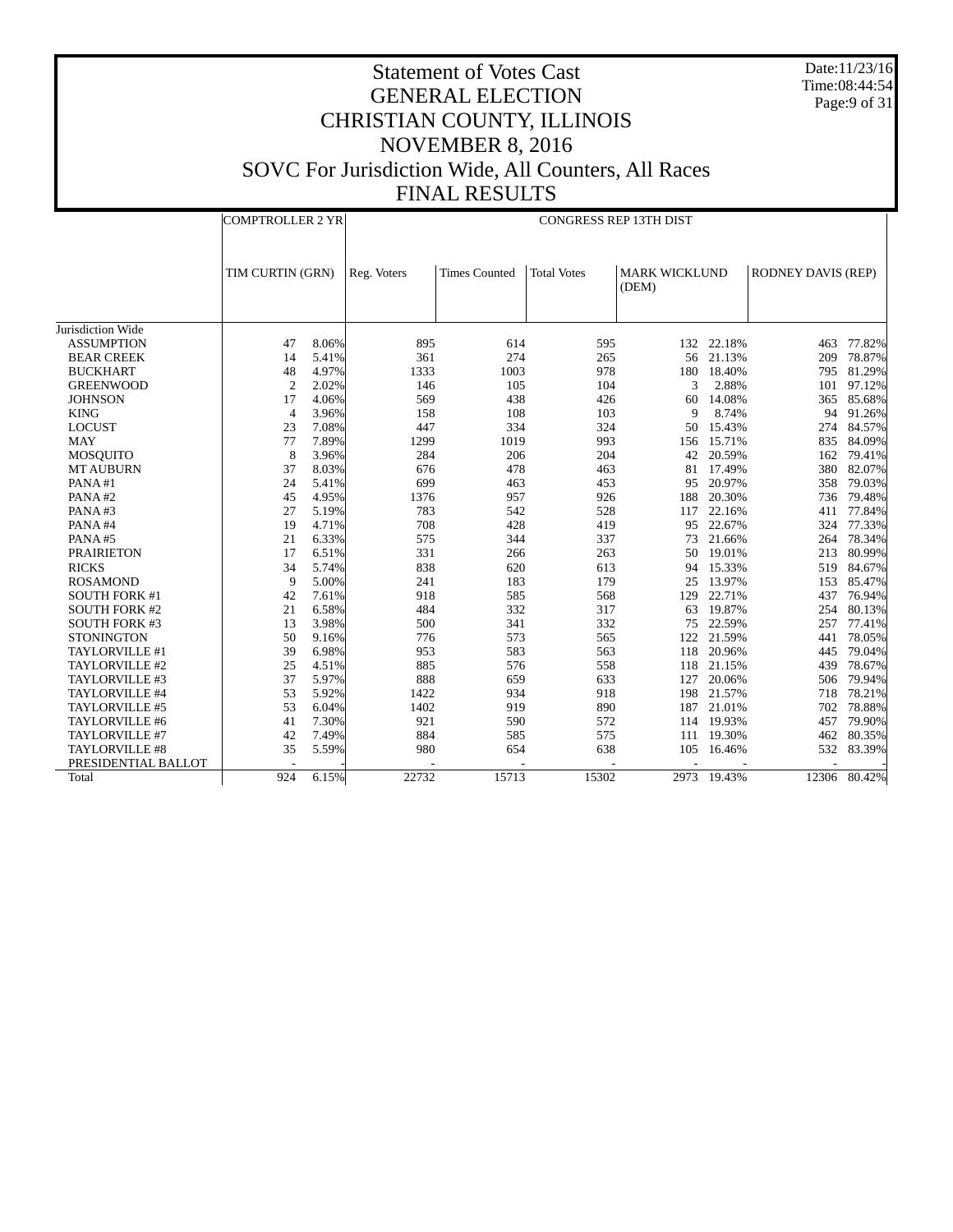Date:11/23/16 Time:08:44:54 Page:9 of 31

|                      | <b>COMPTROLLER 2 YR</b> |       |             |                      | <b>CONGRESS REP 13TH DIST</b> |                               |             |                           |              |
|----------------------|-------------------------|-------|-------------|----------------------|-------------------------------|-------------------------------|-------------|---------------------------|--------------|
|                      | TIM CURTIN (GRN)        |       | Reg. Voters | <b>Times Counted</b> | <b>Total Votes</b>            | <b>MARK WICKLUND</b><br>(DEM) |             | <b>RODNEY DAVIS (REP)</b> |              |
| Jurisdiction Wide    |                         |       |             |                      |                               |                               |             |                           |              |
| <b>ASSUMPTION</b>    | 47                      | 8.06% | 895         | 614                  | 595                           |                               | 132 22.18%  | 463                       | 77.82%       |
| <b>BEAR CREEK</b>    | 14                      | 5.41% | 361         | 274                  | 265                           | 56                            | 21.13%      | 209                       | 78.87%       |
| <b>BUCKHART</b>      | 48                      | 4.97% | 1333        | 1003                 | 978                           | 180                           | 18.40%      | 795                       | 81.29%       |
| <b>GREENWOOD</b>     | $\overline{2}$          | 2.02% | 146         | 105                  | 104                           | 3                             | 2.88%       | 101                       | 97.12%       |
| <b>JOHNSON</b>       | 17                      | 4.06% | 569         | 438                  | 426                           | 60                            | 14.08%      | 365                       | 85.68%       |
| <b>KING</b>          | $\overline{4}$          | 3.96% | 158         | 108                  | 103                           | 9                             | 8.74%       |                           | 94 91.26%    |
| <b>LOCUST</b>        | 23                      | 7.08% | 447         | 334                  | 324                           | 50                            | 15.43%      | 274                       | 84.57%       |
| <b>MAY</b>           | 77                      | 7.89% | 1299        | 1019                 | 993                           | 156                           | 15.71%      | 835                       | 84.09%       |
| <b>MOSQUITO</b>      | 8                       | 3.96% | 284         | 206                  | 204                           | 42                            | 20.59%      | 162                       | 79.41%       |
| <b>MT AUBURN</b>     | 37                      | 8.03% | 676         | 478                  | 463                           | 81                            | 17.49%      | 380                       | 82.07%       |
| PANA#1               | 24                      | 5.41% | 699         | 463                  | 453                           | 95                            | 20.97%      | 358                       | 79.03%       |
| PANA#2               | 45                      | 4.95% | 1376        | 957                  | 926                           | 188                           | 20.30%      | 736                       | 79.48%       |
| PANA#3               | 27                      | 5.19% | 783         | 542                  | 528                           | 117                           | 22.16%      | 411                       | 77.84%       |
| PANA#4               | 19                      | 4.71% | 708         | 428                  | 419                           | 95                            | 22.67%      |                           | 324 77.33%   |
| PANA#5               | 21                      | 6.33% | 575         | 344                  | 337                           | 73                            | 21.66%      |                           | 264 78.34%   |
| <b>PRAIRIETON</b>    | 17                      | 6.51% | 331         | 266                  | 263                           | 50                            | 19.01%      | 213                       | 80.99%       |
| <b>RICKS</b>         | 34                      | 5.74% | 838         | 620                  | 613                           | 94                            | 15.33%      | 519                       | 84.67%       |
| <b>ROSAMOND</b>      | 9                       | 5.00% | 241         | 183                  | 179                           | 25                            | 13.97%      | 153                       | 85.47%       |
| <b>SOUTH FORK #1</b> | 42                      | 7.61% | 918         | 585                  | 568                           | 129                           | 22.71%      | 437                       | 76.94%       |
| <b>SOUTH FORK #2</b> | 21                      | 6.58% | 484         | 332                  | 317                           | 63                            | 19.87%      | 254                       | 80.13%       |
| <b>SOUTH FORK #3</b> | 13                      | 3.98% | 500         | 341                  | 332                           | 75                            | 22.59%      | 257                       | 77.41%       |
| <b>STONINGTON</b>    | 50                      | 9.16% | 776         | 573                  | 565                           |                               | 122 21.59%  | 441                       | 78.05%       |
| TAYLORVILLE #1       | 39                      | 6.98% | 953         | 583                  | 563                           | 118                           | 20.96%      | 445                       | 79.04%       |
| TAYLORVILLE #2       | 25                      | 4.51% | 885         | 576                  | 558                           | 118                           | 21.15%      | 439                       | 78.67%       |
| TAYLORVILLE #3       | 37                      | 5.97% | 888         | 659                  | 633                           | 127                           | 20.06%      | 506                       | 79.94%       |
| TAYLORVILLE #4       | 53                      | 5.92% | 1422        | 934                  | 918                           | 198                           | 21.57%      | 718                       | 78.21%       |
| TAYLORVILLE #5       | 53                      | 6.04% | 1402        | 919                  | 890                           | 187                           | 21.01%      | 702                       | 78.88%       |
| TAYLORVILLE #6       | 41                      | 7.30% | 921         | 590                  | 572                           |                               | 114 19.93%  | 457                       | 79.90%       |
| TAYLORVILLE #7       | 42                      | 7.49% | 884         | 585                  | 575                           |                               | 111 19.30%  | 462                       | 80.35%       |
| TAYLORVILLE #8       | 35                      | 5.59% | 980         | 654                  | 638                           | 105                           | 16.46%      | 532                       | 83.39%       |
| PRESIDENTIAL BALLOT  |                         |       |             |                      |                               |                               |             |                           |              |
| Total                | 924                     | 6.15% | 22732       | 15713                | 15302                         |                               | 2973 19.43% |                           | 12306 80.42% |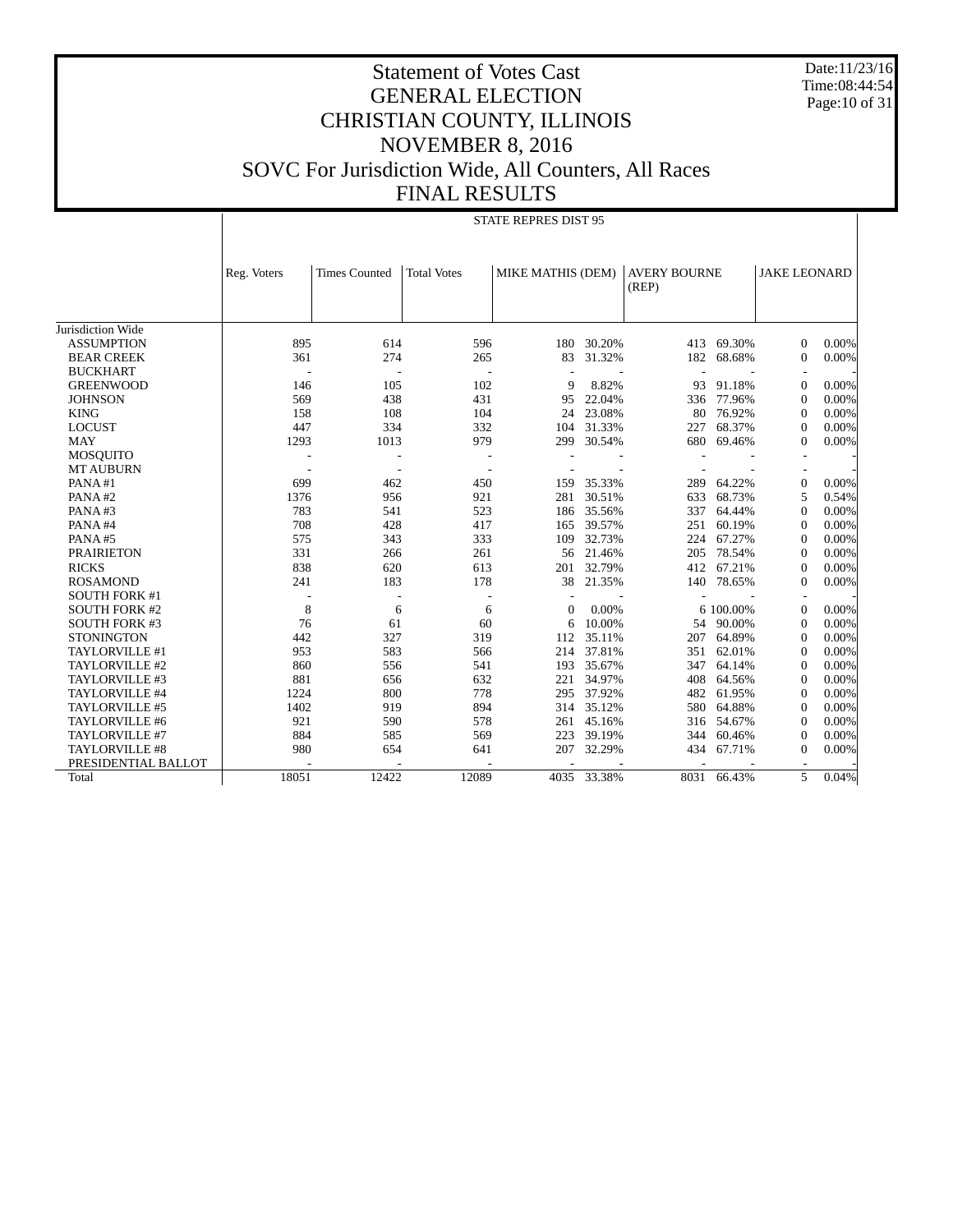Date:11/23/16 Time:08:44:54 Page:10 of 31

|                       |             |                          |                    |                          | <b>STATE REPRES DIST 95</b> |             |                              |             |                     |       |
|-----------------------|-------------|--------------------------|--------------------|--------------------------|-----------------------------|-------------|------------------------------|-------------|---------------------|-------|
|                       | Reg. Voters | <b>Times Counted</b>     | <b>Total Votes</b> |                          | MIKE MATHIS (DEM)           |             | <b>AVERY BOURNE</b><br>(REP) |             | <b>JAKE LEONARD</b> |       |
|                       |             |                          |                    |                          |                             |             |                              |             |                     |       |
| Jurisdiction Wide     |             |                          |                    |                          |                             |             |                              |             |                     |       |
| <b>ASSUMPTION</b>     | 895         | 614                      |                    | 596                      | 180                         | 30.20%      | 413                          | 69.30%      | $\Omega$            | 0.00% |
| <b>BEAR CREEK</b>     | 361         | 274                      |                    | 265                      | 83                          | 31.32%      | 182                          | 68.68%      | $\Omega$            | 0.00% |
| <b>BUCKHART</b>       | ÷,          | $\overline{\phantom{a}}$ |                    |                          |                             |             | ٠                            |             |                     |       |
| <b>GREENWOOD</b>      | 146         | 105                      |                    | 102                      | 9                           | 8.82%       | 93                           | 91.18%      | $\Omega$            | 0.00% |
| <b>JOHNSON</b>        | 569         | 438                      |                    | 431                      | 95                          | 22.04%      | 336                          | 77.96%      | $\mathbf{0}$        | 0.00% |
| <b>KING</b>           | 158         | 108                      |                    | 104                      | 24                          | 23.08%      | 80                           | 76.92%      | $\Omega$            | 0.00% |
| <b>LOCUST</b>         | 447         | 334                      |                    | 332                      | 104                         | 31.33%      | 227                          | 68.37%      | $\Omega$            | 0.00% |
| <b>MAY</b>            | 1293        | 1013                     |                    | 979                      | 299                         | 30.54%      | 680                          | 69.46%      | $\Omega$            | 0.00% |
| <b>MOSQUITO</b>       |             |                          |                    |                          |                             |             |                              |             |                     |       |
| <b>MT AUBURN</b>      |             |                          |                    | $\overline{\phantom{a}}$ |                             |             |                              |             |                     |       |
| PANA#1                | 699         | 462                      |                    | 450                      | 159                         | 35.33%      | 289                          | 64.22%      | $\Omega$            | 0.00% |
| PANA#2                | 1376        | 956                      |                    | 921                      | 281                         | 30.51%      | 633                          | 68.73%      | 5                   | 0.54% |
| PANA#3                | 783         | 541                      |                    | 523                      | 186                         | 35.56%      | 337                          | 64.44%      | $\Omega$            | 0.00% |
| PANA#4                | 708         | 428                      |                    | 417                      | 165                         | 39.57%      | 251                          | 60.19%      | $\Omega$            | 0.00% |
| PANA#5                | 575         | 343                      |                    | 333                      | 109                         | 32.73%      | 224                          | 67.27%      | $\Omega$            | 0.00% |
| <b>PRAIRIETON</b>     | 331         | 266                      |                    | 261                      |                             | 56 21.46%   | 205                          | 78.54%      | $\Omega$            | 0.00% |
| <b>RICKS</b>          | 838         | 620                      |                    | 613                      | 201                         | 32.79%      | 412                          | 67.21%      | $\Omega$            | 0.00% |
| <b>ROSAMOND</b>       | 241         | 183                      |                    | 178                      | 38                          | 21.35%      | 140                          | 78.65%      | $\Omega$            | 0.00% |
| <b>SOUTH FORK #1</b>  |             |                          |                    |                          |                             |             |                              |             |                     |       |
| <b>SOUTH FORK #2</b>  | 8           | 6                        |                    | 6                        | $\Omega$                    | 0.00%       |                              | 6 100,00%   | $\Omega$            | 0.00% |
| <b>SOUTH FORK #3</b>  | 76          | 61                       |                    | 60                       | 6                           | 10.00%      | 54                           | 90.00%      | $\Omega$            | 0.00% |
| <b>STONINGTON</b>     | 442         | 327                      |                    | 319                      | 112                         | 35.11%      | 207                          | 64.89%      | $\Omega$            | 0.00% |
| TAYLORVILLE #1        | 953         | 583                      |                    | 566                      | 214                         | 37.81%      | 351                          | 62.01%      | $\Omega$            | 0.00% |
| TAYLORVILLE #2        | 860         | 556                      |                    | 541                      | 193                         | 35.67%      | 347                          | 64.14%      | $\Omega$            | 0.00% |
| TAYLORVILLE #3        | 881         | 656                      |                    | 632                      | 221                         | 34.97%      | 408                          | 64.56%      | $\Omega$            | 0.00% |
| TAYLORVILLE #4        | 1224        | 800                      |                    | 778                      | 295                         | 37.92%      | 482                          | 61.95%      | $\Omega$            | 0.00% |
| TAYLORVILLE #5        | 1402        | 919                      | 894                |                          | 314                         | 35.12%      | 580                          | 64.88%      | $\Omega$            | 0.00% |
| TAYLORVILLE #6        | 921         | 590                      |                    | 578                      | 261                         | 45.16%      | 316                          | 54.67%      | $\Omega$            | 0.00% |
| TAYLORVILLE #7        | 884         | 585                      |                    | 569                      | 223                         | 39.19%      | 344                          | 60.46%      | $\Omega$            | 0.00% |
| <b>TAYLORVILLE #8</b> | 980         | 654                      | 641                |                          | 207                         | 32.29%      | 434                          | 67.71%      | $\Omega$            | 0.00% |
| PRESIDENTIAL BALLOT   |             |                          |                    |                          |                             |             |                              |             |                     |       |
| Total                 | 18051       | 12422                    | 12089              |                          |                             | 4035 33.38% |                              | 8031 66.43% | 5                   | 0.04% |
|                       |             |                          |                    |                          |                             |             |                              |             |                     |       |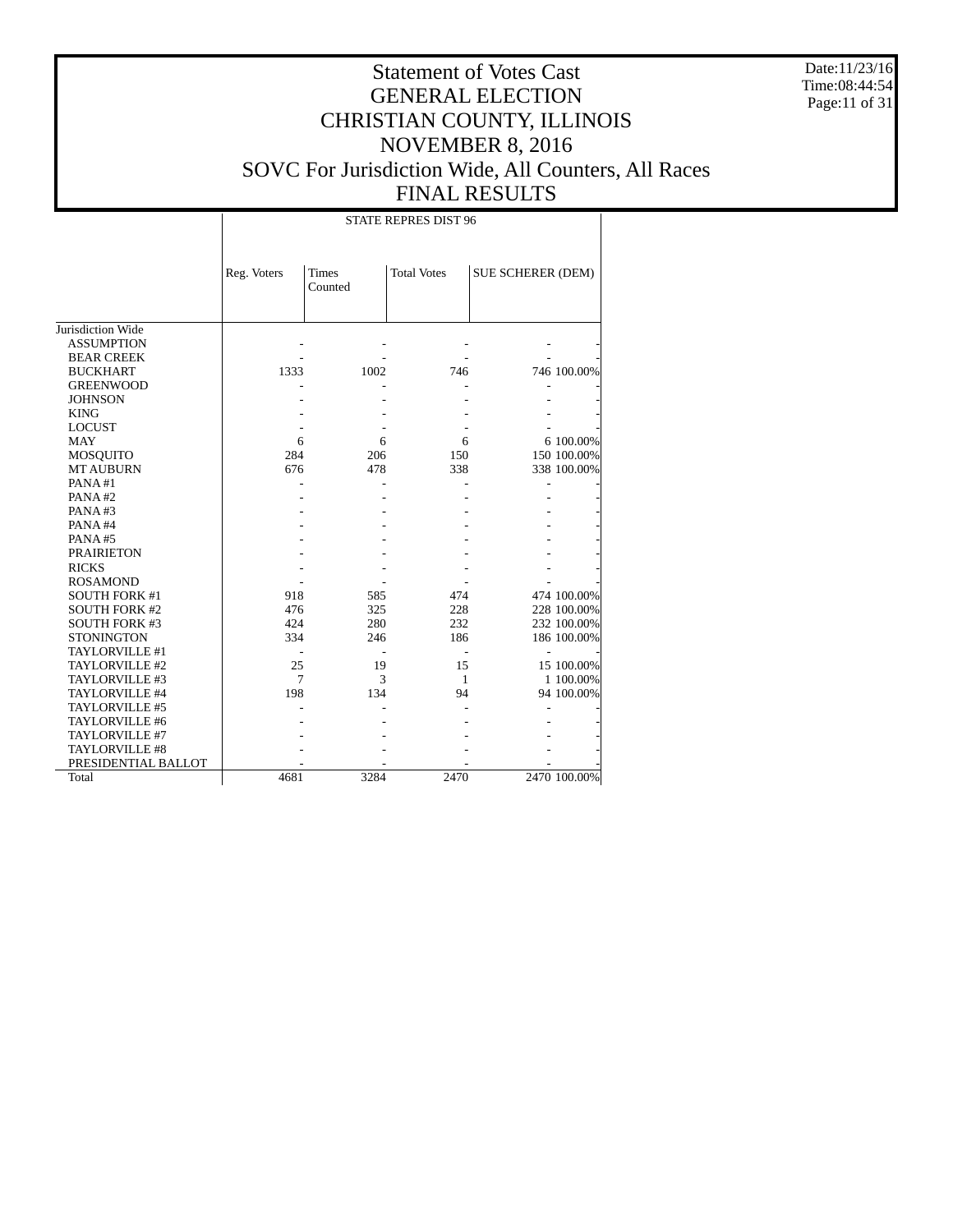Date:11/23/16 Time:08:44:54 Page:11 of 31

# Statement of Votes Cast GENERAL ELECTION CHRISTIAN COUNTY, ILLINOIS NOVEMBER 8, 2016 SOVC For Jurisdiction Wide, All Counters, All Races FINAL RESULTS

STATE REPRES DIST 96

|                       | Reg. Voters    | <b>Times</b> | <b>Total Votes</b> | <b>SUE SCHERER (DEM)</b> |              |
|-----------------------|----------------|--------------|--------------------|--------------------------|--------------|
|                       |                | Counted      |                    |                          |              |
|                       |                |              |                    |                          |              |
|                       |                |              |                    |                          |              |
| Jurisdiction Wide     |                |              |                    |                          |              |
| <b>ASSUMPTION</b>     |                |              |                    |                          |              |
| <b>BEAR CREEK</b>     |                |              |                    |                          |              |
| <b>BUCKHART</b>       | 1333           | 1002         | 746                |                          | 746 100.00%  |
| <b>GREENWOOD</b>      |                |              |                    |                          |              |
| <b>JOHNSON</b>        |                |              |                    |                          |              |
| <b>KING</b>           |                |              |                    |                          |              |
| <b>LOCUST</b>         |                |              |                    |                          |              |
| <b>MAY</b>            | 6              | 6            | 6                  |                          | 6 100.00%    |
| <b>MOSQUITO</b>       | 284            | 206          | 150                |                          | 150 100.00%  |
| <b>MT AUBURN</b>      | 676            | 478          | 338                |                          | 338 100.00%  |
| PANA#1                |                |              |                    |                          |              |
| PANA#2                |                |              |                    |                          |              |
| PANA#3                |                |              |                    |                          |              |
| PANA#4                |                |              |                    |                          |              |
| PANA#5                |                |              |                    |                          |              |
| <b>PRAIRIETON</b>     |                |              |                    |                          |              |
| <b>RICKS</b>          |                |              |                    |                          |              |
| <b>ROSAMOND</b>       |                |              |                    |                          |              |
| <b>SOUTH FORK #1</b>  | 918            | 585          | 474                |                          | 474 100.00%  |
| <b>SOUTH FORK #2</b>  | 476            | 325          | 228                |                          | 228 100.00%  |
| <b>SOUTH FORK #3</b>  | 424            | 280          | 232                |                          | 232 100.00%  |
| <b>STONINGTON</b>     | 334            | 246          | 186                |                          | 186 100.00%  |
| TAYLORVILLE #1        |                |              |                    |                          |              |
| TAYLORVILLE #2        | 25             | 19           | 15                 |                          | 15 100.00%   |
| TAYLORVILLE #3        | $\overline{7}$ | 3            | 1                  |                          | 1 100.00%    |
| TAYLORVILLE #4        | 198            | 134          | 94                 |                          | 94 100.00%   |
| TAYLORVILLE #5        |                |              |                    |                          |              |
| TAYLORVILLE #6        |                |              |                    |                          |              |
| TAYLORVILLE #7        |                |              |                    |                          |              |
| <b>TAYLORVILLE #8</b> |                |              |                    |                          |              |
| PRESIDENTIAL BALLOT   |                |              |                    |                          |              |
| Total                 | 4681           | 3284         | 2470               |                          | 2470 100.00% |
|                       |                |              |                    |                          |              |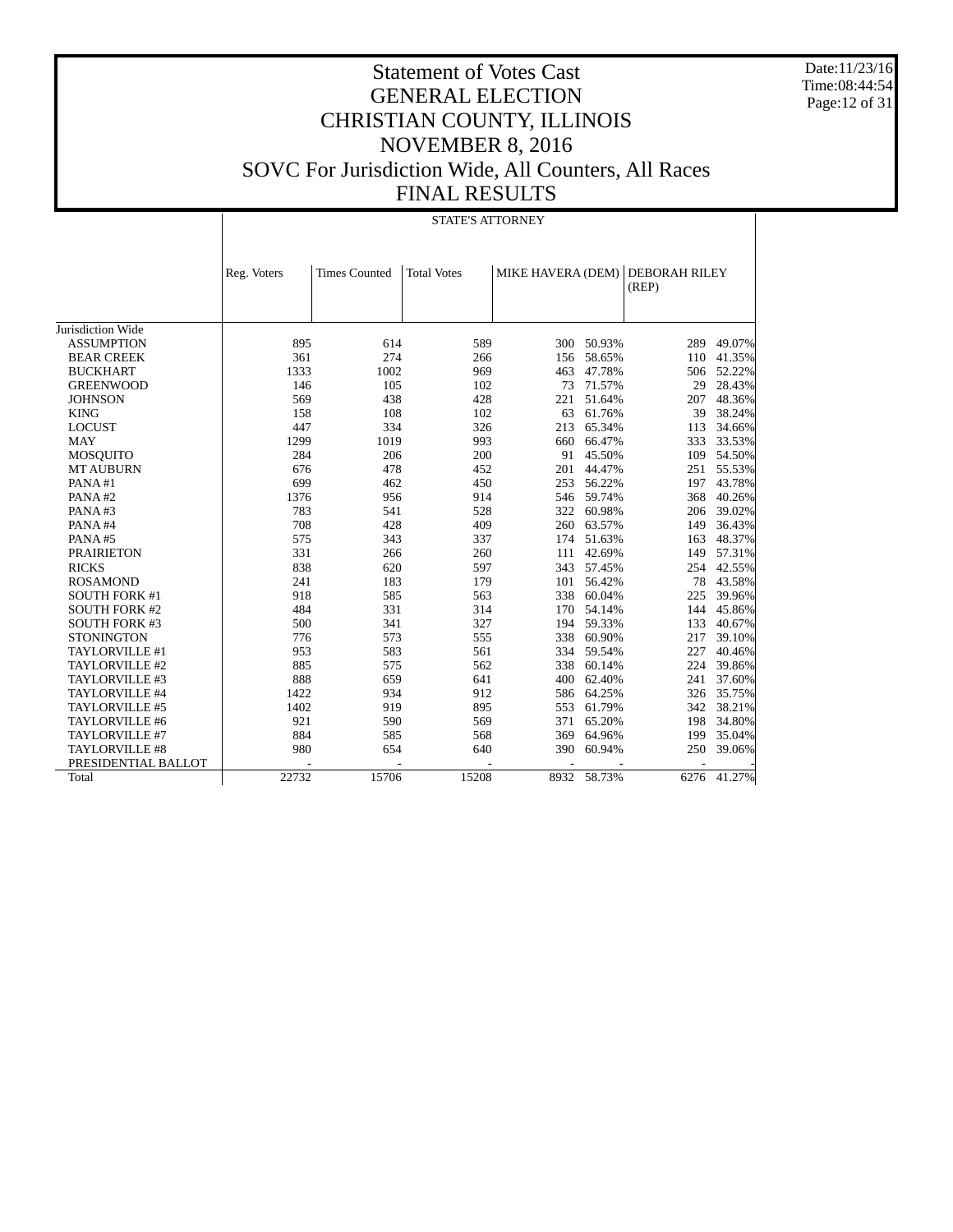Date:11/23/16 Time:08:44:54 Page:12 of 31

|                      |             | STATE'S ATTORNEY     |                    |                   |            |                               |             |  |  |  |  |
|----------------------|-------------|----------------------|--------------------|-------------------|------------|-------------------------------|-------------|--|--|--|--|
|                      | Reg. Voters | <b>Times Counted</b> | <b>Total Votes</b> | MIKE HAVERA (DEM) |            | <b>DEBORAH RILEY</b><br>(REP) |             |  |  |  |  |
|                      |             |                      |                    |                   |            |                               |             |  |  |  |  |
| Jurisdiction Wide    |             |                      |                    |                   |            |                               |             |  |  |  |  |
| <b>ASSUMPTION</b>    | 895         | 614                  | 589                |                   | 300 50.93% | 289                           | 49.07%      |  |  |  |  |
| <b>BEAR CREEK</b>    | 361         | 274                  | 266                | 156               | 58.65%     | 110                           | 41.35%      |  |  |  |  |
| <b>BUCKHART</b>      | 1333        | 1002                 | 969                | 463               | 47.78%     | 506                           | 52.22%      |  |  |  |  |
| <b>GREENWOOD</b>     | 146         | 105                  | 102                | 73                | 71.57%     | 29                            | 28.43%      |  |  |  |  |
| <b>JOHNSON</b>       | 569         | 438                  | 428                | 221               | 51.64%     | 207                           | 48.36%      |  |  |  |  |
| <b>KING</b>          | 158         | 108                  | 102                | 63                | 61.76%     | 39                            | 38.24%      |  |  |  |  |
| <b>LOCUST</b>        | 447         | 334                  | 326                | 213               | 65.34%     | 113                           | 34.66%      |  |  |  |  |
| <b>MAY</b>           | 1299        | 1019                 | 993                | 660               | 66.47%     | 333                           | 33.53%      |  |  |  |  |
| <b>MOSQUITO</b>      | 284         | 206                  | 200                | 91                | 45.50%     | 109                           | 54.50%      |  |  |  |  |
| <b>MT AUBURN</b>     | 676         | 478                  | 452                | 201               | 44.47%     | 251                           | 55.53%      |  |  |  |  |
| PANA#1               | 699         | 462                  | 450                | 253               | 56.22%     | 197                           | 43.78%      |  |  |  |  |
| PANA#2               | 1376        | 956                  | 914                |                   | 546 59.74% | 368                           | 40.26%      |  |  |  |  |
| PANA#3               | 783         | 541                  | 528                | 322               | 60.98%     | 206                           | 39.02%      |  |  |  |  |
| PANA#4               | 708         | 428                  | 409                | 260               | 63.57%     | 149                           | 36.43%      |  |  |  |  |
| PANA#5               | 575         | 343                  | 337                | 174               | 51.63%     | 163                           | 48.37%      |  |  |  |  |
| <b>PRAIRIETON</b>    | 331         | 266                  | 260                | 111               | 42.69%     | 149                           | 57.31%      |  |  |  |  |
| <b>RICKS</b>         | 838         | 620                  | 597                | 343               | 57.45%     | 254                           | 42.55%      |  |  |  |  |
| <b>ROSAMOND</b>      | 241         | 183                  | 179                | 101               | 56.42%     | 78                            | 43.58%      |  |  |  |  |
| <b>SOUTH FORK #1</b> | 918         | 585                  | 563                | 338               | 60.04%     | 225                           | 39.96%      |  |  |  |  |
| <b>SOUTH FORK #2</b> | 484         | 331                  | 314                | 170               | 54.14%     | 144                           | 45.86%      |  |  |  |  |
| <b>SOUTH FORK #3</b> | 500         | 341                  | 327                | 194               | 59.33%     | 133                           | 40.67%      |  |  |  |  |
| <b>STONINGTON</b>    | 776         | 573                  | 555                | 338               | 60.90%     | 217                           | 39.10%      |  |  |  |  |
| TAYLORVILLE #1       | 953         | 583                  | 561                | 334               | 59.54%     | 227                           | 40.46%      |  |  |  |  |
| TAYLORVILLE #2       | 885         | 575                  | 562                | 338               | 60.14%     | 224                           | 39.86%      |  |  |  |  |
| TAYLORVILLE #3       | 888         | 659                  | 641                | 400               | 62.40%     | 241                           | 37.60%      |  |  |  |  |
| TAYLORVILLE #4       | 1422        | 934                  | 912                | 586               | 64.25%     | 326                           | 35.75%      |  |  |  |  |
| TAYLORVILLE #5       | 1402        | 919                  | 895                | 553               | 61.79%     | 342                           | 38.21%      |  |  |  |  |
| TAYLORVILLE #6       | 921         | 590                  | 569                | 371               | 65.20%     | 198                           | 34.80%      |  |  |  |  |
| TAYLORVILLE #7       | 884         | 585                  | 568                | 369               | 64.96%     | 199                           | 35.04%      |  |  |  |  |
| TAYLORVILLE #8       | 980         | 654                  | 640                | 390               | 60.94%     | 250                           | 39.06%      |  |  |  |  |
| PRESIDENTIAL BALLOT  |             |                      |                    | ٠                 |            |                               |             |  |  |  |  |
| Total                | 22732       | 15706                | 15208              | 8932              | 58.73%     |                               | 6276 41.27% |  |  |  |  |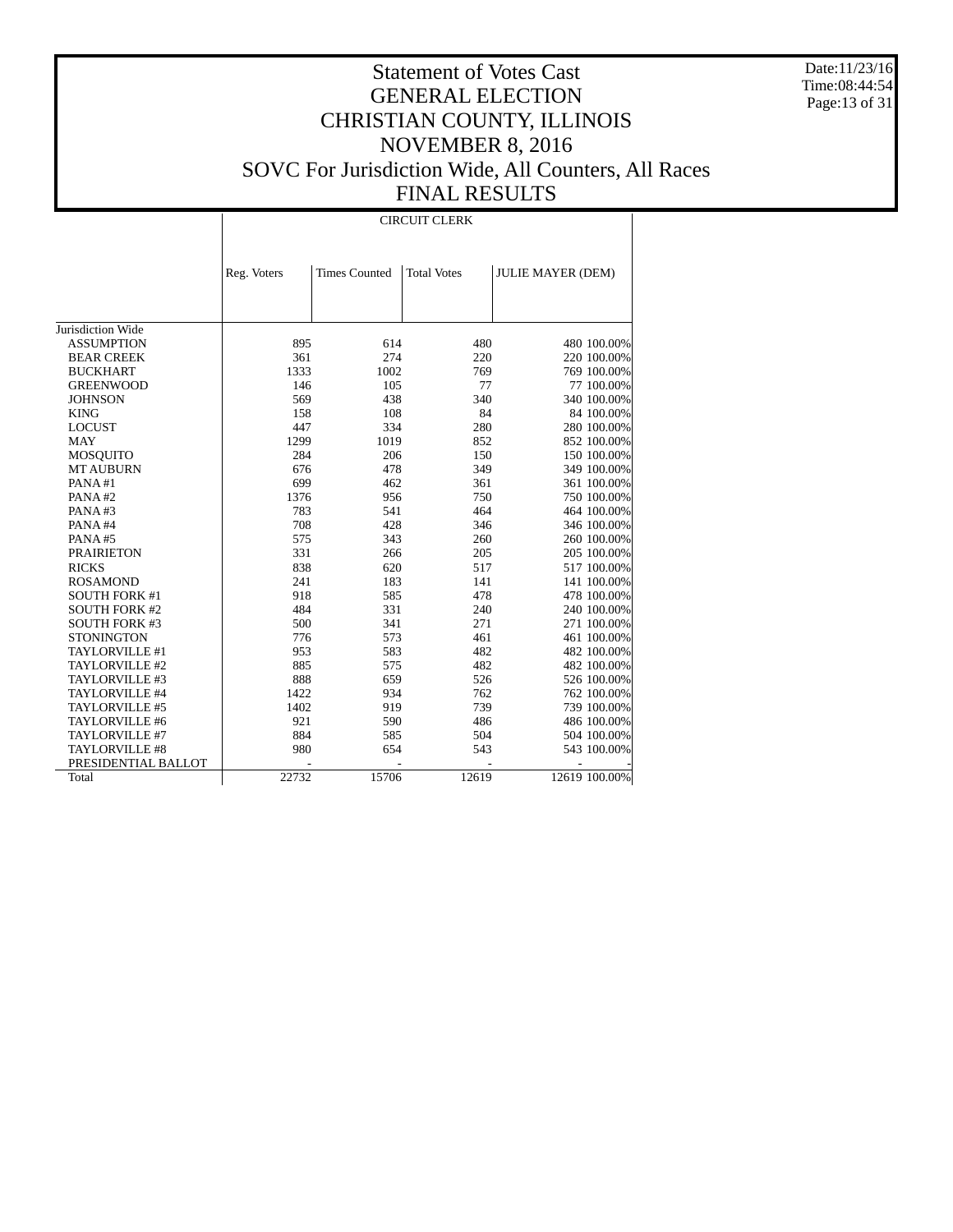Date:11/23/16 Time:08:44:54 Page:13 of 31

# Statement of Votes Cast GENERAL ELECTION CHRISTIAN COUNTY, ILLINOIS NOVEMBER 8, 2016 SOVC For Jurisdiction Wide, All Counters, All Races FINAL RESULTS

#### CIRCUIT CLERK

|                       | Reg. Voters | <b>Times Counted</b> | <b>Total Votes</b> | <b>JULIE MAYER (DEM)</b> |
|-----------------------|-------------|----------------------|--------------------|--------------------------|
|                       |             |                      |                    |                          |
|                       |             |                      |                    |                          |
|                       |             |                      |                    |                          |
| Jurisdiction Wide     |             |                      |                    |                          |
| <b>ASSUMPTION</b>     | 895         | 614                  | 480                | 480 100.00%              |
| <b>BEAR CREEK</b>     | 361         | 274                  | 220                | 220 100.00%              |
| <b>BUCKHART</b>       | 1333        | 1002                 | 769                | 769 100.00%              |
| <b>GREENWOOD</b>      | 146         | 105                  | 77                 | 77 100.00%               |
| <b>JOHNSON</b>        | 569         | 438                  | 340                | 340 100.00%              |
| <b>KING</b>           | 158         | 108                  | 84                 | 84 100.00%               |
| <b>LOCUST</b>         | 447         | 334                  | 280                | 280 100.00%              |
| <b>MAY</b>            | 1299        | 1019                 | 852                | 852 100.00%              |
| MOSQUITO              | 284         | 206                  | 150                | 150 100.00%              |
| <b>MT AUBURN</b>      | 676         | 478                  | 349                | 349 100.00%              |
| PANA#1                | 699         | 462                  | 361                | 361 100.00%              |
| PANA#2                | 1376        | 956                  | 750                | 750 100.00%              |
| PANA#3                | 783         | 541                  | 464                | 464 100.00%              |
| PANA#4                | 708         | 428                  | 346                | 346 100.00%              |
| PANA#5                | 575         | 343                  | 260                | 260 100.00%              |
| <b>PRAIRIETON</b>     | 331         | 266                  | 205                | 205 100.00%              |
| <b>RICKS</b>          | 838         | 620                  | 517                | 517 100.00%              |
| <b>ROSAMOND</b>       | 241         | 183                  | 141                | 141 100.00%              |
| <b>SOUTH FORK #1</b>  | 918         | 585                  | 478                | 478 100.00%              |
| <b>SOUTH FORK #2</b>  | 484         | 331                  | 240                | 240 100.00%              |
| <b>SOUTH FORK #3</b>  | 500         | 341                  | 271                | 271 100.00%              |
| <b>STONINGTON</b>     | 776         | 573                  | 461                | 461 100.00%              |
| TAYLORVILLE #1        | 953         | 583                  | 482                | 482 100.00%              |
| TAYLORVILLE #2        | 885         | 575                  | 482                | 482 100.00%              |
| TAYLORVILLE #3        | 888         | 659                  | 526                | 526 100.00%              |
| TAYLORVILLE #4        | 1422        | 934                  | 762                | 762 100.00%              |
| TAYLORVILLE #5        | 1402        | 919                  | 739                | 739 100.00%              |
| TAYLORVILLE #6        | 921         | 590                  | 486                | 486 100.00%              |
| TAYLORVILLE #7        | 884         | 585                  | 504                | 504 100.00%              |
| <b>TAYLORVILLE #8</b> | 980         | 654                  | 543                | 543 100.00%              |
| PRESIDENTIAL BALLOT   |             |                      |                    |                          |
| Total                 | 22732       | 15706                | 12619              | 12619 100.00%            |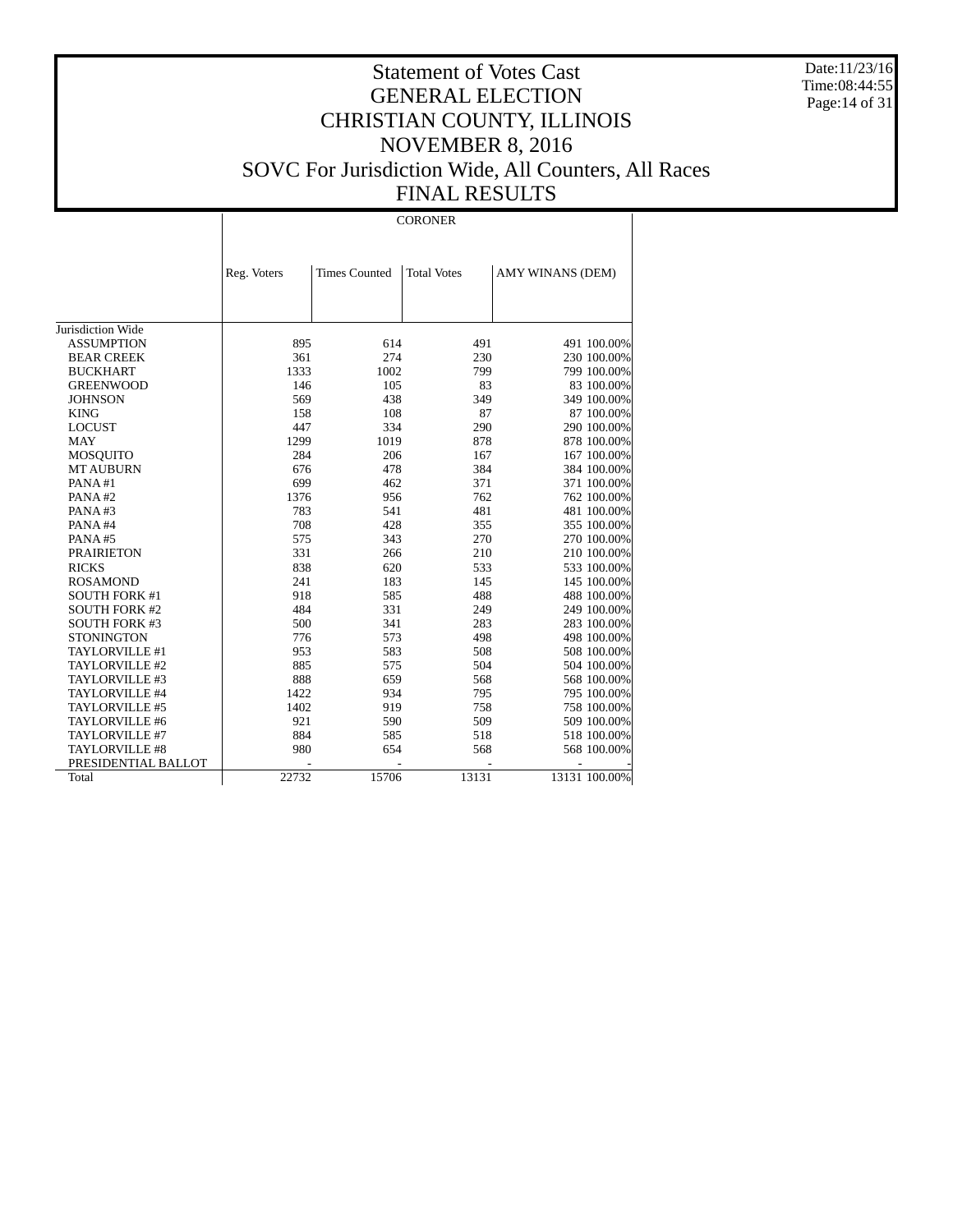Date:11/23/16 Time:08:44:55 Page:14 of 31

# Statement of Votes Cast GENERAL ELECTION CHRISTIAN COUNTY, ILLINOIS NOVEMBER 8, 2016 SOVC For Jurisdiction Wide, All Counters, All Races FINAL RESULTS

#### CORONER

|                       | Reg. Voters | <b>Times Counted</b> | <b>Total Votes</b> | AMY WINANS (DEM) |
|-----------------------|-------------|----------------------|--------------------|------------------|
|                       |             |                      |                    |                  |
|                       |             |                      |                    |                  |
|                       |             |                      |                    |                  |
| Jurisdiction Wide     |             |                      |                    |                  |
| <b>ASSUMPTION</b>     | 895         | 614                  | 491                | 491 100.00%      |
| <b>BEAR CREEK</b>     | 361         | 274                  | 230                | 230 100.00%      |
| <b>BUCKHART</b>       | 1333        | 1002                 | 799                | 799 100.00%      |
| <b>GREENWOOD</b>      | 146         | 105                  | 83                 | 83 100.00%       |
| <b>JOHNSON</b>        | 569         | 438                  | 349                | 349 100.00%      |
| <b>KING</b>           | 158         | 108                  | 87                 | 87 100.00%       |
| <b>LOCUST</b>         | 447         | 334                  | 290                | 290 100.00%      |
| <b>MAY</b>            | 1299        | 1019                 | 878                | 878 100.00%      |
| <b>MOSQUITO</b>       | 284         | 206                  | 167                | 167 100.00%      |
| <b>MT AUBURN</b>      | 676         | 478                  | 384                | 384 100.00%      |
| PANA#1                | 699         | 462                  | 371                | 371 100.00%      |
| PANA#2                | 1376        | 956                  | 762                | 762 100.00%      |
| PANA#3                | 783         | 541                  | 481                | 481 100.00%      |
| PANA#4                | 708         | 428                  | 355                | 355 100.00%      |
| PANA#5                | 575         | 343                  | 270                | 270 100.00%      |
| <b>PRAIRIETON</b>     | 331         | 266                  | 210                | 210 100.00%      |
| <b>RICKS</b>          | 838         | 620                  | 533                | 533 100.00%      |
| <b>ROSAMOND</b>       | 241         | 183                  | 145                | 145 100.00%      |
| <b>SOUTH FORK #1</b>  | 918         | 585                  | 488                | 488 100.00%      |
| <b>SOUTH FORK #2</b>  | 484         | 331                  | 249                | 249 100.00%      |
| <b>SOUTH FORK #3</b>  | 500         | 341                  | 283                | 283 100.00%      |
| <b>STONINGTON</b>     | 776         | 573                  | 498                | 498 100.00%      |
| TAYLORVILLE #1        | 953         | 583                  | 508                | 508 100.00%      |
| TAYLORVILLE #2        | 885         | 575                  | 504                | 504 100.00%      |
| TAYLORVILLE #3        | 888         | 659                  | 568                | 568 100.00%      |
| TAYLORVILLE #4        | 1422        | 934                  | 795                | 795 100.00%      |
| TAYLORVILLE #5        | 1402        | 919                  | 758                | 758 100.00%      |
| TAYLORVILLE #6        | 921         | 590                  | 509                | 509 100.00%      |
| TAYLORVILLE #7        | 884         | 585                  | 518                | 518 100.00%      |
| <b>TAYLORVILLE #8</b> | 980         | 654                  | 568                | 568 100.00%      |
| PRESIDENTIAL BALLOT   |             |                      |                    |                  |
| Total                 | 22732       | 15706                | 13131              | 13131 100.00%    |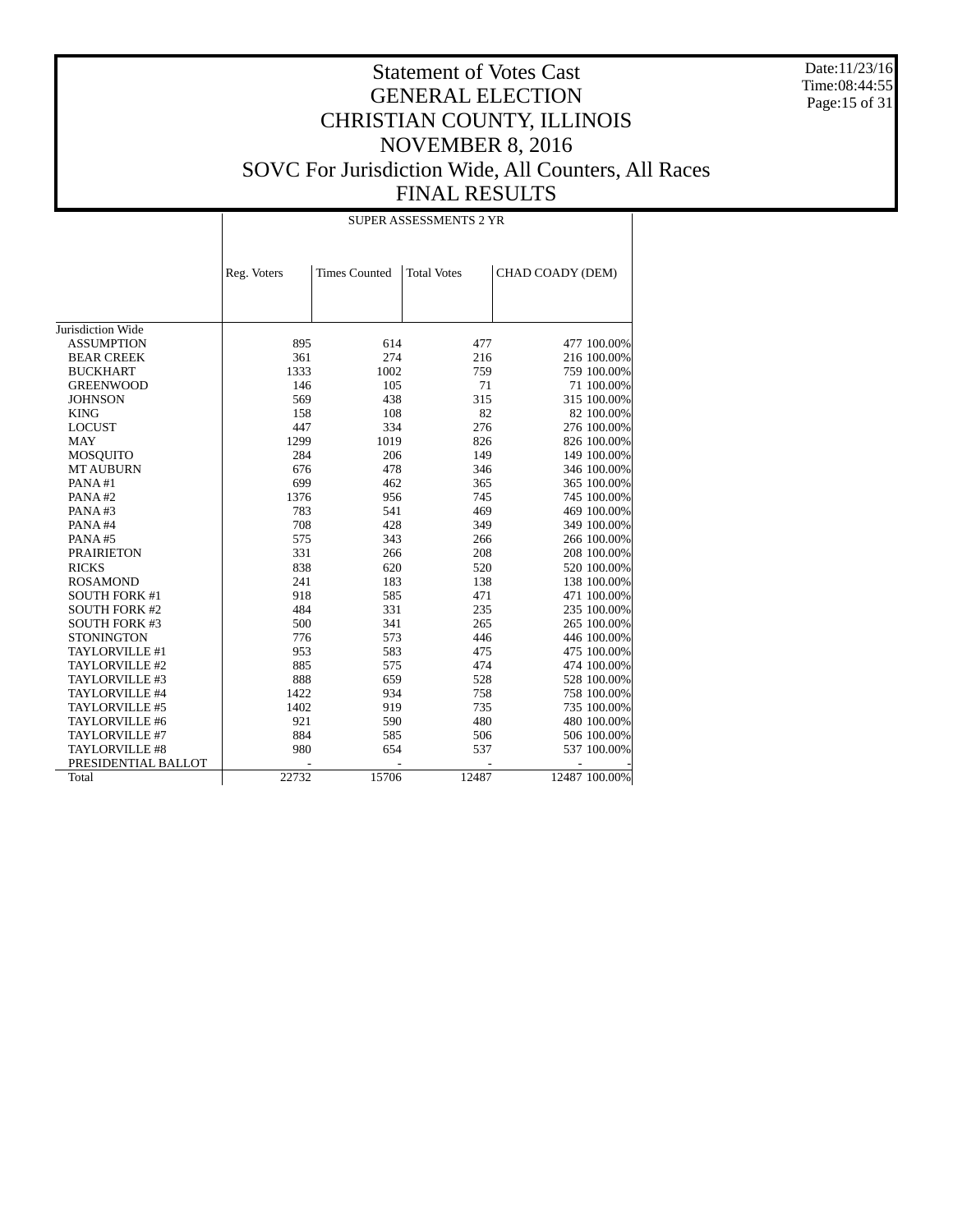Date:11/23/16 Time:08:44:55 Page:15 of 31

# Statement of Votes Cast GENERAL ELECTION CHRISTIAN COUNTY, ILLINOIS NOVEMBER 8, 2016 SOVC For Jurisdiction Wide, All Counters, All Races FINAL RESULTS

#### SUPER ASSESSMENTS 2 YR

|                                        | Reg. Voters | <b>Times Counted</b> | <b>Total Votes</b> | CHAD COADY (DEM) |
|----------------------------------------|-------------|----------------------|--------------------|------------------|
|                                        |             |                      |                    |                  |
|                                        |             |                      |                    |                  |
|                                        |             |                      |                    |                  |
| Jurisdiction Wide<br><b>ASSUMPTION</b> | 895         | 614                  | 477                |                  |
|                                        |             |                      |                    | 477 100.00%      |
| <b>BEAR CREEK</b>                      | 361         | 274                  | 216                | 216 100.00%      |
| <b>BUCKHART</b>                        | 1333        | 1002                 | 759                | 759 100.00%      |
| <b>GREENWOOD</b>                       | 146         | 105                  | 71                 | 71 100.00%       |
| <b>JOHNSON</b>                         | 569         | 438                  | 315                | 315 100.00%      |
| <b>KING</b>                            | 158         | 108                  | 82                 | 82 100.00%       |
| <b>LOCUST</b>                          | 447         | 334                  | 276                | 276 100.00%      |
| <b>MAY</b>                             | 1299        | 1019                 | 826                | 826 100.00%      |
| <b>MOSQUITO</b>                        | 284         | 206                  | 149                | 149 100.00%      |
| <b>MT AUBURN</b>                       | 676         | 478                  | 346                | 346 100.00%      |
| PANA#1                                 | 699         | 462                  | 365                | 365 100.00%      |
| PANA#2                                 | 1376        | 956                  | 745                | 745 100.00%      |
| PANA#3                                 | 783         | 541                  | 469                | 469 100.00%      |
| PANA#4                                 | 708         | 428                  | 349                | 349 100.00%      |
| PANA#5                                 | 575         | 343                  | 266                | 266 100.00%      |
| <b>PRAIRIETON</b>                      | 331         | 266                  | 208                | 208 100.00%      |
| <b>RICKS</b>                           | 838         | 620                  | 520                | 520 100.00%      |
| <b>ROSAMOND</b>                        | 241         | 183                  | 138                | 138 100.00%      |
| <b>SOUTH FORK #1</b>                   | 918         | 585                  | 471                | 471 100.00%      |
| <b>SOUTH FORK #2</b>                   | 484         | 331                  | 235                | 235 100.00%      |
| <b>SOUTH FORK #3</b>                   | 500         | 341                  | 265                | 265 100.00%      |
| <b>STONINGTON</b>                      | 776         | 573                  | 446                | 446 100.00%      |
| TAYLORVILLE #1                         | 953         | 583                  | 475                | 475 100.00%      |
| TAYLORVILLE #2                         | 885         | 575                  | 474                | 474 100.00%      |
| TAYLORVILLE #3                         | 888         | 659                  | 528                | 528 100.00%      |
| TAYLORVILLE #4                         | 1422        | 934                  | 758                | 758 100.00%      |
| TAYLORVILLE #5                         | 1402        | 919                  | 735                | 735 100.00%      |
| TAYLORVILLE #6                         | 921         | 590                  | 480                | 480 100.00%      |
| TAYLORVILLE #7                         | 884         | 585                  | 506                | 506 100.00%      |
| <b>TAYLORVILLE #8</b>                  | 980         | 654                  | 537                | 537 100.00%      |
| PRESIDENTIAL BALLOT                    |             |                      |                    |                  |
| Total                                  | 22732       | 15706                | 12487              | 12487 100.00%    |
|                                        |             |                      |                    |                  |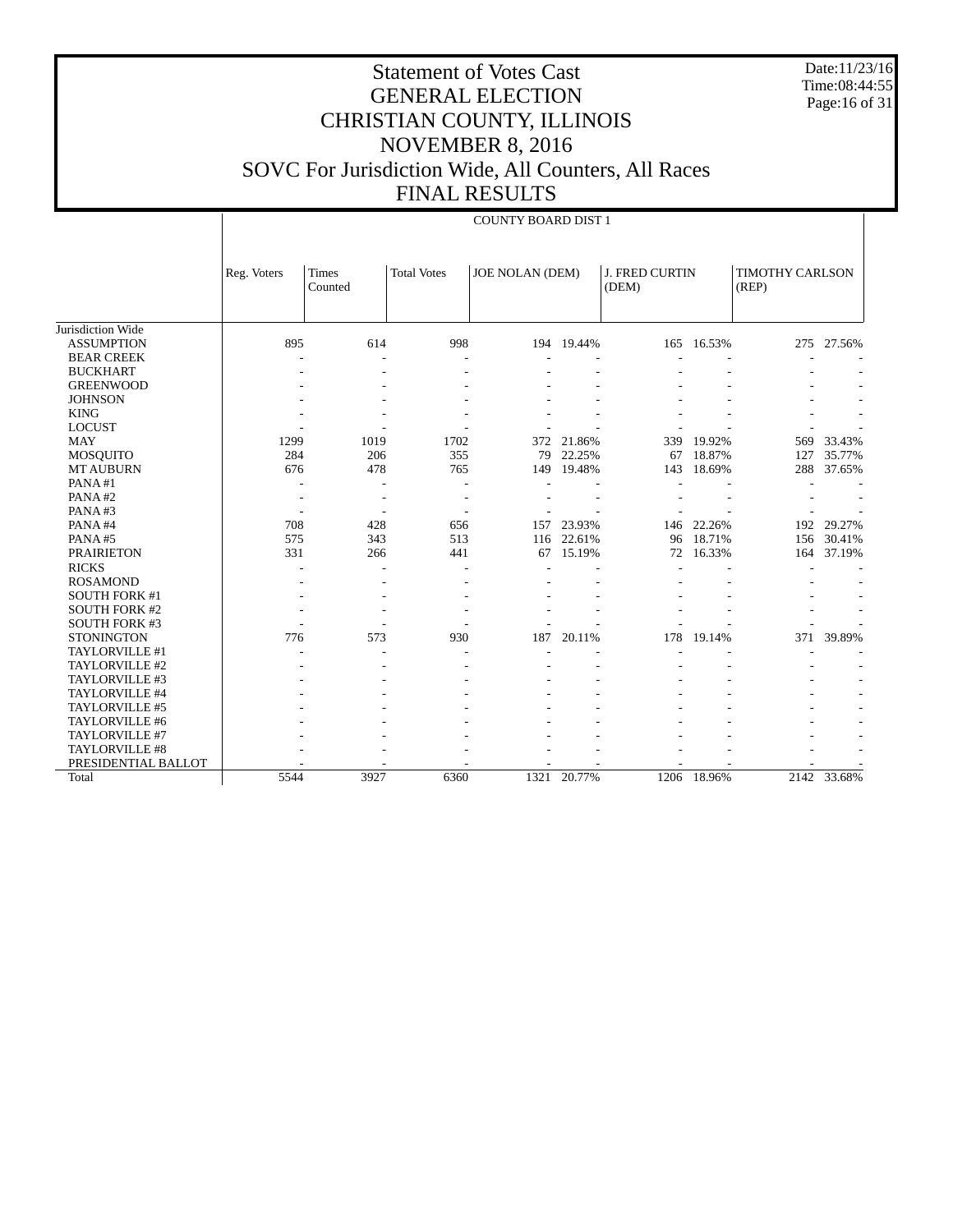Date:11/23/16 Time:08:44:55 Page:16 of 31

# Statement of Votes Cast GENERAL ELECTION CHRISTIAN COUNTY, ILLINOIS NOVEMBER 8, 2016 SOVC For Jurisdiction Wide, All Counters, All Races FINAL RESULTS

#### COUNTY BOARD DIST 1

|                      | Reg. Voters    | Times<br>Counted | <b>Total Votes</b> | <b>JOE NOLAN (DEM)</b> |            | <b>J. FRED CURTIN</b><br>(DEM) |            | TIMOTHY CARLSON<br>(REP) |             |
|----------------------|----------------|------------------|--------------------|------------------------|------------|--------------------------------|------------|--------------------------|-------------|
|                      |                |                  |                    |                        |            |                                |            |                          |             |
| Jurisdiction Wide    |                |                  |                    |                        |            |                                |            |                          |             |
| <b>ASSUMPTION</b>    | 895            | 614              | 998                |                        | 194 19.44% | 165                            | 16.53%     | 275                      | 27.56%      |
| <b>BEAR CREEK</b>    |                |                  |                    |                        |            |                                |            |                          |             |
| <b>BUCKHART</b>      |                |                  |                    |                        |            |                                |            |                          |             |
| <b>GREENWOOD</b>     |                |                  |                    |                        |            |                                |            |                          |             |
| <b>JOHNSON</b>       |                |                  |                    |                        |            |                                |            |                          |             |
| <b>KING</b>          |                |                  |                    |                        |            |                                |            |                          |             |
| <b>LOCUST</b>        |                |                  |                    |                        |            |                                |            |                          |             |
| <b>MAY</b>           | 1299           | 1019             | 1702               | 372                    | 21.86%     | 339                            | 19.92%     | 569                      | 33.43%      |
| <b>MOSQUITO</b>      | 284            | 206              | 355                | 79                     | 22.25%     | 67                             | 18.87%     | 127                      | 35.77%      |
| <b>MT AUBURN</b>     | 676            | 478              | 765                | 149                    | 19.48%     | 143                            | 18.69%     | 288                      | 37.65%      |
| PANA#1               | $\overline{a}$ | $\overline{a}$   |                    |                        |            |                                |            |                          |             |
| PANA#2               |                | $\overline{a}$   |                    |                        |            |                                |            |                          |             |
| PANA#3               |                |                  |                    |                        |            |                                |            |                          |             |
| PANA#4               | 708            | 428              | 656                | 157                    | 23.93%     |                                | 146 22.26% | 192                      | 29.27%      |
| PANA#5               | 575            | 343              | 513                | 116                    | 22.61%     | 96                             | 18.71%     | 156                      | 30.41%      |
| <b>PRAIRIETON</b>    | 331            | 266              | 441                | 67                     | 15.19%     | 72                             | 16.33%     | 164                      | 37.19%      |
| <b>RICKS</b>         |                |                  |                    |                        |            |                                |            |                          |             |
| <b>ROSAMOND</b>      |                |                  |                    |                        |            |                                |            |                          |             |
| <b>SOUTH FORK #1</b> |                |                  |                    |                        |            |                                |            |                          |             |
| <b>SOUTH FORK #2</b> |                |                  |                    |                        |            |                                |            |                          |             |
| <b>SOUTH FORK #3</b> |                |                  |                    |                        |            |                                |            |                          |             |
| <b>STONINGTON</b>    | 776            | 573              | 930                | 187                    | 20.11%     | 178                            | 19.14%     | 371                      | 39.89%      |
| TAYLORVILLE #1       |                |                  |                    |                        |            |                                |            |                          |             |
| TAYLORVILLE #2       |                |                  |                    |                        |            |                                |            |                          |             |
| TAYLORVILLE #3       |                |                  |                    |                        |            |                                |            |                          |             |
| TAYLORVILLE #4       |                |                  |                    |                        |            |                                |            |                          |             |
| TAYLORVILLE #5       |                |                  |                    |                        |            |                                |            |                          |             |
| TAYLORVILLE #6       |                |                  |                    |                        |            |                                |            |                          |             |
| TAYLORVILLE #7       |                |                  |                    |                        |            |                                |            |                          |             |
| TAYLORVILLE #8       |                |                  |                    |                        |            |                                |            |                          |             |
| PRESIDENTIAL BALLOT  |                |                  |                    |                        |            |                                |            |                          |             |
| Total                | 5544           | 3927             | 6360               | 1321                   | 20.77%     | 1206                           | 18.96%     |                          | 2142 33.68% |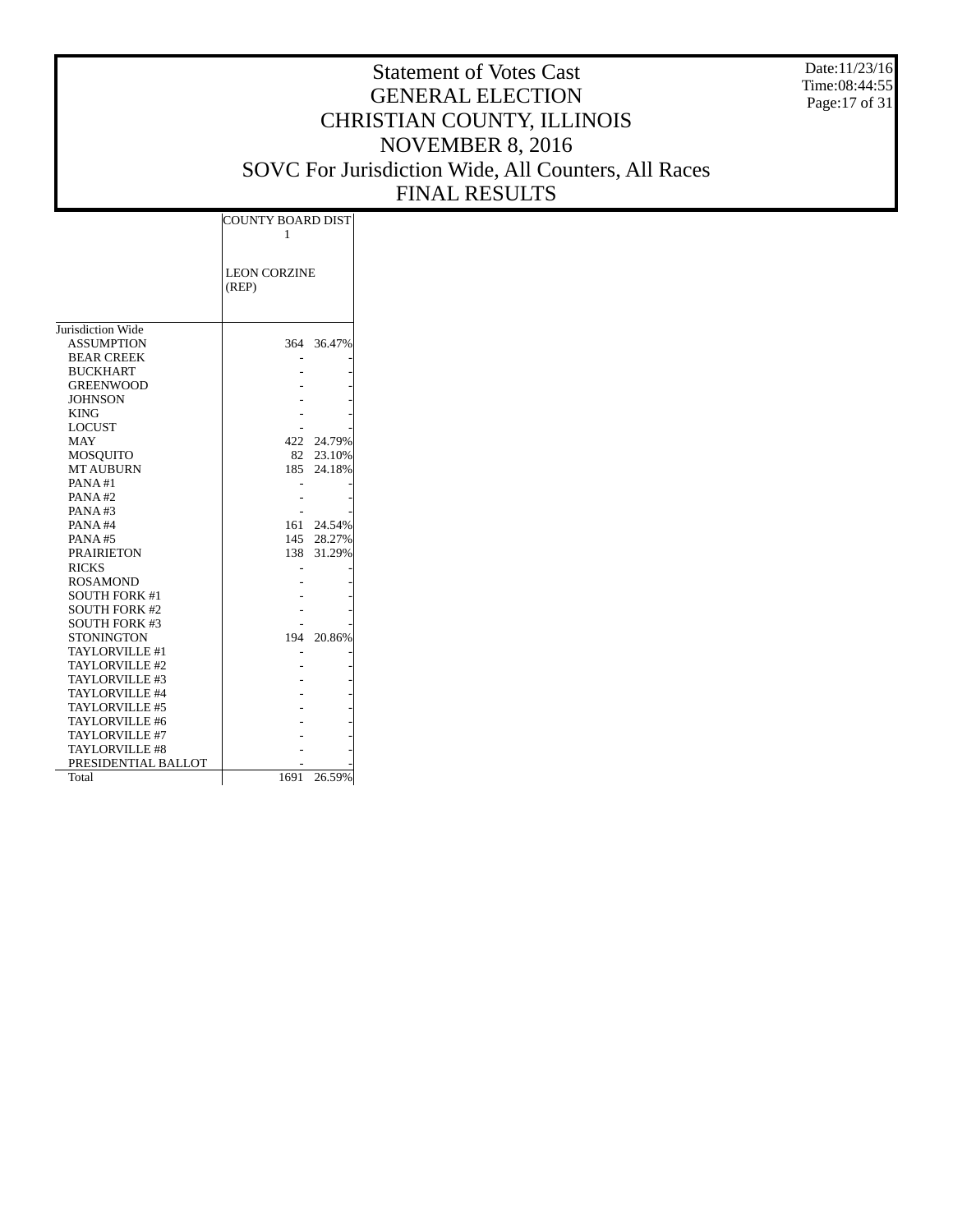Date:11/23/16 Time:08:44:55 Page:17 of 31

|                      | <b>COUNTY BOARD DIST</b> |            |  |  |  |  |
|----------------------|--------------------------|------------|--|--|--|--|
|                      | 1                        |            |  |  |  |  |
|                      |                          |            |  |  |  |  |
|                      |                          |            |  |  |  |  |
|                      | <b>LEON CORZINE</b>      |            |  |  |  |  |
|                      | (REP)                    |            |  |  |  |  |
|                      |                          |            |  |  |  |  |
|                      |                          |            |  |  |  |  |
| Jurisdiction Wide    |                          |            |  |  |  |  |
| <b>ASSUMPTION</b>    |                          | 364 36.47% |  |  |  |  |
| <b>BEAR CREEK</b>    |                          |            |  |  |  |  |
| <b>BUCKHART</b>      |                          |            |  |  |  |  |
| <b>GREENWOOD</b>     |                          |            |  |  |  |  |
| <b>JOHNSON</b>       |                          |            |  |  |  |  |
| <b>KING</b>          |                          |            |  |  |  |  |
| <b>LOCUST</b>        |                          |            |  |  |  |  |
| <b>MAY</b>           | 422                      | 24.79%     |  |  |  |  |
| <b>MOSOUITO</b>      | 82                       | 23.10%     |  |  |  |  |
| <b>MT AUBURN</b>     | 185                      | 24.18%     |  |  |  |  |
| PANA#1               |                          |            |  |  |  |  |
| PANA#2               |                          |            |  |  |  |  |
| PANA #3              |                          |            |  |  |  |  |
| PANA#4               | 161                      | 24.54%     |  |  |  |  |
| <b>PANA#5</b>        |                          | 145 28.27% |  |  |  |  |
| <b>PRAIRIETON</b>    | 138                      | 31.29%     |  |  |  |  |
| <b>RICKS</b>         |                          |            |  |  |  |  |
| <b>ROSAMOND</b>      |                          |            |  |  |  |  |
| <b>SOUTH FORK #1</b> |                          |            |  |  |  |  |
| <b>SOUTH FORK #2</b> |                          |            |  |  |  |  |
| <b>SOUTH FORK #3</b> |                          |            |  |  |  |  |
| <b>STONINGTON</b>    | 194                      | 20.86%     |  |  |  |  |
| TAYLORVILLE #1       |                          |            |  |  |  |  |
| TAYLORVILLE #2       |                          |            |  |  |  |  |
| TAYLORVILLE #3       |                          |            |  |  |  |  |
| TAYLORVILLE #4       |                          |            |  |  |  |  |
| TAYLORVILLE #5       |                          |            |  |  |  |  |
| TAYLORVILLE #6       |                          |            |  |  |  |  |
| TAYLORVILLE #7       |                          |            |  |  |  |  |
| TAYLORVILLE #8       |                          |            |  |  |  |  |
| PRESIDENTIAL BALLOT  |                          |            |  |  |  |  |
| Total                | 1691                     | 26.59%     |  |  |  |  |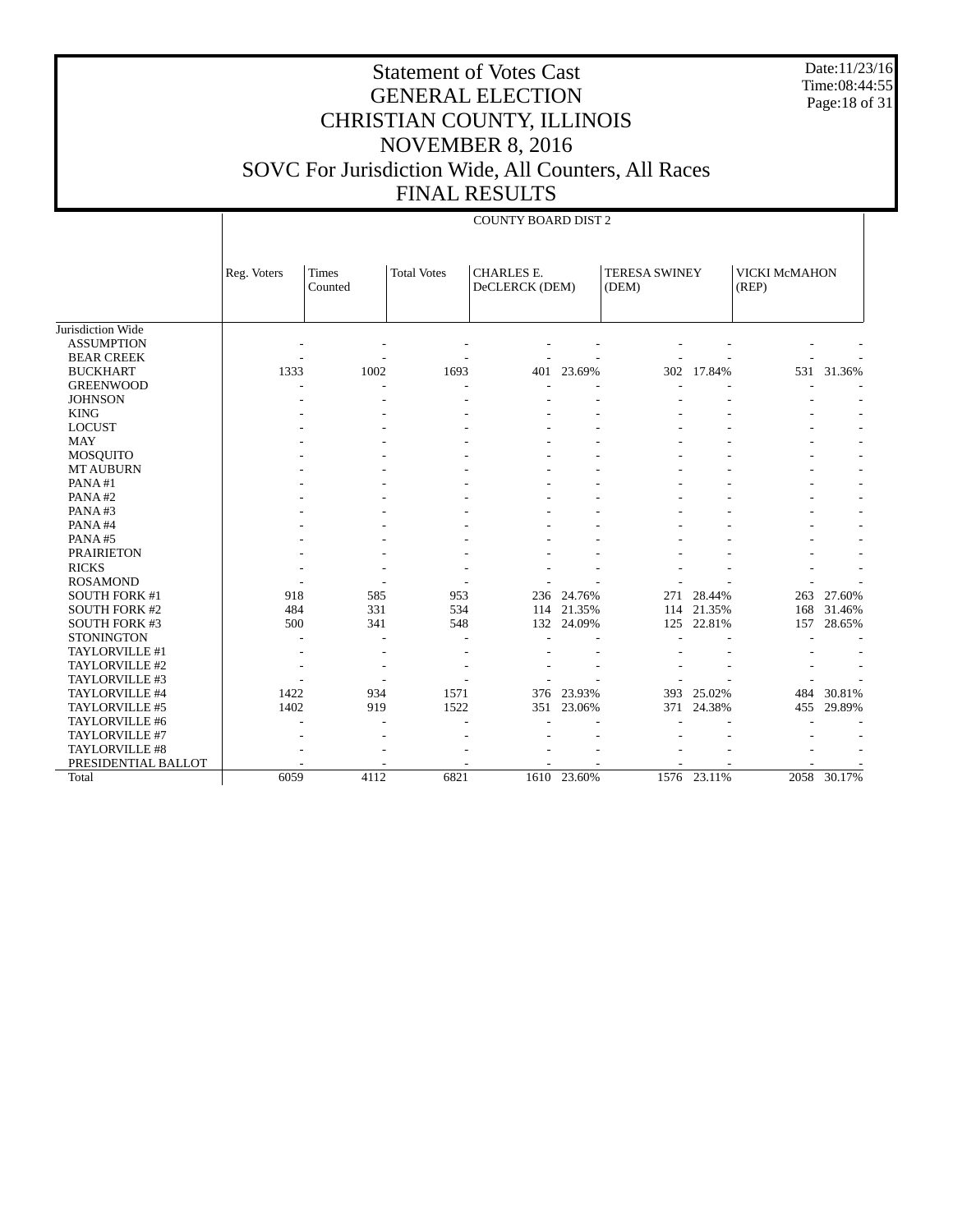Date:11/23/16 Time:08:44:55 Page:18 of 31

# Statement of Votes Cast GENERAL ELECTION CHRISTIAN COUNTY, ILLINOIS NOVEMBER 8, 2016 SOVC For Jurisdiction Wide, All Counters, All Races FINAL RESULTS

#### COUNTY BOARD DIST 2

|                      | Reg. Voters | <b>Times</b><br>Counted | <b>Total Votes</b> | <b>CHARLES E.</b><br>DeCLERCK (DEM) |             | <b>TERESA SWINEY</b><br>(DEM) |             | VICKI McMAHON<br>(REP) |             |
|----------------------|-------------|-------------------------|--------------------|-------------------------------------|-------------|-------------------------------|-------------|------------------------|-------------|
|                      |             |                         |                    |                                     |             |                               |             |                        |             |
| Jurisdiction Wide    |             |                         |                    |                                     |             |                               |             |                        |             |
| <b>ASSUMPTION</b>    |             |                         |                    |                                     |             |                               |             |                        |             |
| <b>BEAR CREEK</b>    |             |                         |                    |                                     |             |                               |             |                        |             |
| <b>BUCKHART</b>      | 1333        | 1002                    | 1693               | 401                                 | 23.69%      | 302                           | 17.84%      | 531                    | 31.36%      |
| <b>GREENWOOD</b>     |             |                         |                    |                                     |             |                               |             |                        |             |
| <b>JOHNSON</b>       |             |                         |                    |                                     |             |                               |             |                        |             |
| <b>KING</b>          |             |                         |                    |                                     |             |                               |             |                        |             |
| <b>LOCUST</b>        |             |                         |                    |                                     |             |                               |             |                        |             |
| <b>MAY</b>           |             |                         |                    |                                     |             |                               |             |                        |             |
| <b>MOSQUITO</b>      |             |                         |                    |                                     |             |                               |             |                        |             |
| <b>MT AUBURN</b>     |             |                         |                    |                                     |             |                               |             |                        |             |
| PANA#1               |             |                         |                    |                                     |             |                               |             |                        |             |
| PANA#2               |             |                         |                    |                                     |             |                               |             |                        |             |
| PANA#3               |             |                         |                    |                                     |             |                               |             |                        |             |
| PANA#4               |             |                         |                    |                                     |             |                               |             |                        |             |
| PANA#5               |             |                         |                    |                                     |             |                               |             |                        |             |
| <b>PRAIRIETON</b>    |             |                         |                    |                                     |             |                               |             |                        |             |
| <b>RICKS</b>         |             |                         |                    |                                     |             |                               |             |                        |             |
| <b>ROSAMOND</b>      |             |                         |                    |                                     |             |                               |             |                        |             |
| <b>SOUTH FORK #1</b> | 918         | 585                     | 953                | 236                                 | 24.76%      | 271                           | 28.44%      | 263                    | 27.60%      |
| <b>SOUTH FORK #2</b> | 484         | 331                     | 534                | 114                                 | 21.35%      | 114                           | 21.35%      | 168                    | 31.46%      |
| <b>SOUTH FORK #3</b> | 500         | 341                     | 548                |                                     | 132 24.09%  | 125                           | 22.81%      | 157                    | 28.65%      |
| <b>STONINGTON</b>    |             | $\overline{a}$          |                    |                                     |             |                               |             |                        |             |
| TAYLORVILLE #1       |             |                         |                    |                                     |             |                               |             |                        |             |
| TAYLORVILLE #2       |             |                         |                    |                                     |             |                               |             |                        |             |
| TAYLORVILLE #3       |             |                         |                    |                                     |             |                               |             |                        |             |
| TAYLORVILLE #4       | 1422        | 934                     | 1571               | 376                                 | 23.93%      | 393                           | 25.02%      | 484                    | 30.81%      |
| TAYLORVILLE #5       | 1402        | 919                     | 1522               | 351                                 | 23.06%      | 371                           | 24.38%      | 455                    | 29.89%      |
| TAYLORVILLE #6       |             |                         |                    |                                     |             |                               |             |                        |             |
| TAYLORVILLE #7       |             |                         |                    |                                     |             |                               |             |                        |             |
| TAYLORVILLE #8       |             |                         |                    |                                     |             |                               |             |                        |             |
| PRESIDENTIAL BALLOT  |             |                         |                    |                                     |             |                               |             |                        |             |
| Total                | 6059        | 4112                    | 6821               |                                     | 1610 23.60% |                               | 1576 23.11% |                        | 2058 30.17% |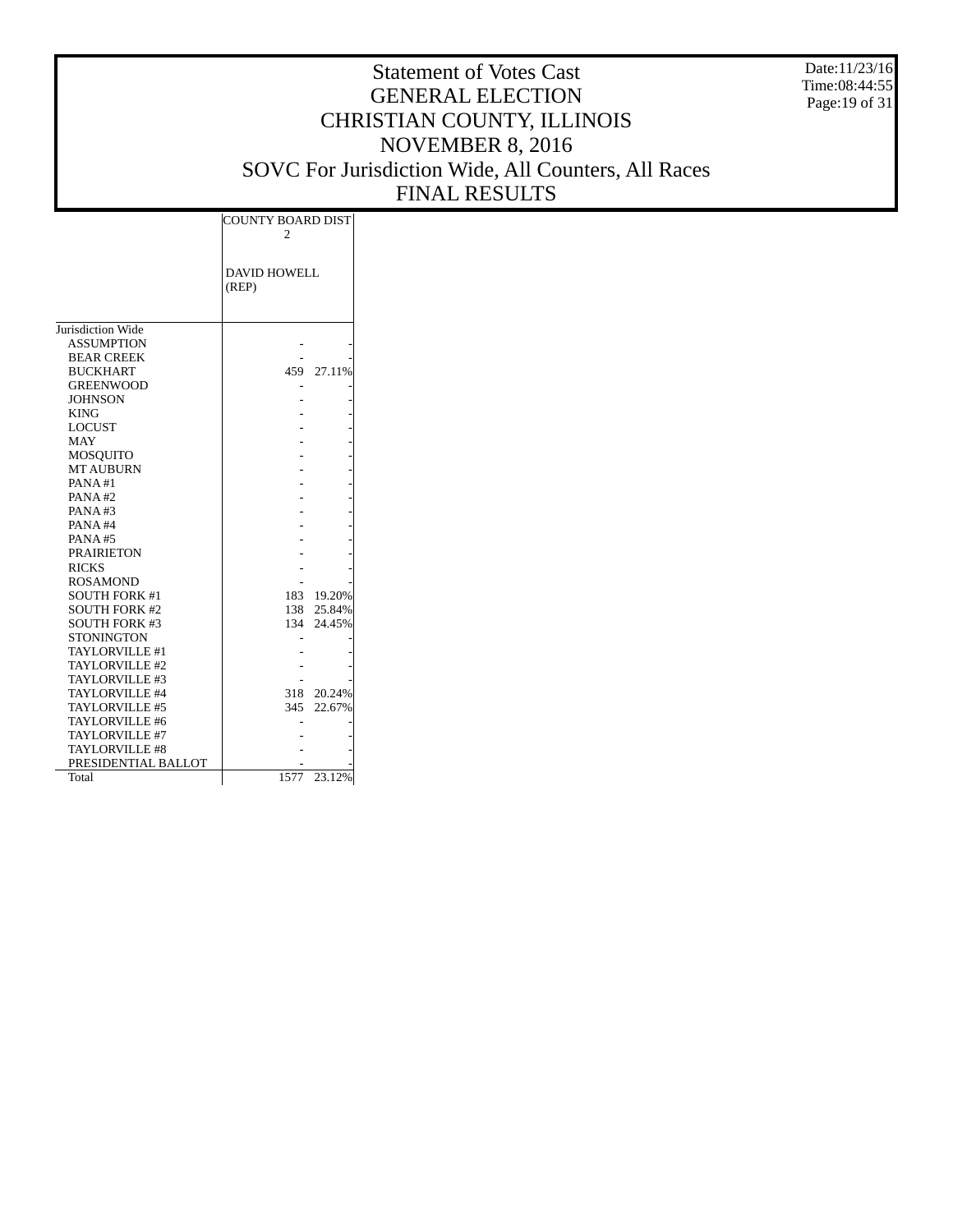Date:11/23/16 Time:08:44:55 Page:19 of 31

|                       | <b>COUNTY BOARD DIST</b> |            |  |  |  |  |
|-----------------------|--------------------------|------------|--|--|--|--|
|                       | 2                        |            |  |  |  |  |
|                       |                          |            |  |  |  |  |
|                       | <b>DAVID HOWELL</b>      |            |  |  |  |  |
|                       | (REP)                    |            |  |  |  |  |
|                       |                          |            |  |  |  |  |
|                       |                          |            |  |  |  |  |
| Jurisdiction Wide     |                          |            |  |  |  |  |
| <b>ASSUMPTION</b>     |                          |            |  |  |  |  |
| <b>BEAR CREEK</b>     |                          |            |  |  |  |  |
| <b>BUCKHART</b>       | 459                      | 27.11%     |  |  |  |  |
| <b>GREENWOOD</b>      |                          |            |  |  |  |  |
| <b>JOHNSON</b>        |                          |            |  |  |  |  |
| <b>KING</b>           |                          |            |  |  |  |  |
| <b>LOCUST</b>         |                          |            |  |  |  |  |
| <b>MAY</b>            |                          |            |  |  |  |  |
| MOSQUITO              |                          |            |  |  |  |  |
| <b>MT AUBURN</b>      |                          |            |  |  |  |  |
| PANA#1                |                          |            |  |  |  |  |
| PANA#2                |                          |            |  |  |  |  |
| PANA#3                |                          |            |  |  |  |  |
| PANA#4                |                          |            |  |  |  |  |
| PANA#5                |                          |            |  |  |  |  |
| <b>PRAIRIETON</b>     |                          |            |  |  |  |  |
| <b>RICKS</b>          |                          |            |  |  |  |  |
| <b>ROSAMOND</b>       |                          |            |  |  |  |  |
| <b>SOUTH FORK #1</b>  |                          | 183 19.20% |  |  |  |  |
| <b>SOUTH FORK #2</b>  | 138                      | 25.84%     |  |  |  |  |
| <b>SOUTH FORK #3</b>  | 134                      | 24.45%     |  |  |  |  |
| <b>STONINGTON</b>     |                          |            |  |  |  |  |
| TAYLORVILLE #1        |                          |            |  |  |  |  |
| TAYLORVILLE #2        |                          |            |  |  |  |  |
| TAYLORVILLE #3        |                          |            |  |  |  |  |
| TAYLORVILLE #4        | 318                      | 20.24%     |  |  |  |  |
| TAYLORVILLE #5        | 345                      | 22.67%     |  |  |  |  |
| TAYLORVILLE #6        |                          |            |  |  |  |  |
| TAYLORVILLE #7        |                          |            |  |  |  |  |
| <b>TAYLORVILLE #8</b> |                          |            |  |  |  |  |
| PRESIDENTIAL BALLOT   |                          |            |  |  |  |  |
| Total                 | 1577                     | 23.12%     |  |  |  |  |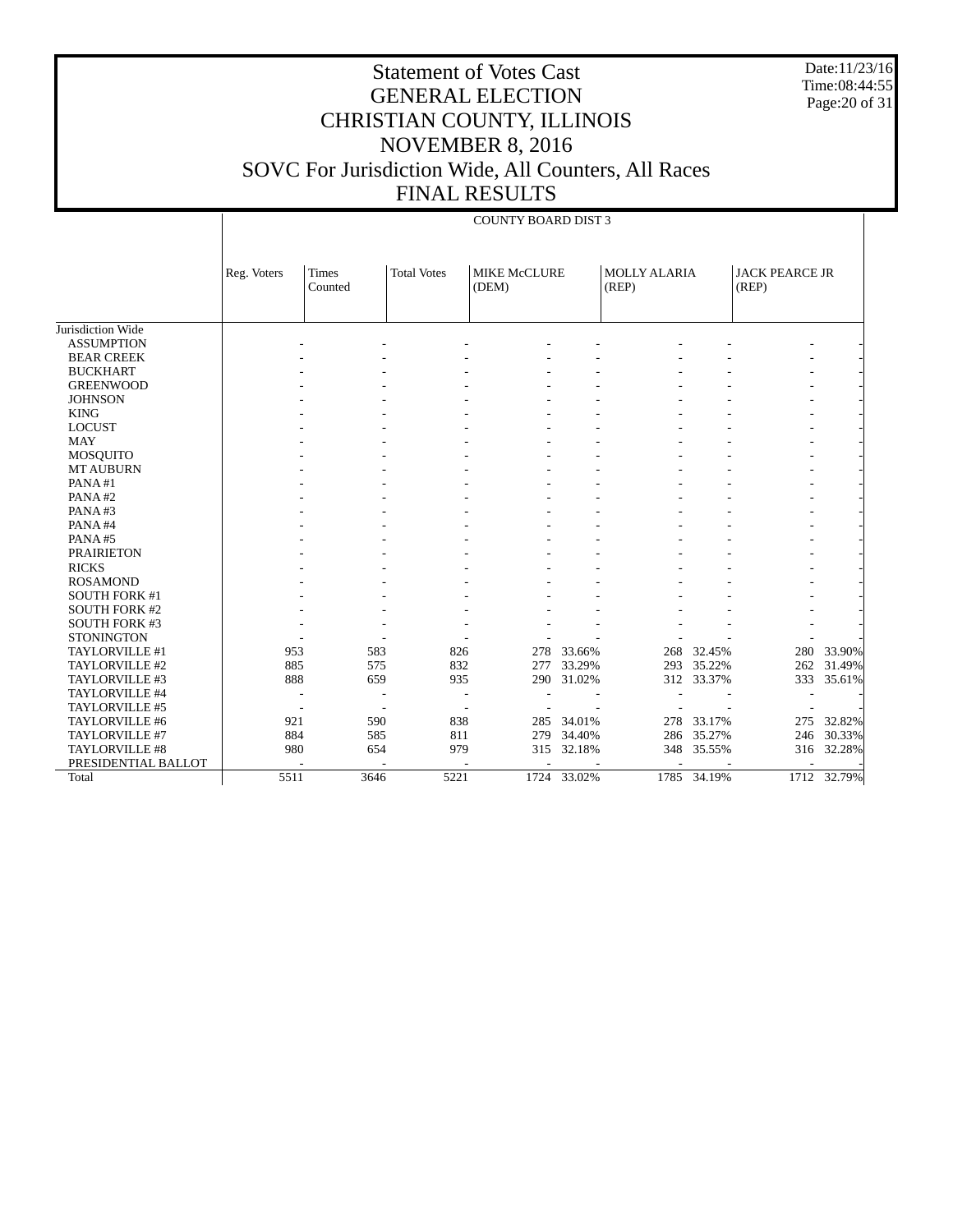Date:11/23/16 Time:08:44:55 Page:20 of 31

# Statement of Votes Cast GENERAL ELECTION CHRISTIAN COUNTY, ILLINOIS NOVEMBER 8, 2016 SOVC For Jurisdiction Wide, All Counters, All Races FINAL RESULTS

#### COUNTY BOARD DIST 3

|                      | Reg. Voters | <b>Times</b><br>Counted | <b>Total Votes</b> | <b>MIKE McCLURE</b><br>(DEM) |        | <b>MOLLY ALARIA</b><br>(REP) |            | <b>JACK PEARCE JR</b><br>(REP) |             |
|----------------------|-------------|-------------------------|--------------------|------------------------------|--------|------------------------------|------------|--------------------------------|-------------|
|                      |             |                         |                    |                              |        |                              |            |                                |             |
| Jurisdiction Wide    |             |                         |                    |                              |        |                              |            |                                |             |
| <b>ASSUMPTION</b>    |             |                         |                    |                              |        |                              |            |                                |             |
| <b>BEAR CREEK</b>    |             |                         |                    |                              |        |                              |            |                                |             |
| <b>BUCKHART</b>      |             |                         |                    |                              |        |                              |            |                                |             |
| <b>GREENWOOD</b>     |             |                         |                    |                              |        |                              |            |                                |             |
| <b>JOHNSON</b>       |             |                         |                    |                              |        |                              |            |                                |             |
| <b>KING</b>          |             |                         |                    |                              |        |                              |            |                                |             |
| <b>LOCUST</b>        |             |                         |                    |                              |        |                              |            |                                |             |
| <b>MAY</b>           |             |                         |                    |                              |        |                              |            |                                |             |
| MOSQUITO             |             |                         |                    |                              |        |                              |            |                                |             |
| <b>MT AUBURN</b>     |             |                         |                    |                              |        |                              |            |                                |             |
| PANA#1               |             |                         |                    |                              |        |                              |            |                                |             |
| PANA#2               |             |                         |                    |                              |        |                              |            |                                |             |
| PANA#3               |             |                         |                    |                              |        |                              |            |                                |             |
| PANA#4               |             |                         |                    |                              |        |                              |            |                                |             |
| PANA#5               |             |                         |                    |                              |        |                              |            |                                |             |
| <b>PRAIRIETON</b>    |             |                         |                    |                              |        |                              |            |                                |             |
| <b>RICKS</b>         |             |                         |                    |                              |        |                              |            |                                |             |
| <b>ROSAMOND</b>      |             |                         |                    |                              |        |                              |            |                                |             |
| <b>SOUTH FORK #1</b> |             |                         |                    |                              |        |                              |            |                                |             |
| <b>SOUTH FORK #2</b> |             |                         |                    |                              |        |                              |            |                                |             |
| <b>SOUTH FORK #3</b> |             |                         |                    |                              |        |                              |            |                                |             |
| <b>STONINGTON</b>    |             |                         |                    |                              |        |                              |            |                                |             |
| TAYLORVILLE #1       | 953         | 583                     | 826                | 278                          | 33.66% | 268                          | 32.45%     | 280                            | 33.90%      |
| TAYLORVILLE #2       | 885         | 575                     | 832                | 277                          | 33.29% | 293                          | 35.22%     | 262                            | 31.49%      |
| TAYLORVILLE #3       | 888         | 659                     | 935                | 290                          | 31.02% |                              | 312 33.37% | 333                            | 35.61%      |
| TAYLORVILLE #4       |             |                         |                    |                              |        |                              |            |                                |             |
| TAYLORVILLE #5       |             |                         | ٠                  |                              |        |                              |            |                                |             |
| TAYLORVILLE #6       | 921         | 590                     | 838                | 285                          | 34.01% | 278                          | 33.17%     | 275                            | 32.82%      |
| TAYLORVILLE #7       | 884         | 585                     | 811                | 279                          | 34.40% | 286                          | 35.27%     | 246                            | 30.33%      |
| TAYLORVILLE #8       | 980         | 654                     | 979                | 315                          | 32.18% | 348                          | 35.55%     | 316                            | 32.28%      |
| PRESIDENTIAL BALLOT  |             |                         |                    |                              |        |                              |            |                                |             |
| Total                | 5511        | 3646                    | 5221               | 1724                         | 33.02% | 1785                         | 34.19%     |                                | 1712 32.79% |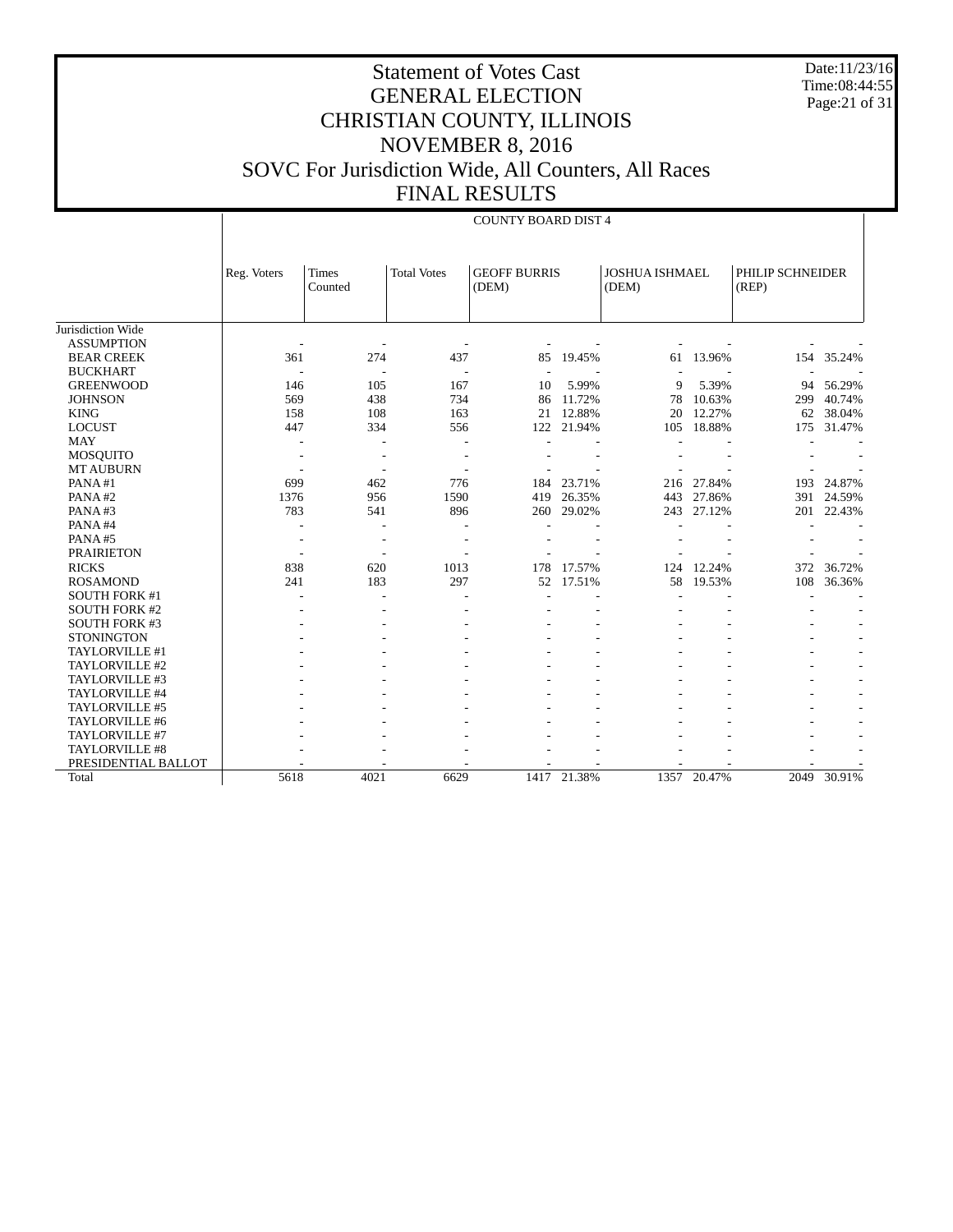Date:11/23/16 Time:08:44:55 Page:21 of 31

# Statement of Votes Cast GENERAL ELECTION CHRISTIAN COUNTY, ILLINOIS NOVEMBER 8, 2016 SOVC For Jurisdiction Wide, All Counters, All Races FINAL RESULTS

#### COUNTY BOARD DIST 4

|                      | Reg. Voters              | <b>Times</b><br>Counted  | <b>Total Votes</b> | <b>GEOFF BURRIS</b><br>(DEM) |             | <b>JOSHUA ISHMAEL</b><br>(DEM) |            | (REP) | PHILIP SCHNEIDER |  |
|----------------------|--------------------------|--------------------------|--------------------|------------------------------|-------------|--------------------------------|------------|-------|------------------|--|
|                      |                          |                          |                    |                              |             |                                |            |       |                  |  |
| Jurisdiction Wide    |                          |                          |                    |                              |             |                                |            |       |                  |  |
| <b>ASSUMPTION</b>    |                          |                          |                    |                              |             |                                |            |       |                  |  |
| <b>BEAR CREEK</b>    | 361                      | 274                      | 437                | 85                           | 19.45%      | 61                             | 13.96%     | 154   | 35.24%           |  |
| <b>BUCKHART</b>      | ٠                        | $\overline{\phantom{a}}$ |                    |                              |             |                                |            |       |                  |  |
| <b>GREENWOOD</b>     | 146                      | 105                      | 167                | 10                           | 5.99%       | 9                              | 5.39%      | 94    | 56.29%           |  |
| <b>JOHNSON</b>       | 569                      | 438                      | 734                | 86                           | 11.72%      | 78                             | 10.63%     | 299   | 40.74%           |  |
| <b>KING</b>          | 158                      | 108                      | 163                | 21                           | 12.88%      | 20                             | 12.27%     | 62    | 38.04%           |  |
| <b>LOCUST</b>        | 447                      | 334                      | 556                | 122                          | 21.94%      | 105                            | 18.88%     | 175   | 31.47%           |  |
| <b>MAY</b>           |                          |                          |                    |                              |             |                                |            |       |                  |  |
| <b>MOSQUITO</b>      |                          |                          |                    |                              |             |                                |            |       |                  |  |
| <b>MT AUBURN</b>     |                          |                          |                    |                              |             |                                |            |       |                  |  |
| PANA#1               | 699                      | 462                      | 776                | 184                          | 23.71%      |                                | 216 27.84% | 193   | 24.87%           |  |
| PANA#2               | 1376                     | 956                      | 1590               | 419                          | 26.35%      | 443                            | 27.86%     | 391   | 24.59%           |  |
| PANA#3               | 783                      | 541                      | 896                | 260                          | 29.02%      | 243                            | 27.12%     | 201   | 22.43%           |  |
| PANA#4               |                          |                          |                    |                              |             |                                |            |       |                  |  |
| PANA#5               | $\overline{\phantom{a}}$ |                          |                    |                              |             |                                |            |       |                  |  |
| <b>PRAIRIETON</b>    | ÷,                       |                          |                    |                              |             |                                |            |       |                  |  |
| <b>RICKS</b>         | 838                      | 620                      | 1013               | 178                          | 17.57%      | 124                            | 12.24%     | 372   | 36.72%           |  |
| <b>ROSAMOND</b>      | 241                      | 183                      | 297                | 52                           | 17.51%      | 58                             | 19.53%     | 108   | 36.36%           |  |
| <b>SOUTH FORK #1</b> |                          |                          |                    |                              |             |                                |            |       |                  |  |
| <b>SOUTH FORK #2</b> |                          |                          |                    |                              |             |                                |            |       |                  |  |
| <b>SOUTH FORK #3</b> |                          |                          |                    |                              |             |                                |            |       |                  |  |
| <b>STONINGTON</b>    |                          |                          |                    |                              |             |                                |            |       |                  |  |
| TAYLORVILLE #1       |                          |                          |                    |                              |             |                                |            |       |                  |  |
| TAYLORVILLE #2       |                          |                          |                    |                              |             |                                |            |       |                  |  |
| TAYLORVILLE #3       |                          |                          |                    |                              |             |                                |            |       |                  |  |
| TAYLORVILLE #4       |                          |                          |                    |                              |             |                                |            |       |                  |  |
| TAYLORVILLE #5       |                          |                          |                    |                              |             |                                |            |       |                  |  |
| TAYLORVILLE #6       |                          |                          |                    |                              |             |                                |            |       |                  |  |
| TAYLORVILLE #7       |                          |                          |                    |                              |             |                                |            |       |                  |  |
| TAYLORVILLE #8       |                          |                          |                    |                              |             |                                |            |       |                  |  |
| PRESIDENTIAL BALLOT  |                          |                          |                    |                              |             |                                |            |       |                  |  |
| Total                | 5618                     | 4021                     | 6629               |                              | 1417 21.38% | 1357                           | 20.47%     | 2049  | 30.91%           |  |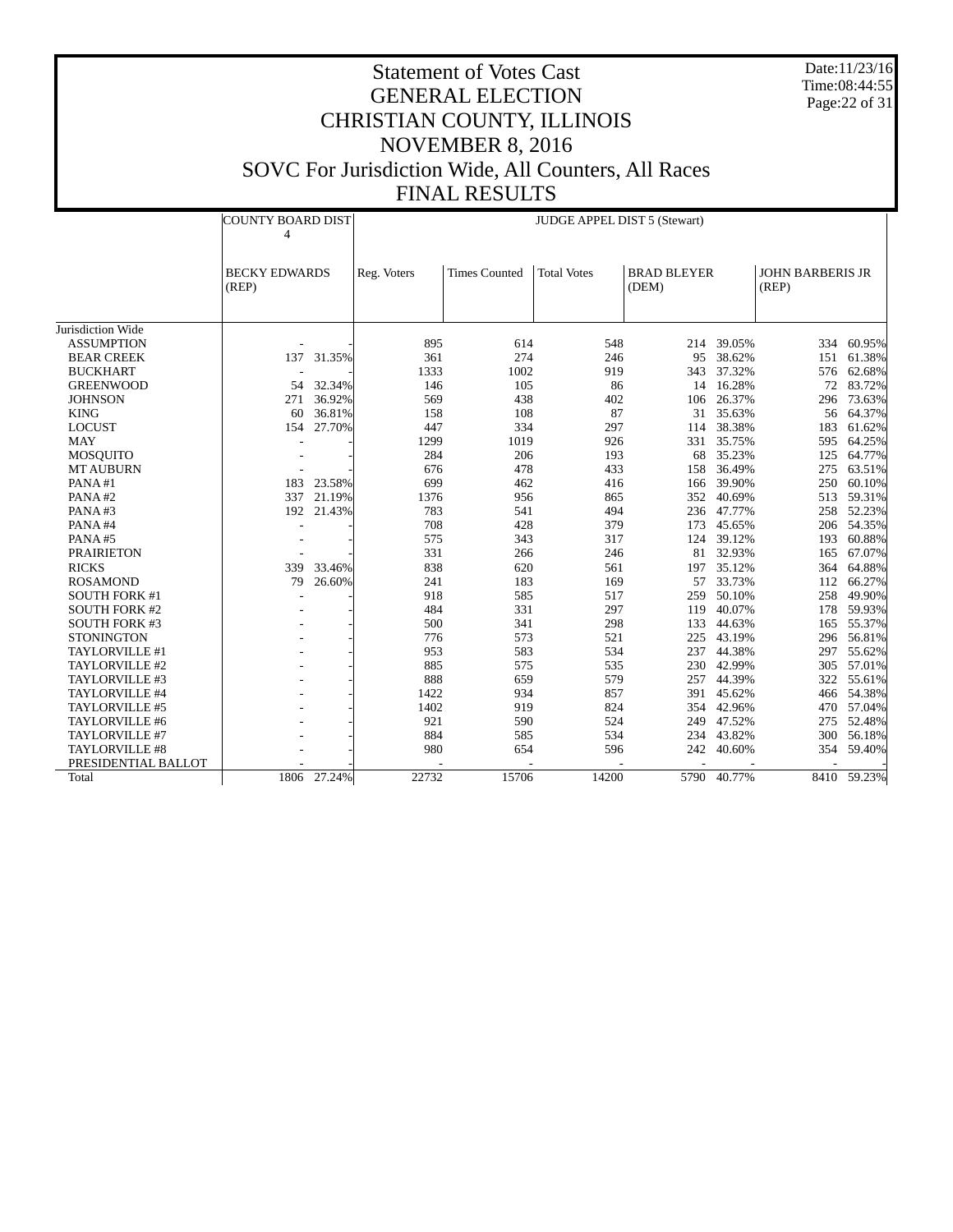Date:11/23/16 Time:08:44:55 Page:22 of 31

|                       | <b>COUNTY BOARD DIST</b><br>4 |             | <b>JUDGE APPEL DIST 5 (Stewart)</b> |                      |                    |                             |             |                                  |             |
|-----------------------|-------------------------------|-------------|-------------------------------------|----------------------|--------------------|-----------------------------|-------------|----------------------------------|-------------|
|                       | <b>BECKY EDWARDS</b><br>(REP) |             | Reg. Voters                         | <b>Times Counted</b> | <b>Total Votes</b> | <b>BRAD BLEYER</b><br>(DEM) |             | <b>JOHN BARBERIS JR</b><br>(REP) |             |
| Jurisdiction Wide     |                               |             |                                     |                      |                    |                             |             |                                  |             |
| <b>ASSUMPTION</b>     |                               |             | 895                                 | 614                  | 548                | 214                         | 39.05%      | 334                              | 60.95%      |
| <b>BEAR CREEK</b>     | 137                           | 31.35%      | 361                                 | 274                  | 246                | 95                          | 38.62%      | 151                              | 61.38%      |
| <b>BUCKHART</b>       |                               |             | 1333                                | 1002                 | 919                | 343                         | 37.32%      | 576                              | 62.68%      |
| <b>GREENWOOD</b>      | 54                            | 32.34%      | 146                                 | 105                  | 86                 | 14                          | 16.28%      |                                  | 72 83.72%   |
| <b>JOHNSON</b>        | 271                           | 36.92%      | 569                                 | 438                  | 402                | 106                         | 26.37%      | 296                              | 73.63%      |
| <b>KING</b>           | 60                            | 36.81%      | 158                                 | 108                  | 87                 | 31                          | 35.63%      | 56                               | 64.37%      |
| <b>LOCUST</b>         | 154                           | 27.70%      | 447                                 | 334                  | 297                | 114                         | 38.38%      | 183                              | 61.62%      |
| <b>MAY</b>            |                               |             | 1299                                | 1019                 | 926                | 331                         | 35.75%      | 595                              | 64.25%      |
| MOSQUITO              |                               |             | 284                                 | 206                  | 193                | 68                          | 35.23%      | 125                              | 64.77%      |
| <b>MT AUBURN</b>      |                               |             | 676                                 | 478                  | 433                | 158                         | 36.49%      | 275                              | 63.51%      |
| PANA#1                | 183                           | 23.58%      | 699                                 | 462                  | 416                | 166                         | 39.90%      | 250                              | 60.10%      |
| PANA#2                | 337                           | 21.19%      | 1376                                | 956                  | 865                | 352                         | 40.69%      | 513                              | 59.31%      |
| PANA#3                | 192                           | 21.43%      | 783                                 | 541                  | 494                | 236                         | 47.77%      | 258                              | 52.23%      |
| PANA#4                |                               |             | 708                                 | 428                  | 379                | 173                         | 45.65%      |                                  | 206 54.35%  |
| PANA#5                |                               |             | 575                                 | 343                  | 317                | 124                         | 39.12%      | 193                              | 60.88%      |
| <b>PRAIRIETON</b>     |                               |             | 331                                 | 266                  | 246                | 81                          | 32.93%      | 165                              | 67.07%      |
| <b>RICKS</b>          | 339                           | 33.46%      | 838                                 | 620                  | 561                | 197                         | 35.12%      | 364                              | 64.88%      |
| <b>ROSAMOND</b>       | 79                            | 26.60%      | 241                                 | 183                  | 169                | 57                          | 33.73%      | 112                              | 66.27%      |
| <b>SOUTH FORK #1</b>  |                               |             | 918                                 | 585                  | 517                | 259                         | 50.10%      | 258                              | 49.90%      |
| <b>SOUTH FORK #2</b>  |                               |             | 484                                 | 331                  | 297                | 119                         | 40.07%      | 178                              | 59.93%      |
| <b>SOUTH FORK #3</b>  |                               |             | 500                                 | 341                  | 298                | 133                         | 44.63%      | 165                              | 55.37%      |
| <b>STONINGTON</b>     |                               |             | 776                                 | 573                  | 521                | 225                         | 43.19%      | 296                              | 56.81%      |
| TAYLORVILLE #1        |                               |             | 953                                 | 583                  | 534                | 237                         | 44.38%      | 297                              | 55.62%      |
| TAYLORVILLE #2        |                               |             | 885                                 | 575                  | 535                | 230                         | 42.99%      | 305                              | 57.01%      |
| TAYLORVILLE #3        |                               |             | 888                                 | 659                  | 579                | 257                         | 44.39%      | 322                              | 55.61%      |
| TAYLORVILLE #4        |                               |             | 1422                                | 934                  | 857                | 391                         | 45.62%      | 466                              | 54.38%      |
| TAYLORVILLE #5        |                               |             | 1402                                | 919                  | 824                | 354                         | 42.96%      | 470                              | 57.04%      |
| TAYLORVILLE #6        |                               |             | 921                                 | 590                  | 524                | 249                         | 47.52%      | 275                              | 52.48%      |
| TAYLORVILLE #7        |                               |             | 884                                 | 585                  | 534                | 234                         | 43.82%      | 300                              | 56.18%      |
| <b>TAYLORVILLE #8</b> |                               |             | 980                                 | 654                  | 596                | 242                         | 40.60%      | 354                              | 59.40%      |
| PRESIDENTIAL BALLOT   |                               |             |                                     |                      |                    |                             |             |                                  |             |
| Total                 |                               | 1806 27.24% | 22732                               | 15706                | 14200              |                             | 5790 40.77% |                                  | 8410 59.23% |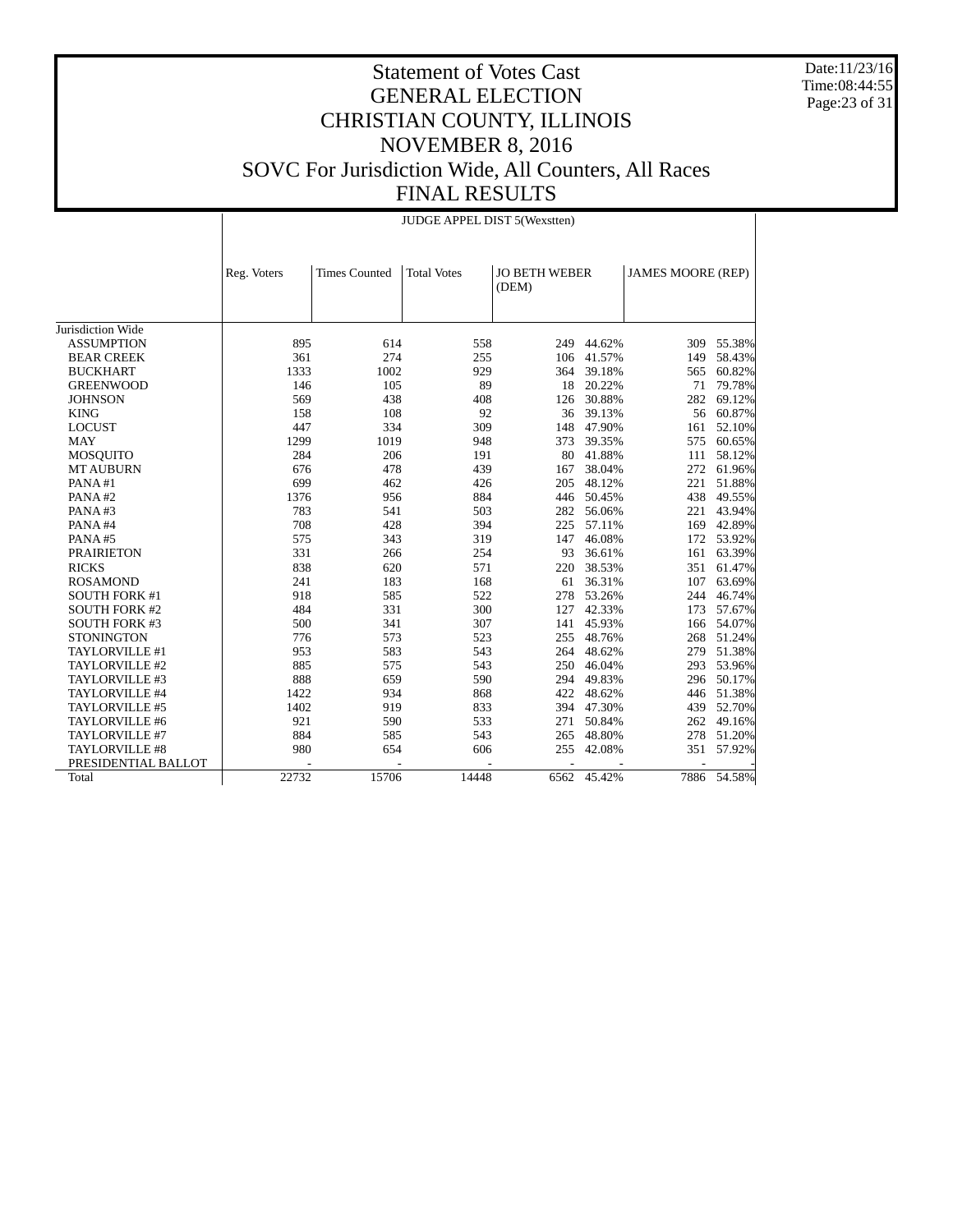Date:11/23/16 Time:08:44:55 Page:23 of 31

# Statement of Votes Cast GENERAL ELECTION CHRISTIAN COUNTY, ILLINOIS NOVEMBER 8, 2016 SOVC For Jurisdiction Wide, All Counters, All Races FINAL RESULTS

|                       |             | JUDGE APPEL DIST 5(Wexstten) |                    |                        |             |                          |             |  |  |  |
|-----------------------|-------------|------------------------------|--------------------|------------------------|-------------|--------------------------|-------------|--|--|--|
|                       | Reg. Voters | <b>Times Counted</b>         | <b>Total Votes</b> | JO BETH WEBER<br>(DEM) |             | <b>JAMES MOORE (REP)</b> |             |  |  |  |
|                       |             |                              |                    |                        |             |                          |             |  |  |  |
| Jurisdiction Wide     |             |                              |                    |                        |             |                          |             |  |  |  |
| <b>ASSUMPTION</b>     | 895         | 614                          | 558                | 249                    | 44.62%      |                          | 309 55.38%  |  |  |  |
| <b>BEAR CREEK</b>     | 361         | 274                          | 255                |                        | 106 41.57%  | 149                      | 58.43%      |  |  |  |
| <b>BUCKHART</b>       | 1333        | 1002                         | 929                | 364                    | 39.18%      | 565                      | 60.82%      |  |  |  |
| <b>GREENWOOD</b>      | 146         | 105                          | 89                 | 18                     | 20.22%      | 71                       | 79.78%      |  |  |  |
| <b>JOHNSON</b>        | 569         | 438                          | 408                | 126                    | 30.88%      | 282                      | 69.12%      |  |  |  |
| <b>KING</b>           | 158         | 108                          | 92                 | 36                     | 39.13%      | 56                       | 60.87%      |  |  |  |
| <b>LOCUST</b>         | 447         | 334                          | 309                | 148                    | 47.90%      | 161                      | 52.10%      |  |  |  |
| <b>MAY</b>            | 1299        | 1019                         | 948                | 373                    | 39.35%      | 575                      | 60.65%      |  |  |  |
| <b>MOSQUITO</b>       | 284         | 206                          | 191                | 80                     | 41.88%      | 111                      | 58.12%      |  |  |  |
| <b>MT AUBURN</b>      | 676         | 478                          | 439                | 167                    | 38.04%      | 272                      | 61.96%      |  |  |  |
| PANA#1                | 699         | 462                          | 426                | 205                    | 48.12%      | 221                      | 51.88%      |  |  |  |
| PANA#2                | 1376        | 956                          | 884                | 446                    | 50.45%      | 438                      | 49.55%      |  |  |  |
| PANA#3                | 783         | 541                          | 503                | 282                    | 56.06%      | 221                      | 43.94%      |  |  |  |
| PANA#4                | 708         | 428                          | 394                | 225                    | 57.11%      | 169                      | 42.89%      |  |  |  |
| PANA#5                | 575         | 343                          | 319                | 147                    | 46.08%      | 172                      | 53.92%      |  |  |  |
| <b>PRAIRIETON</b>     | 331         | 266                          | 254                | 93                     | 36.61%      | 161                      | 63.39%      |  |  |  |
| <b>RICKS</b>          | 838         | 620                          | 571                | 220                    | 38.53%      | 351                      | 61.47%      |  |  |  |
| <b>ROSAMOND</b>       | 241         | 183                          | 168                | 61                     | 36.31%      | 107                      | 63.69%      |  |  |  |
| <b>SOUTH FORK #1</b>  | 918         | 585                          | 522                | 278                    | 53.26%      | 244                      | 46.74%      |  |  |  |
| <b>SOUTH FORK #2</b>  | 484         | 331                          | 300                | 127                    | 42.33%      | 173                      | 57.67%      |  |  |  |
| <b>SOUTH FORK #3</b>  | 500         | 341                          | 307                | 141                    | 45.93%      | 166                      | 54.07%      |  |  |  |
| <b>STONINGTON</b>     | 776         | 573                          | 523                | 255                    | 48.76%      | 268                      | 51.24%      |  |  |  |
| TAYLORVILLE #1        | 953         | 583                          | 543                | 264                    | 48.62%      | 279                      | 51.38%      |  |  |  |
| TAYLORVILLE #2        | 885         | 575                          | 543                | 250                    | 46.04%      | 293                      | 53.96%      |  |  |  |
| TAYLORVILLE #3        | 888         | 659                          | 590                | 294                    | 49.83%      | 296                      | 50.17%      |  |  |  |
| TAYLORVILLE #4        | 1422        | 934                          | 868                | 422                    | 48.62%      | 446                      | 51.38%      |  |  |  |
| TAYLORVILLE #5        | 1402        | 919                          | 833                | 394                    | 47.30%      | 439                      | 52.70%      |  |  |  |
| TAYLORVILLE #6        | 921         | 590                          | 533                | 271                    | 50.84%      | 262                      | 49.16%      |  |  |  |
| TAYLORVILLE #7        | 884         | 585                          | 543                | 265                    | 48.80%      | 278                      | 51.20%      |  |  |  |
| <b>TAYLORVILLE #8</b> | 980         | 654                          | 606                | 255                    | 42.08%      | 351                      | 57.92%      |  |  |  |
| PRESIDENTIAL BALLOT   |             |                              |                    |                        |             |                          |             |  |  |  |
| Total                 | 22732       | 15706                        | 14448              |                        | 6562 45.42% |                          | 7886 54.58% |  |  |  |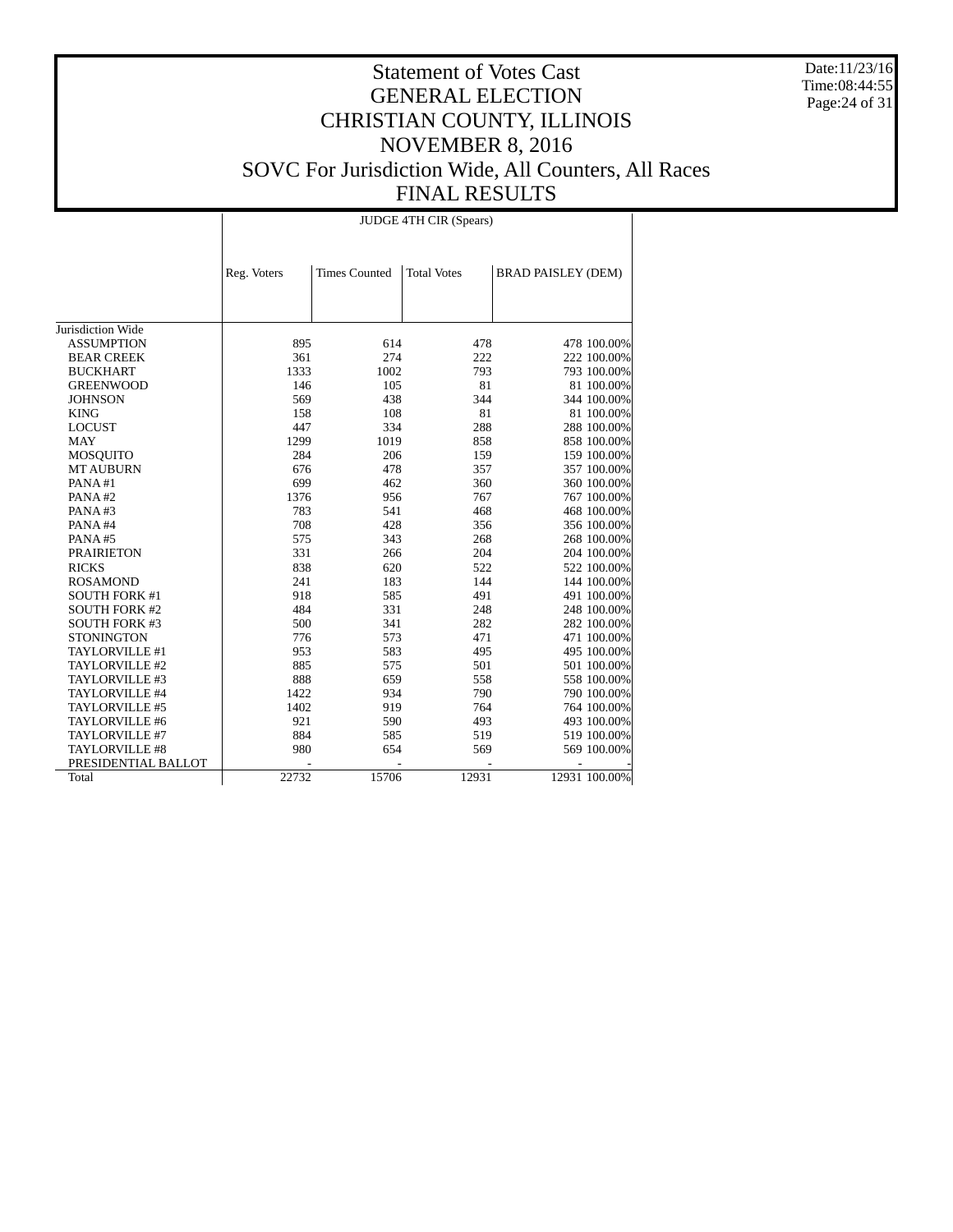Date:11/23/16 Time:08:44:55 Page:24 of 31

# Statement of Votes Cast GENERAL ELECTION CHRISTIAN COUNTY, ILLINOIS NOVEMBER 8, 2016 SOVC For Jurisdiction Wide, All Counters, All Races FINAL RESULTS

JUDGE 4TH CIR (Spears)

|                      | Reg. Voters | <b>Times Counted</b> | <b>Total Votes</b> | <b>BRAD PAISLEY (DEM)</b> |               |
|----------------------|-------------|----------------------|--------------------|---------------------------|---------------|
|                      |             |                      |                    |                           |               |
|                      |             |                      |                    |                           |               |
|                      |             |                      |                    |                           |               |
| Jurisdiction Wide    |             |                      |                    |                           |               |
| <b>ASSUMPTION</b>    | 895         | 614                  | 478                |                           | 478 100.00%   |
| <b>BEAR CREEK</b>    | 361         | 274                  | 222                |                           | 222 100.00%   |
| <b>BUCKHART</b>      | 1333        | 1002                 | 793                |                           | 793 100.00%   |
| <b>GREENWOOD</b>     | 146         | 105                  | 81                 |                           | 81 100.00%    |
| <b>JOHNSON</b>       | 569         | 438                  | 344                |                           | 344 100.00%   |
| <b>KING</b>          | 158         | 108                  | 81                 |                           | 81 100.00%    |
| <b>LOCUST</b>        | 447         | 334                  | 288                |                           | 288 100.00%   |
| <b>MAY</b>           | 1299        | 1019                 | 858                |                           | 858 100.00%   |
| <b>MOSQUITO</b>      | 284         | 206                  | 159                |                           | 159 100.00%   |
| <b>MT AUBURN</b>     | 676         | 478                  | 357                |                           | 357 100.00%   |
| PANA#1               | 699         | 462                  | 360                |                           | 360 100.00%   |
| PANA#2               | 1376        | 956                  | 767                |                           | 767 100.00%   |
| PANA#3               | 783         | 541                  | 468                |                           | 468 100.00%   |
| PANA#4               | 708         | 428                  | 356                |                           | 356 100.00%   |
| PANA#5               | 575         | 343                  | 268                |                           | 268 100.00%   |
| <b>PRAIRIETON</b>    | 331         | 266                  | 204                |                           | 204 100.00%   |
| <b>RICKS</b>         | 838         | 620                  | 522                |                           | 522 100.00%   |
| <b>ROSAMOND</b>      | 241         | 183                  | 144                |                           | 144 100.00%   |
| <b>SOUTH FORK #1</b> | 918         | 585                  | 491                |                           | 491 100.00%   |
| <b>SOUTH FORK #2</b> | 484         | 331                  | 248                |                           | 248 100.00%   |
| <b>SOUTH FORK #3</b> | 500         | 341                  | 282                |                           | 282 100.00%   |
| <b>STONINGTON</b>    | 776         | 573                  | 471                |                           | 471 100.00%   |
| TAYLORVILLE #1       | 953         | 583                  | 495                |                           | 495 100.00%   |
| TAYLORVILLE #2       | 885         | 575                  | 501                |                           | 501 100.00%   |
| TAYLORVILLE #3       | 888         | 659                  | 558                |                           | 558 100.00%   |
| TAYLORVILLE #4       | 1422        | 934                  | 790                |                           | 790 100.00%   |
| TAYLORVILLE #5       | 1402        | 919                  | 764                |                           | 764 100.00%   |
| TAYLORVILLE #6       | 921         | 590                  | 493                |                           | 493 100.00%   |
| TAYLORVILLE #7       | 884         | 585                  | 519                |                           | 519 100.00%   |
| TAYLORVILLE #8       | 980         | 654                  | 569                |                           | 569 100.00%   |
| PRESIDENTIAL BALLOT  |             |                      |                    |                           |               |
| Total                | 22732       | 15706                | 12931              |                           | 12931 100.00% |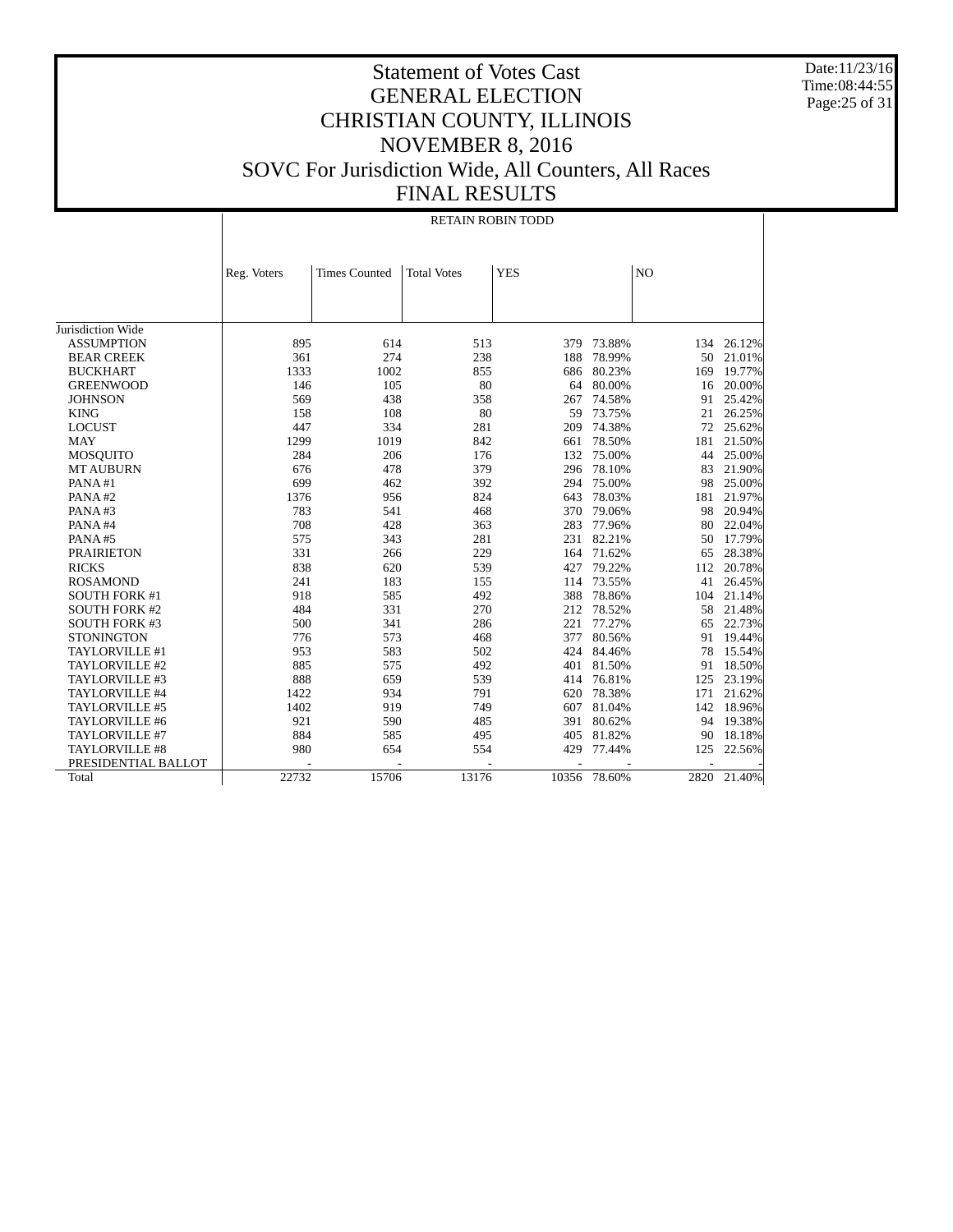Date:11/23/16 Time:08:44:55 Page:25 of 31

|                       | <b>RETAIN ROBIN TODD</b> |                      |                    |            |        |     |             |  |
|-----------------------|--------------------------|----------------------|--------------------|------------|--------|-----|-------------|--|
|                       |                          |                      |                    |            |        |     |             |  |
|                       | Reg. Voters              | <b>Times Counted</b> | <b>Total Votes</b> | <b>YES</b> |        | NO  |             |  |
|                       |                          |                      |                    |            |        |     |             |  |
|                       |                          |                      |                    |            |        |     |             |  |
| Jurisdiction Wide     |                          |                      |                    |            |        |     |             |  |
| <b>ASSUMPTION</b>     | 895                      | 614                  | 513                | 379        | 73.88% | 134 | 26.12%      |  |
| <b>BEAR CREEK</b>     | 361                      | 274                  | 238                | 188        | 78.99% | 50  | 21.01%      |  |
| <b>BUCKHART</b>       | 1333                     | 1002                 | 855                | 686        | 80.23% | 169 | 19.77%      |  |
| <b>GREENWOOD</b>      | 146                      | 105                  | 80                 | 64         | 80.00% | 16  | 20.00%      |  |
| <b>JOHNSON</b>        | 569                      | 438                  | 358                | 267        | 74.58% | 91  | 25.42%      |  |
| <b>KING</b>           | 158                      | 108                  | 80                 | 59         | 73.75% | 21  | 26.25%      |  |
| <b>LOCUST</b>         | 447                      | 334                  | 281                | 209        | 74.38% | 72  | 25.62%      |  |
| <b>MAY</b>            | 1299                     | 1019                 | 842                | 661        | 78.50% | 181 | 21.50%      |  |
| <b>MOSQUITO</b>       | 284                      | 206                  | 176                | 132        | 75.00% | 44  | 25.00%      |  |
| <b>MT AUBURN</b>      | 676                      | 478                  | 379                | 296        | 78.10% | 83  | 21.90%      |  |
| PANA#1                | 699                      | 462                  | 392                | 294        | 75.00% | 98  | 25.00%      |  |
| PANA#2                | 1376                     | 956                  | 824                | 643        | 78.03% | 181 | 21.97%      |  |
| PANA#3                | 783                      | 541                  | 468                | 370        | 79.06% | 98  | 20.94%      |  |
| PANA#4                | 708                      | 428                  | 363                | 283        | 77.96% | 80  | 22.04%      |  |
| PANA#5                | 575                      | 343                  | 281                | 231        | 82.21% | 50  | 17.79%      |  |
| <b>PRAIRIETON</b>     | 331                      | 266                  | 229                | 164        | 71.62% | 65  | 28.38%      |  |
| <b>RICKS</b>          | 838                      | 620                  | 539                | 427        | 79.22% | 112 | 20.78%      |  |
| <b>ROSAMOND</b>       | 241                      | 183                  | 155                | 114        | 73.55% | 41  | 26.45%      |  |
| <b>SOUTH FORK #1</b>  | 918                      | 585                  | 492                | 388        | 78.86% | 104 | 21.14%      |  |
| <b>SOUTH FORK #2</b>  | 484                      | 331                  | 270                | 212        | 78.52% | 58  | 21.48%      |  |
| <b>SOUTH FORK #3</b>  | 500                      | 341                  | 286                | 221        | 77.27% | 65  | 22.73%      |  |
| <b>STONINGTON</b>     | 776                      | 573                  | 468                | 377        | 80.56% | 91  | 19.44%      |  |
| TAYLORVILLE #1        | 953                      | 583                  | 502                | 424        | 84.46% | 78  | 15.54%      |  |
| TAYLORVILLE #2        | 885                      | 575                  | 492                | 401        | 81.50% | 91  | 18.50%      |  |
| TAYLORVILLE #3        | 888                      | 659                  | 539                | 414        | 76.81% | 125 | 23.19%      |  |
| TAYLORVILLE #4        | 1422                     | 934                  | 791                | 620        | 78.38% | 171 | 21.62%      |  |
| TAYLORVILLE #5        | 1402                     | 919                  | 749                | 607        | 81.04% | 142 | 18.96%      |  |
| TAYLORVILLE #6        | 921                      | 590                  | 485                | 391        | 80.62% | 94  | 19.38%      |  |
| TAYLORVILLE #7        | 884                      | 585                  | 495                | 405        | 81.82% | 90  | 18.18%      |  |
| <b>TAYLORVILLE #8</b> | 980                      | 654                  | 554                | 429        | 77.44% | 125 | 22.56%      |  |
| PRESIDENTIAL BALLOT   |                          |                      |                    |            |        |     |             |  |
| Total                 | 22732                    | 15706                | 13176              | 10356      | 78.60% |     | 2820 21.40% |  |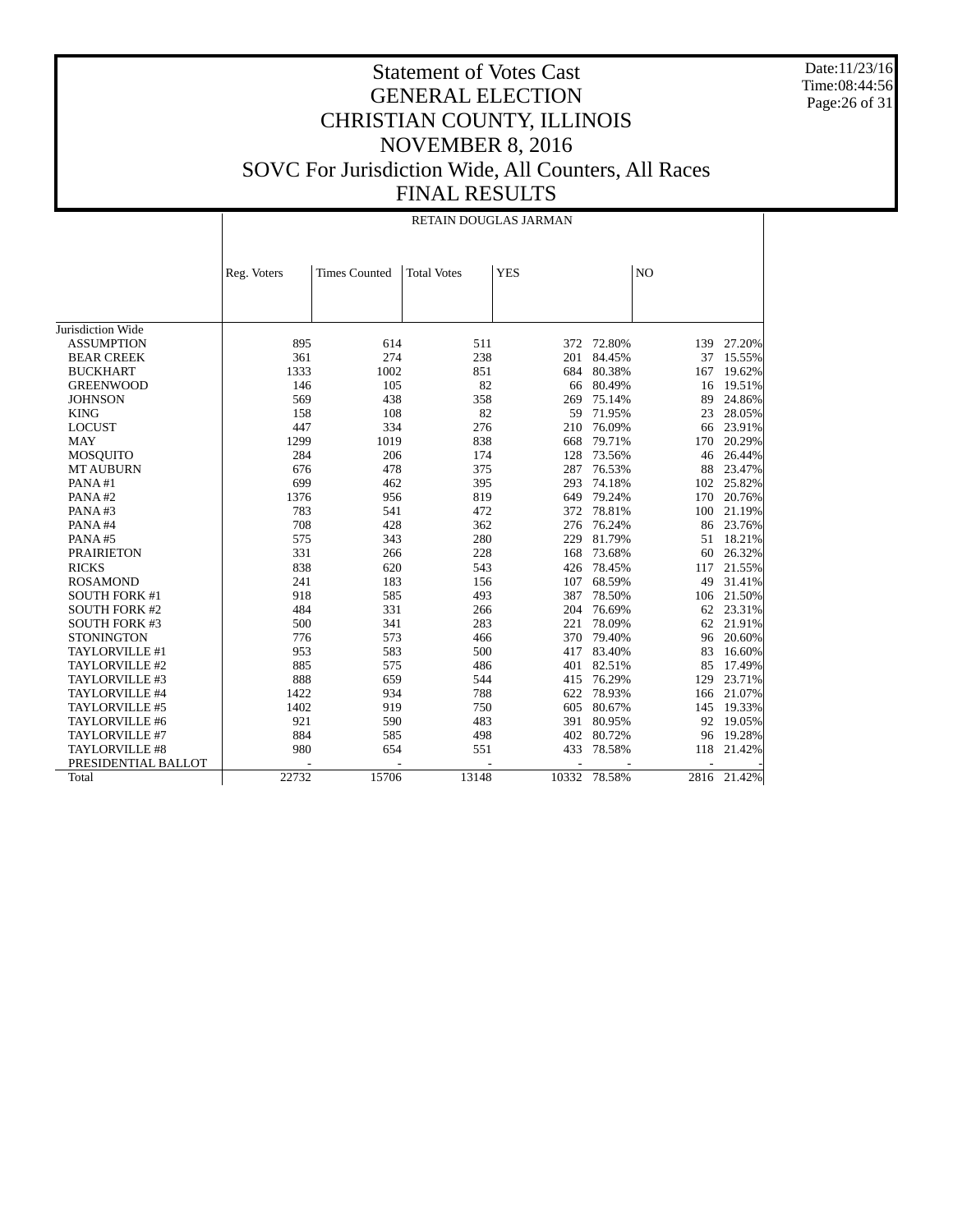Date:11/23/16 Time:08:44:56 Page:26 of 31

#### Statement of Votes Cast GENERAL ELECTION CHRISTIAN COUNTY, ILLINOIS NOVEMBER 8, 2016 SOVC For Jurisdiction Wide, All Counters, All Races FINAL RESULTS

|                      | RETAIN DOUGLAS JARMAN |                      |                    |            |              |                |        |  |
|----------------------|-----------------------|----------------------|--------------------|------------|--------------|----------------|--------|--|
|                      | Reg. Voters           | <b>Times Counted</b> | <b>Total Votes</b> | <b>YES</b> |              | N <sub>O</sub> |        |  |
|                      |                       |                      |                    |            |              |                |        |  |
| Jurisdiction Wide    |                       |                      |                    |            |              |                |        |  |
| <b>ASSUMPTION</b>    | 895                   | 614                  | 511                | 372        | 72.80%       | 139            | 27.20% |  |
| <b>BEAR CREEK</b>    | 361                   | 274                  | 238                | 201        | 84.45%       | 37             | 15.55% |  |
| <b>BUCKHART</b>      | 1333                  | 1002                 | 851                | 684        | 80.38%       | 167            | 19.62% |  |
| <b>GREENWOOD</b>     | 146                   | 105                  | 82                 | 66         | 80.49%       | 16             | 19.51% |  |
| <b>JOHNSON</b>       | 569                   | 438                  | 358                | 269        | 75.14%       | 89             | 24.86% |  |
| <b>KING</b>          | 158                   | 108                  | 82                 | 59         | 71.95%       | 23             | 28.05% |  |
| <b>LOCUST</b>        | 447                   | 334                  | 276                | 210        | 76.09%       | 66             | 23.91% |  |
| <b>MAY</b>           | 1299                  | 1019                 | 838                | 668        | 79.71%       | 170            | 20.29% |  |
| <b>MOSOUITO</b>      | 284                   | 206                  | 174                | 128        | 73.56%       | 46             | 26.44% |  |
| <b>MT AUBURN</b>     | 676                   | 478                  | 375                | 287        | 76.53%       | 88             | 23.47% |  |
| PANA#1               | 699                   | 462                  | 395                | 293        | 74.18%       | 102            | 25.82% |  |
| PANA#2               | 1376                  | 956                  | 819                | 649        | 79.24%       | 170            | 20.76% |  |
| PANA#3               | 783                   | 541                  | 472                | 372        | 78.81%       | 100            | 21.19% |  |
| PANA#4               | 708                   | 428                  | 362                | 276        | 76.24%       | 86             | 23.76% |  |
| PANA#5               | 575                   | 343                  | 280                | 229        | 81.79%       | 51             | 18.21% |  |
| <b>PRAIRIETON</b>    | 331                   | 266                  | 228                | 168        | 73.68%       | 60             | 26.32% |  |
| <b>RICKS</b>         | 838                   | 620                  | 543                | 426        | 78.45%       | 117            | 21.55% |  |
| <b>ROSAMOND</b>      | 241                   | 183                  | 156                | 107        | 68.59%       | 49             | 31.41% |  |
| <b>SOUTH FORK #1</b> | 918                   | 585                  | 493                | 387        | 78.50%       | 106            | 21.50% |  |
| <b>SOUTH FORK #2</b> | 484                   | 331                  | 266                | 204        | 76.69%       | 62             | 23.31% |  |
| <b>SOUTH FORK #3</b> | 500                   | 341                  | 283                | 221        | 78.09%       | 62             | 21.91% |  |
| <b>STONINGTON</b>    | 776                   | 573                  | 466                | 370        | 79.40%       | 96             | 20.60% |  |
| TAYLORVILLE #1       | 953                   | 583                  | 500                | 417        | 83.40%       | 83             | 16.60% |  |
| TAYLORVILLE #2       | 885                   | 575                  | 486                | 401        | 82.51%       | 85             | 17.49% |  |
| TAYLORVILLE #3       | 888                   | 659                  | 544                | 415        | 76.29%       | 129            | 23.71% |  |
| TAYLORVILLE #4       | 1422                  | 934                  | 788                | 622        | 78.93%       | 166            | 21.07% |  |
| TAYLORVILLE #5       | 1402                  | 919                  | 750                | 605        | 80.67%       | 145            | 19.33% |  |
| TAYLORVILLE #6       | 921                   | 590                  | 483                | 391        | 80.95%       | 92             | 19.05% |  |
| TAYLORVILLE #7       | 884                   | 585                  | 498                | 402        | 80.72%       | 96             | 19.28% |  |
| TAYLORVILLE #8       | 980                   | 654                  | 551                | 433        | 78.58%       | 118            | 21.42% |  |
| PRESIDENTIAL BALLOT  |                       |                      |                    |            |              |                |        |  |
| Total                | 22732                 | 15706                | 13148              |            | 10332 78.58% | 2816           | 21.42% |  |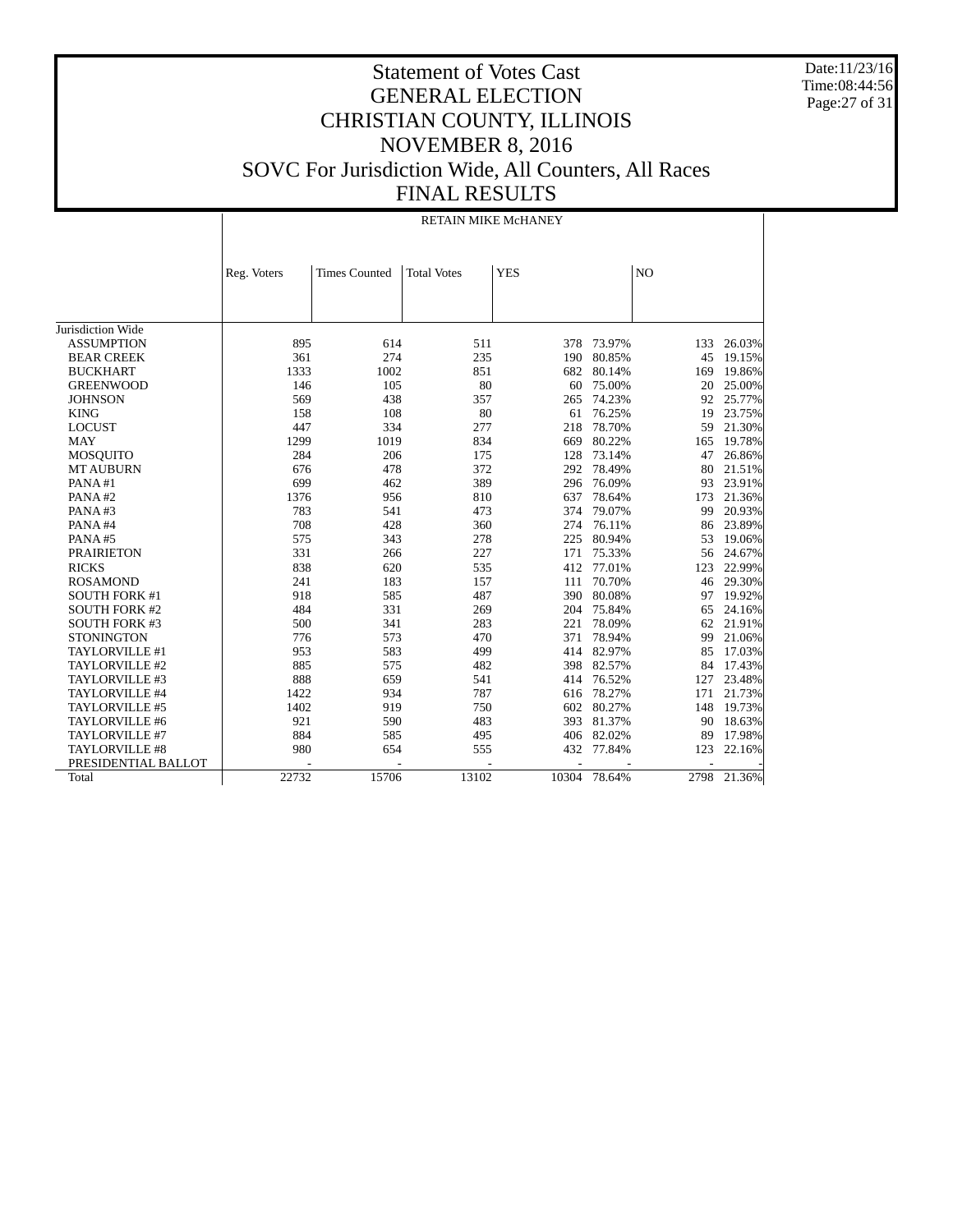Date:11/23/16 Time:08:44:56 Page:27 of 31

#### Statement of Votes Cast GENERAL ELECTION CHRISTIAN COUNTY, ILLINOIS NOVEMBER 8, 2016 SOVC For Jurisdiction Wide, All Counters, All Races FINAL RESULTS

|                      | RETAIN MIKE McHANEY |                      |                    |            |        |                |        |  |  |
|----------------------|---------------------|----------------------|--------------------|------------|--------|----------------|--------|--|--|
|                      |                     |                      |                    |            |        |                |        |  |  |
|                      | Reg. Voters         | <b>Times Counted</b> | <b>Total Votes</b> | <b>YES</b> |        | N <sub>O</sub> |        |  |  |
|                      |                     |                      |                    |            |        |                |        |  |  |
|                      |                     |                      |                    |            |        |                |        |  |  |
| Jurisdiction Wide    |                     |                      |                    |            |        |                |        |  |  |
| <b>ASSUMPTION</b>    | 895                 | 614                  | 511                | 378        | 73.97% | 133            | 26.03% |  |  |
| <b>BEAR CREEK</b>    | 361                 | 274                  | 235                | 190        | 80.85% | 45             | 19.15% |  |  |
| <b>BUCKHART</b>      | 1333                | 1002                 | 851                | 682        | 80.14% | 169            | 19.86% |  |  |
| <b>GREENWOOD</b>     | 146                 | 105                  | 80                 | 60         | 75.00% | 20             | 25.00% |  |  |
| <b>JOHNSON</b>       | 569                 | 438                  | 357                | 265        | 74.23% | 92             | 25.77% |  |  |
| <b>KING</b>          | 158                 | 108                  | 80                 | 61         | 76.25% | 19             | 23.75% |  |  |
| <b>LOCUST</b>        | 447                 | 334                  | 277                | 218        | 78.70% | 59             | 21.30% |  |  |
| <b>MAY</b>           | 1299                | 1019                 | 834                | 669        | 80.22% | 165            | 19.78% |  |  |
| <b>MOSOUITO</b>      | 284                 | 206                  | 175                | 128        | 73.14% | 47             | 26.86% |  |  |
| <b>MT AUBURN</b>     | 676                 | 478                  | 372                | 292        | 78.49% | 80             | 21.51% |  |  |
| PANA#1               | 699                 | 462                  | 389                | 296        | 76.09% | 93             | 23.91% |  |  |
| PANA#2               | 1376                | 956                  | 810                | 637        | 78.64% | 173            | 21.36% |  |  |
| PANA#3               | 783                 | 541                  | 473                | 374        | 79.07% | 99             | 20.93% |  |  |
| PANA#4               | 708                 | 428                  | 360                | 274        | 76.11% | 86             | 23.89% |  |  |
| PANA#5               | 575                 | 343                  | 278                | 225        | 80.94% | 53             | 19.06% |  |  |
| <b>PRAIRIETON</b>    | 331                 | 266                  | 227                | 171        | 75.33% | 56             | 24.67% |  |  |
| <b>RICKS</b>         | 838                 | 620                  | 535                | 412        | 77.01% | 123            | 22.99% |  |  |
| <b>ROSAMOND</b>      | 241                 | 183                  | 157                | 111        | 70.70% | 46             | 29.30% |  |  |
| <b>SOUTH FORK #1</b> | 918                 | 585                  | 487                | 390        | 80.08% | 97             | 19.92% |  |  |
| <b>SOUTH FORK #2</b> | 484                 | 331                  | 269                | 204        | 75.84% | 65             | 24.16% |  |  |
| <b>SOUTH FORK #3</b> | 500                 | 341                  | 283                | 221        | 78.09% | 62             | 21.91% |  |  |
| <b>STONINGTON</b>    | 776                 | 573                  | 470                | 371        | 78.94% | 99             | 21.06% |  |  |
| TAYLORVILLE #1       | 953                 | 583                  | 499                | 414        | 82.97% | 85             | 17.03% |  |  |
| TAYLORVILLE #2       | 885                 | 575                  | 482                | 398        | 82.57% | 84             | 17.43% |  |  |
| TAYLORVILLE #3       | 888                 | 659                  | 541                | 414        | 76.52% | 127            | 23.48% |  |  |
| TAYLORVILLE #4       | 1422                | 934                  | 787                | 616        | 78.27% | 171            | 21.73% |  |  |
| TAYLORVILLE #5       | 1402                | 919                  | 750                | 602        | 80.27% | 148            | 19.73% |  |  |
| TAYLORVILLE #6       | 921                 | 590                  | 483                | 393        | 81.37% | 90             | 18.63% |  |  |
| TAYLORVILLE #7       | 884                 | 585                  | 495                | 406        | 82.02% | 89             | 17.98% |  |  |
| TAYLORVILLE #8       | 980                 | 654                  | 555                | 432        | 77.84% | 123            | 22.16% |  |  |
| PRESIDENTIAL BALLOT  |                     |                      |                    |            |        |                |        |  |  |
| Total                | 22732               | 15706                | 13102              | 10304      | 78.64% | 2798           | 21.36% |  |  |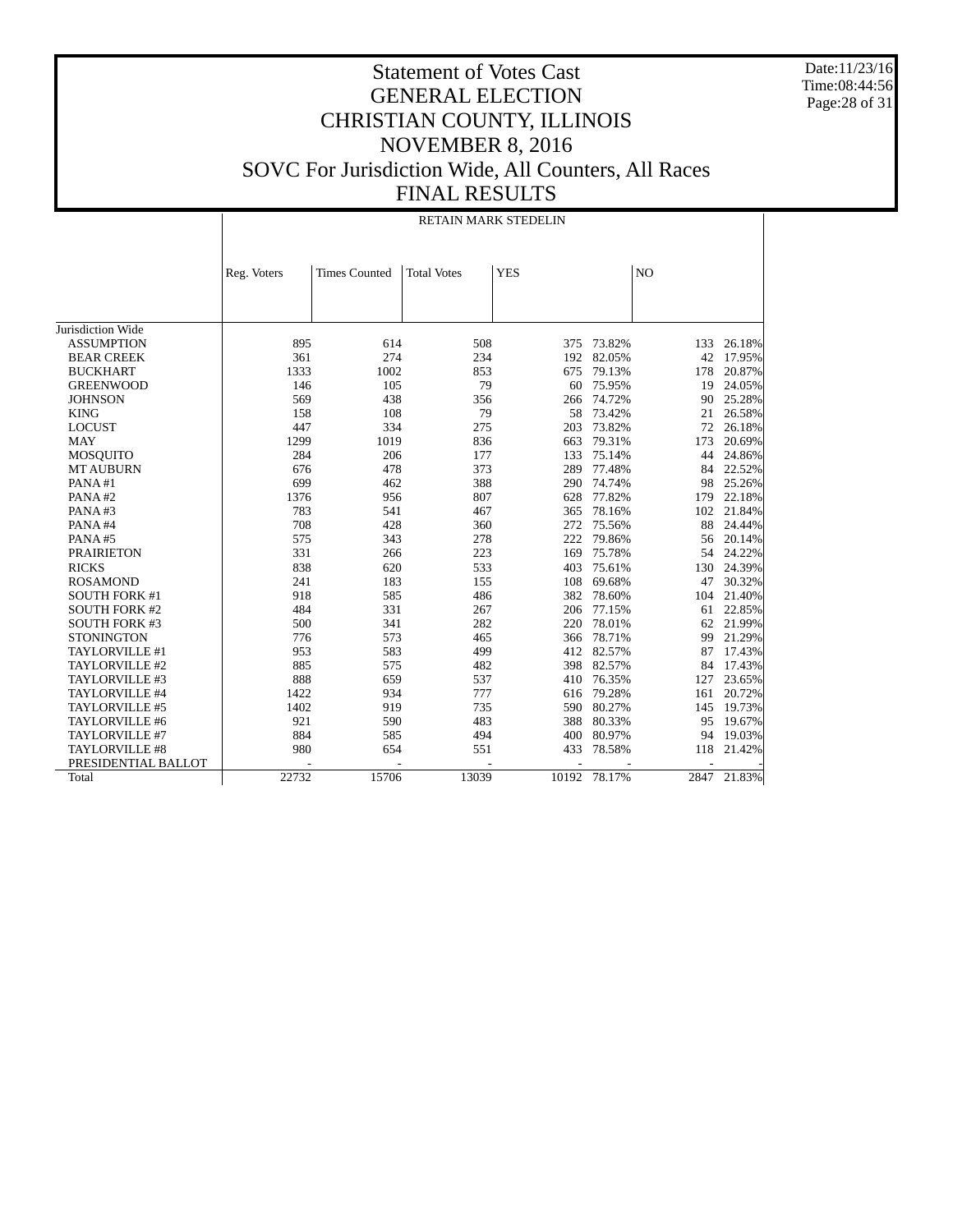Date:11/23/16 Time:08:44:56 Page:28 of 31

#### Statement of Votes Cast GENERAL ELECTION CHRISTIAN COUNTY, ILLINOIS NOVEMBER 8, 2016 SOVC For Jurisdiction Wide, All Counters, All Races FINAL RESULTS

|                      | RETAIN MARK STEDELIN |                      |                    |                |              |                |        |  |
|----------------------|----------------------|----------------------|--------------------|----------------|--------------|----------------|--------|--|
|                      |                      |                      |                    |                |              |                |        |  |
|                      | Reg. Voters          | <b>Times Counted</b> | <b>Total Votes</b> | <b>YES</b>     |              | N <sub>O</sub> |        |  |
|                      |                      |                      |                    |                |              |                |        |  |
|                      |                      |                      |                    |                |              |                |        |  |
| Jurisdiction Wide    |                      |                      |                    |                |              |                |        |  |
| <b>ASSUMPTION</b>    | 895                  | 614                  | 508                | 375            | 73.82%       | 133            | 26.18% |  |
| <b>BEAR CREEK</b>    | 361                  | 274                  | 234                | 192            | 82.05%       | 42             | 17.95% |  |
| <b>BUCKHART</b>      | 1333                 | 1002                 | 853                | 675            | 79.13%       | 178            | 20.87% |  |
| <b>GREENWOOD</b>     | 146                  | 105                  | 79                 | 60             | 75.95%       | 19             | 24.05% |  |
| <b>JOHNSON</b>       | 569                  | 438                  | 356                | 266            | 74.72%       | 90             | 25.28% |  |
| <b>KING</b>          | 158                  | 108                  | 79                 | 58             | 73.42%       | 21             | 26.58% |  |
| <b>LOCUST</b>        | 447                  | 334                  | 275                | 203            | 73.82%       | 72             | 26.18% |  |
| <b>MAY</b>           | 1299                 | 1019                 | 836                | 663            | 79.31%       | 173            | 20.69% |  |
| <b>MOSOUITO</b>      | 284                  | 206                  | 177                | 133            | 75.14%       | 44             | 24.86% |  |
| <b>MT AUBURN</b>     | 676                  | 478                  | 373                | 289            | 77.48%       | 84             | 22.52% |  |
| PANA#1               | 699                  | 462                  | 388                | 290            | 74.74%       | 98             | 25.26% |  |
| PANA#2               | 1376                 | 956                  | 807                | 628            | 77.82%       | 179            | 22.18% |  |
| PANA#3               | 783                  | 541                  | 467                | 365            | 78.16%       | 102            | 21.84% |  |
| PANA#4               | 708                  | 428                  | 360                | 272            | 75.56%       | 88             | 24.44% |  |
| PANA#5               | 575                  | 343                  | 278                | 222            | 79.86%       | 56             | 20.14% |  |
| <b>PRAIRIETON</b>    | 331                  | 266                  | 223                | 169            | 75.78%       | 54             | 24.22% |  |
| <b>RICKS</b>         | 838                  | 620                  | 533                | 403            | 75.61%       | 130            | 24.39% |  |
| <b>ROSAMOND</b>      | 241                  | 183                  | 155                | 108            | 69.68%       | 47             | 30.32% |  |
| <b>SOUTH FORK #1</b> | 918                  | 585                  | 486                | 382            | 78.60%       | 104            | 21.40% |  |
| <b>SOUTH FORK #2</b> | 484                  | 331                  | 267                | 206            | 77.15%       | 61             | 22.85% |  |
| <b>SOUTH FORK #3</b> | 500                  | 341                  | 282                | 220            | 78.01%       | 62             | 21.99% |  |
| <b>STONINGTON</b>    | 776                  | 573                  | 465                | 366            | 78.71%       | 99             | 21.29% |  |
| TAYLORVILLE #1       | 953                  | 583                  | 499                | 412            | 82.57%       | 87             | 17.43% |  |
| TAYLORVILLE #2       | 885                  | 575                  | 482                | 398            | 82.57%       | 84             | 17.43% |  |
| TAYLORVILLE #3       | 888                  | 659                  | 537                | 410            | 76.35%       | 127            | 23.65% |  |
| TAYLORVILLE #4       | 1422                 | 934                  | 777                | 616            | 79.28%       | 161            | 20.72% |  |
| TAYLORVILLE #5       | 1402                 | 919                  | 735                | 590            | 80.27%       | 145            | 19.73% |  |
| TAYLORVILLE #6       | 921                  | 590                  | 483                | 388            | 80.33%       | 95             | 19.67% |  |
| TAYLORVILLE #7       | 884                  | 585                  | 494                | 400            | 80.97%       | 94             | 19.03% |  |
| TAYLORVILLE #8       | 980                  | 654                  | 551                | 433            | 78.58%       | 118            | 21.42% |  |
| PRESIDENTIAL BALLOT  |                      |                      |                    | $\overline{a}$ |              |                |        |  |
| Total                | 22732                | 15706                | 13039              |                | 10192 78.17% | 2847           | 21.83% |  |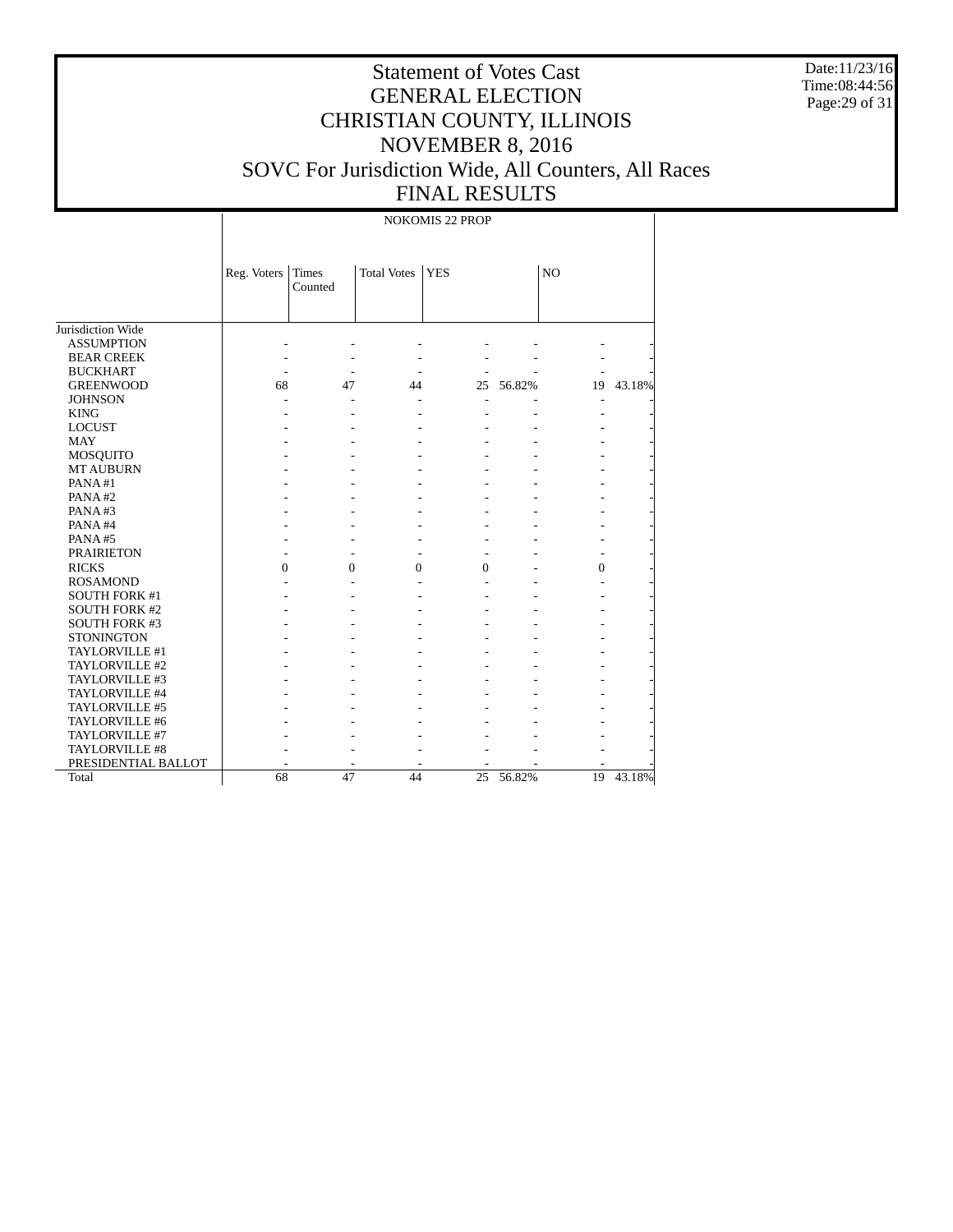Date:11/23/16 Time:08:44:56 Page:29 of 31

# Statement of Votes Cast GENERAL ELECTION CHRISTIAN COUNTY, ILLINOIS NOVEMBER 8, 2016 SOVC For Jurisdiction Wide, All Counters, All Races FINAL RESULTS

NOKOMIS 22 PROP

|                                  | Reg. Voters | Times    | <b>Total Votes</b> | <b>YES</b>       |        | N <sub>O</sub> |        |
|----------------------------------|-------------|----------|--------------------|------------------|--------|----------------|--------|
|                                  |             | Counted  |                    |                  |        |                |        |
|                                  |             |          |                    |                  |        |                |        |
| Jurisdiction Wide                |             |          |                    |                  |        |                |        |
| <b>ASSUMPTION</b>                |             |          |                    |                  |        |                |        |
| <b>BEAR CREEK</b>                |             |          |                    |                  |        |                |        |
| <b>BUCKHART</b>                  |             |          |                    |                  |        |                |        |
| <b>GREENWOOD</b>                 | 68          | 47       | 44                 | 25               | 56.82% | 19             | 43.18% |
| <b>JOHNSON</b>                   |             |          |                    |                  |        |                |        |
| <b>KING</b>                      |             |          |                    |                  |        |                |        |
| <b>LOCUST</b>                    |             |          |                    |                  |        |                |        |
| <b>MAY</b>                       |             |          |                    |                  |        |                |        |
| <b>MOSQUITO</b>                  |             |          |                    |                  |        |                |        |
| <b>MT AUBURN</b>                 |             |          |                    |                  |        |                |        |
| PANA#1                           |             |          |                    |                  |        |                |        |
| PANA#2                           |             |          |                    |                  |        |                |        |
| PANA#3                           |             |          |                    |                  |        |                |        |
| PANA#4                           |             |          |                    |                  |        |                |        |
| PANA#5                           |             |          |                    |                  |        |                |        |
| <b>PRAIRIETON</b>                |             |          |                    |                  |        |                |        |
| <b>RICKS</b>                     | $\theta$    | $\Omega$ | $\mathbf{0}$       | $\boldsymbol{0}$ |        | $\overline{0}$ |        |
| <b>ROSAMOND</b>                  |             |          |                    |                  |        |                |        |
| <b>SOUTH FORK #1</b>             |             |          |                    |                  |        |                |        |
| <b>SOUTH FORK #2</b>             |             |          |                    |                  |        |                |        |
| <b>SOUTH FORK #3</b>             |             |          |                    |                  |        |                |        |
| <b>STONINGTON</b>                |             |          |                    |                  |        |                |        |
| TAYLORVILLE #1                   |             |          |                    |                  |        |                |        |
| TAYLORVILLE #2                   |             |          |                    |                  |        |                |        |
| TAYLORVILLE #3                   |             |          |                    |                  |        |                |        |
| TAYLORVILLE #4                   |             |          |                    |                  |        |                |        |
|                                  |             |          |                    |                  |        |                |        |
| TAYLORVILLE #5<br>TAYLORVILLE #6 |             |          |                    |                  |        |                |        |
| TAYLORVILLE #7                   |             |          |                    |                  |        |                |        |
| TAYLORVILLE #8                   |             |          |                    |                  |        |                |        |
|                                  |             |          |                    |                  |        |                |        |
| PRESIDENTIAL BALLOT              |             | 47       | 44                 |                  |        |                |        |
| Total                            | 68          |          |                    | 25               | 56.82% | 19             | 43.18% |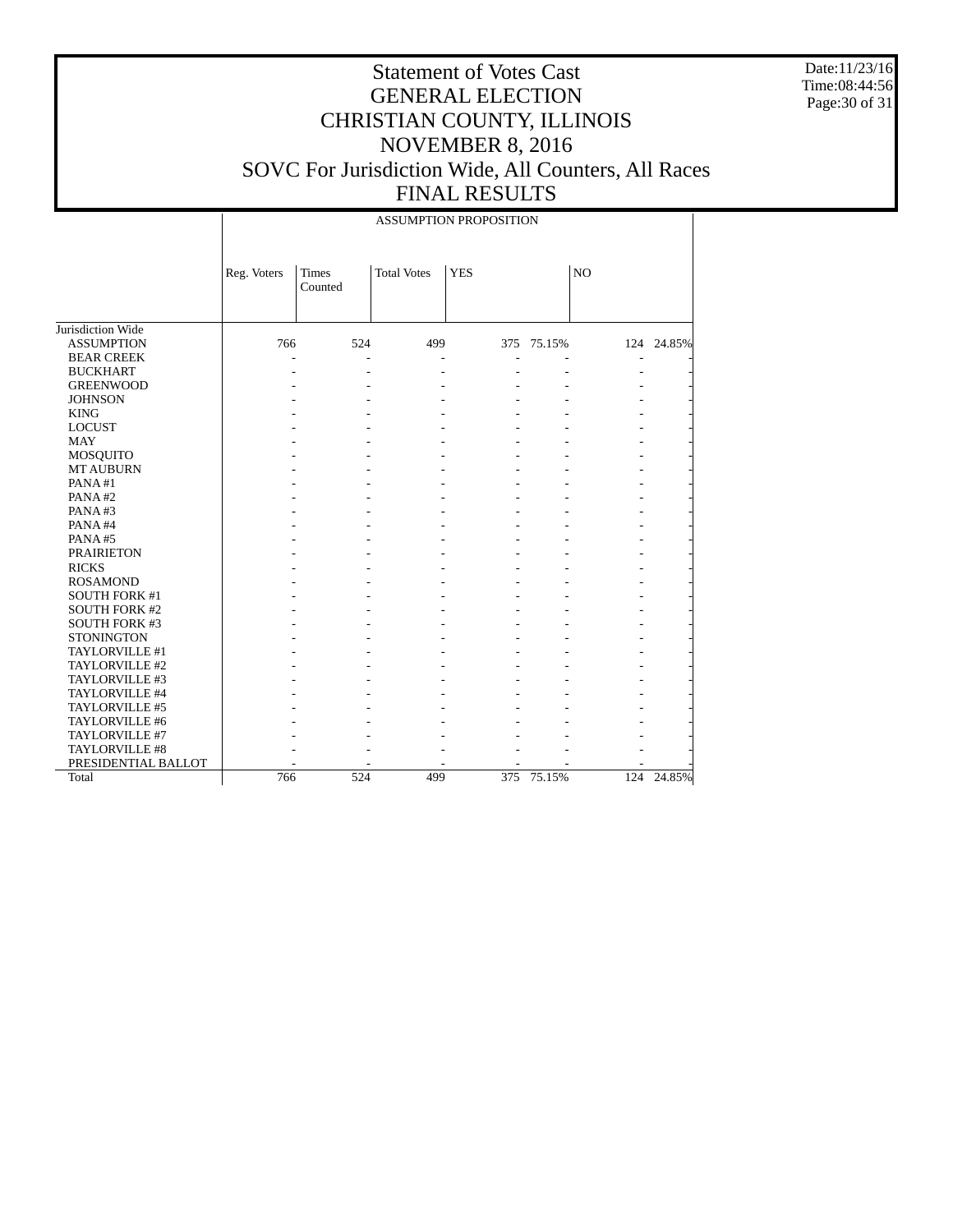Date:11/23/16 Time:08:44:56 Page:30 of 31

|                      | <b>ASSUMPTION PROPOSITION</b> |                  |                    |            |            |     |            |  |  |
|----------------------|-------------------------------|------------------|--------------------|------------|------------|-----|------------|--|--|
|                      | Reg. Voters                   | Times<br>Counted | <b>Total Votes</b> | <b>YES</b> | NO         |     |            |  |  |
| Jurisdiction Wide    |                               |                  |                    |            |            |     |            |  |  |
| <b>ASSUMPTION</b>    | 766                           | 524              | 499                |            | 375 75.15% |     | 124 24.85% |  |  |
| <b>BEAR CREEK</b>    |                               |                  |                    |            |            |     |            |  |  |
| <b>BUCKHART</b>      |                               |                  |                    |            |            |     |            |  |  |
| <b>GREENWOOD</b>     |                               |                  |                    |            |            |     |            |  |  |
| <b>JOHNSON</b>       |                               |                  |                    |            |            |     |            |  |  |
| <b>KING</b>          |                               |                  |                    |            |            |     |            |  |  |
| <b>LOCUST</b>        |                               |                  |                    |            |            |     |            |  |  |
| <b>MAY</b>           |                               |                  |                    |            |            |     |            |  |  |
| MOSQUITO             |                               |                  |                    |            |            |     |            |  |  |
| <b>MT AUBURN</b>     |                               |                  |                    |            |            |     |            |  |  |
| PANA#1               |                               |                  |                    |            |            |     |            |  |  |
| PANA#2               |                               |                  |                    |            |            |     |            |  |  |
| PANA#3               |                               |                  |                    |            |            |     |            |  |  |
| PANA#4               |                               |                  |                    |            |            |     |            |  |  |
| PANA#5               |                               |                  |                    |            |            |     |            |  |  |
| <b>PRAIRIETON</b>    |                               |                  |                    |            |            |     |            |  |  |
| <b>RICKS</b>         |                               |                  |                    |            |            |     |            |  |  |
| <b>ROSAMOND</b>      |                               |                  |                    |            |            |     |            |  |  |
| <b>SOUTH FORK #1</b> |                               |                  |                    |            |            |     |            |  |  |
| <b>SOUTH FORK #2</b> |                               |                  |                    |            |            |     |            |  |  |
| <b>SOUTH FORK #3</b> |                               |                  |                    |            |            |     |            |  |  |
| <b>STONINGTON</b>    |                               |                  |                    |            |            |     |            |  |  |
| TAYLORVILLE #1       |                               |                  |                    |            |            |     |            |  |  |
| TAYLORVILLE #2       |                               |                  |                    |            |            |     |            |  |  |
| TAYLORVILLE #3       |                               |                  |                    |            |            |     |            |  |  |
| TAYLORVILLE #4       |                               |                  |                    |            |            |     |            |  |  |
| TAYLORVILLE #5       |                               |                  |                    |            |            |     |            |  |  |
| TAYLORVILLE #6       |                               |                  |                    |            |            |     |            |  |  |
| TAYLORVILLE #7       |                               |                  |                    |            |            |     |            |  |  |
| TAYLORVILLE #8       |                               |                  |                    |            |            |     |            |  |  |
| PRESIDENTIAL BALLOT  |                               |                  |                    |            |            |     |            |  |  |
| Total                | 766                           | 524              | 499                | 375        | 75.15%     | 124 | 24.85%     |  |  |